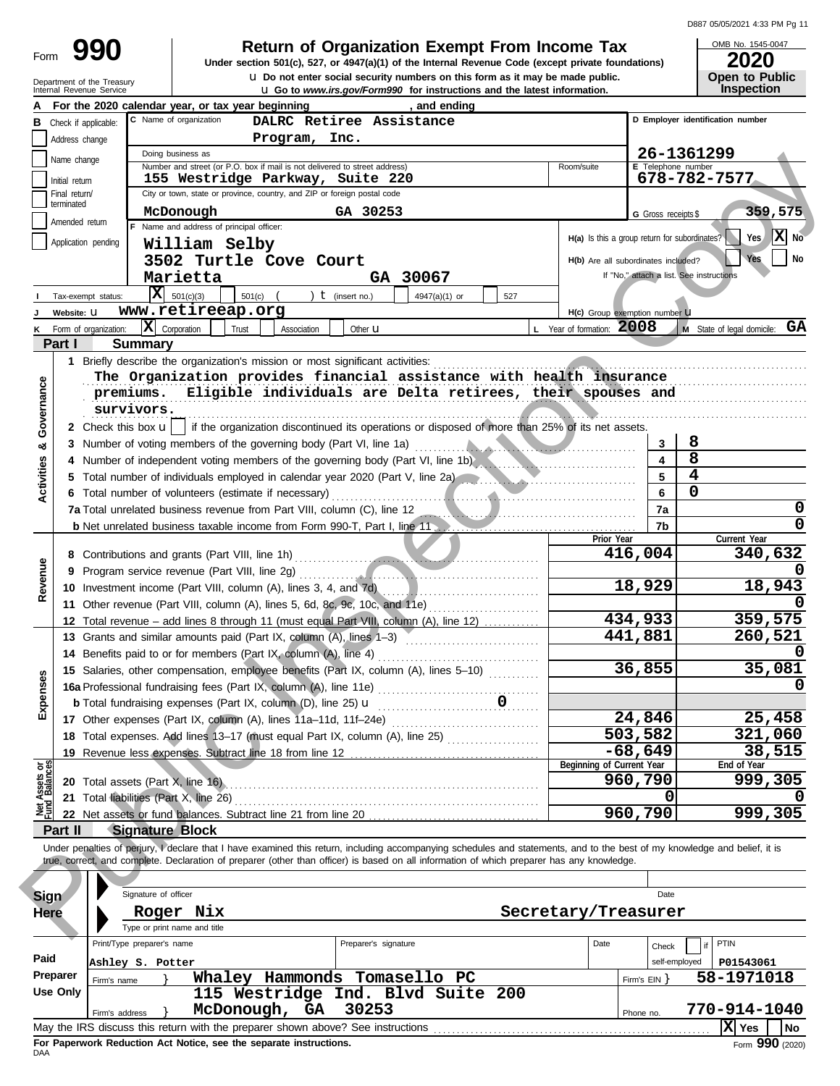| Form |  |
|------|--|
|      |  |

## **Return of Organization Exempt From Income Tax**  $\frac{\text{OMB No. 1545-0}}{2020}$

u **Do not enter social security numbers on this form as it may be made public. Open to Public Under section 501(c), 527, or 4947(a)(1) of the Internal Revenue Code (except private foundations)**

OMB No. 1545-0047 **Inspection**

| Department of the Treasury |  |
|----------------------------|--|
| Internal Revenue Service   |  |

|                         | <b>u</b> Go to www.irs.gov/Form990 for instructions and the latest information.<br>Internal Revenue Service                                                                |                                               |                     | <b>Inspection</b>                        |
|-------------------------|----------------------------------------------------------------------------------------------------------------------------------------------------------------------------|-----------------------------------------------|---------------------|------------------------------------------|
|                         | For the 2020 calendar year, or tax year beginning<br>, and ending                                                                                                          |                                               |                     |                                          |
|                         | C Name of organization<br>DALRC Retiree Assistance<br><b>B</b> Check if applicable:                                                                                        |                                               |                     | D Employer identification number         |
|                         | Program, Inc.<br>Address change                                                                                                                                            |                                               |                     |                                          |
|                         | Doing business as                                                                                                                                                          |                                               |                     | 26-1361299                               |
|                         | Name change<br>Number and street (or P.O. box if mail is not delivered to street address)                                                                                  | Room/suite                                    | E Telephone number  |                                          |
| Initial return          | 155 Westridge Parkway, Suite 220                                                                                                                                           |                                               |                     | 678-782-7577                             |
|                         | City or town, state or province, country, and ZIP or foreign postal code<br>Final return/                                                                                  |                                               |                     |                                          |
| terminated              | McDonough<br>GA 30253                                                                                                                                                      |                                               | G Gross receipts \$ | 359,575                                  |
|                         | Amended return<br>F Name and address of principal officer:                                                                                                                 |                                               |                     |                                          |
|                         | Application pending<br>William Selby                                                                                                                                       | H(a) Is this a group return for subordinates? |                     | $\mathbf{X}$ No<br>Yes                   |
|                         | 3502 Turtle Cove Court                                                                                                                                                     | H(b) Are all subordinates included?           |                     | <b>No</b><br>Yes                         |
|                         | GA 30067<br>Marietta                                                                                                                                                       |                                               |                     | If "No," attach a list. See instructions |
|                         | $ \mathbf{X} $ 501(c)(3)                                                                                                                                                   |                                               |                     |                                          |
|                         | $501(c)$ $($<br>) $t$ (insert no.)<br>4947(a)(1) or<br>527<br>Tax-exempt status:                                                                                           |                                               |                     |                                          |
|                         | www.retireeap.org<br>Website: U                                                                                                                                            | H(c) Group exemption number LI                |                     |                                          |
|                         | X Corporation<br>K Form of organization:<br>Trust<br>Association<br>Other <b>u</b>                                                                                         | L Year of formation: 2008                     |                     | M State of legal domicile: GA            |
| Part I                  | <b>Summary</b>                                                                                                                                                             |                                               |                     |                                          |
|                         | 1 Briefly describe the organization's mission or most significant activities:                                                                                              |                                               |                     |                                          |
|                         | The Organization provides financial assistance with health insurance                                                                                                       |                                               |                     |                                          |
|                         | premiums. Eligible individuals are Delta retirees, their spouses and                                                                                                       |                                               |                     |                                          |
|                         | survivors.                                                                                                                                                                 |                                               |                     |                                          |
|                         | 2 Check this box $u$   if the organization discontinued its operations or disposed of more than 25% of its net assets.                                                     |                                               |                     |                                          |
|                         |                                                                                                                                                                            |                                               |                     | 8                                        |
|                         |                                                                                                                                                                            |                                               | 3                   | 8                                        |
|                         | 4 Number of independent voting members of the governing body (Part VI, line 1b)                                                                                            |                                               | 4                   |                                          |
|                         | 5 Total number of individuals employed in calendar year 2020 (Part V, line 2a)                                                                                             |                                               | 5                   | 4                                        |
|                         | 6 Total number of volunteers (estimate if necessary)                                                                                                                       |                                               | 6                   | 0                                        |
|                         | 7a Total unrelated business revenue from Part VIII, column (C), line 12                                                                                                    |                                               | 7a                  |                                          |
|                         | <b>b</b> Net unrelated business taxable income from Form 990-T, Part I, line 11.                                                                                           |                                               | 7b                  |                                          |
|                         |                                                                                                                                                                            | Prior Year                                    |                     | Current Year                             |
|                         | 8 Contributions and grants (Part VIII, line 1h)                                                                                                                            |                                               | 416,004             | 340,632                                  |
|                         |                                                                                                                                                                            |                                               |                     |                                          |
| Revenue                 | 10 Investment income (Part VIII, column (A), lines 3, 4, and 7d)                                                                                                           |                                               | 18,929              | 18,943                                   |
|                         | 11 Other revenue (Part VIII, column (A), lines 5, 6d, 8c, 9c, 10c, and 11e)                                                                                                |                                               |                     |                                          |
|                         | 12 Total revenue - add lines 8 through 11 (must equal Part VIII, column (A), line 12)                                                                                      |                                               | 434,933             | 359,575                                  |
|                         | 13 Grants and similar amounts paid (Part IX, column (A), lines 1-3)<br><u> 1986 - Johann Stoff, Amerikaansk politiker (</u>                                                |                                               | 441,881             | 260,521                                  |
|                         | 14 Benefits paid to or for members (Part IX, column (A), line 4)                                                                                                           |                                               |                     |                                          |
|                         | 15 Salaries, other compensation, employee benefits (Part IX, column (A), lines 5-10)                                                                                       |                                               | 36,855              | 35,081                                   |
|                         |                                                                                                                                                                            |                                               |                     | 0                                        |
|                         |                                                                                                                                                                            |                                               |                     |                                          |
| Exp                     | <b>b</b> Total fundraising expenses (Part IX, column (D), line 25) <b>u</b>                                                                                                |                                               |                     |                                          |
|                         | 17 Other expenses (Part IX, column (A), lines 11a-11d, 11f-24e)                                                                                                            |                                               | 24,846              | 25,458                                   |
|                         | 18 Total expenses. Add lines 13-17 (must equal Part IX, column (A), line 25)                                                                                               |                                               | 503,582             | 321,060                                  |
|                         | 19 Revenue less expenses. Subtract line 18 from line 12                                                                                                                    |                                               | $-68,649$           | 38,515                                   |
| Assets or<br>1 Balances |                                                                                                                                                                            | Beginning of Current Year                     |                     | End of Year                              |
|                         | 20 Total assets (Part X, line 16)                                                                                                                                          |                                               | 960,790             | 999,305                                  |
|                         | 21 Total liabilities (Part X, line 26)                                                                                                                                     |                                               | O                   |                                          |
|                         |                                                                                                                                                                            |                                               | 960,790             | 999,305                                  |
| Part II                 | <b>Signature Block</b>                                                                                                                                                     |                                               |                     |                                          |
|                         | Under penalties of periury. I declare that I have examined this return, including accompanying schedules and statements, and to the best of my knowledge and belief, it is |                                               |                     |                                          |
|                         | true, correct, and complete. Declaration of preparer (other than officer) is based on all information of which preparer has any knowledge.                                 |                                               |                     |                                          |
|                         |                                                                                                                                                                            |                                               |                     |                                          |
| <b>Sign</b>             | Signature of officer                                                                                                                                                       |                                               | Date                |                                          |
|                         |                                                                                                                                                                            |                                               |                     |                                          |
|                         | <b>Roger Nix</b>                                                                                                                                                           | Secretary/Treasurer                           |                     |                                          |
|                         | Type or print name and title                                                                                                                                               |                                               |                     |                                          |
| <b>Here</b>             | Print/Type preparer's name<br>Preparer's signature                                                                                                                         | Date                                          | Check               | PTIN                                     |
|                         |                                                                                                                                                                            |                                               |                     | P01543061                                |
|                         | Ashley S. Potter                                                                                                                                                           |                                               | self-employed       |                                          |
| Paid<br>Preparer        | Whaley Hammonds Tomasello PC<br>Firm's name                                                                                                                                |                                               | Firm's $EIN$ }      | 58-1971018                               |
| Use Only                | 115 Westridge Ind. Blvd Suite 200                                                                                                                                          |                                               |                     |                                          |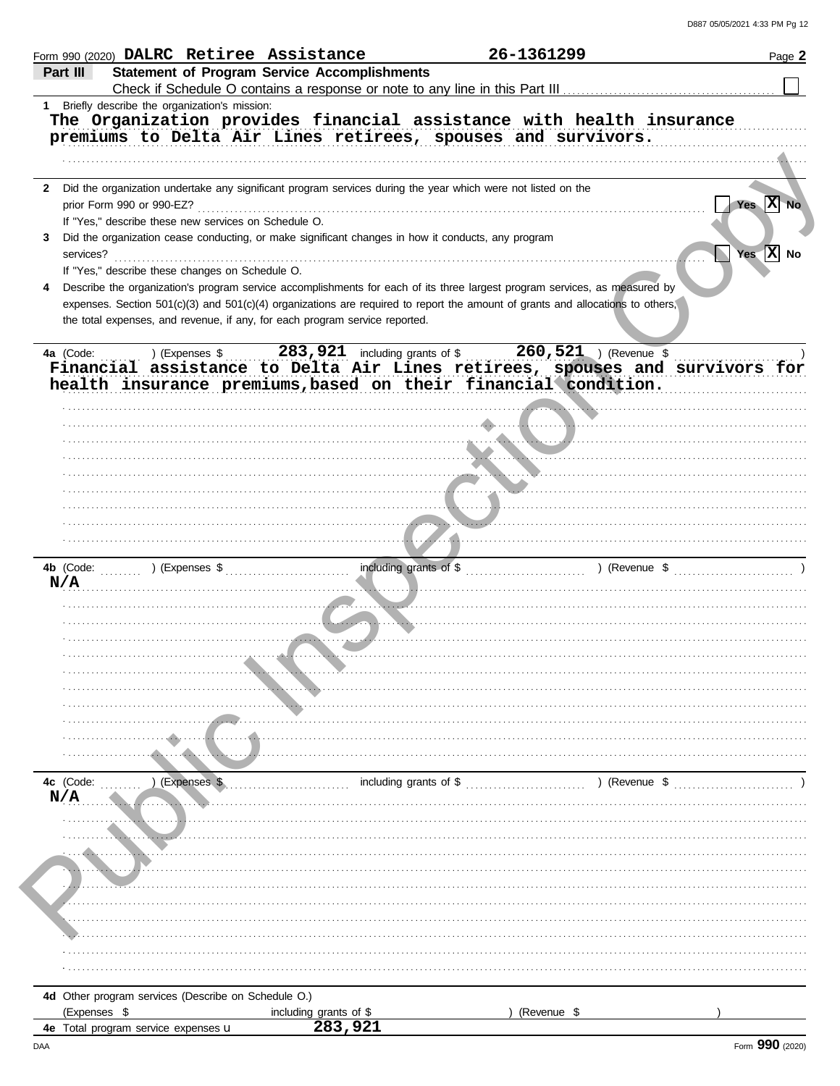| Form 990 (2020) DALRC Retiree Assistance                                                                                                                                                                  |                        | 26-1361299                                                                                                                                                                                                                      | Page 2                |
|-----------------------------------------------------------------------------------------------------------------------------------------------------------------------------------------------------------|------------------------|---------------------------------------------------------------------------------------------------------------------------------------------------------------------------------------------------------------------------------|-----------------------|
| <b>Statement of Program Service Accomplishments</b><br>Part III                                                                                                                                           |                        |                                                                                                                                                                                                                                 |                       |
|                                                                                                                                                                                                           |                        |                                                                                                                                                                                                                                 |                       |
| 1 Briefly describe the organization's mission:<br>premiums to Delta Air Lines retirees, spouses and survivors.                                                                                            |                        | The Organization provides financial assistance with health insurance                                                                                                                                                            |                       |
|                                                                                                                                                                                                           |                        |                                                                                                                                                                                                                                 |                       |
| Did the organization undertake any significant program services during the year which were not listed on the<br>$\mathbf{2}$                                                                              |                        |                                                                                                                                                                                                                                 |                       |
| prior Form 990 or 990-EZ?<br>If "Yes," describe these new services on Schedule O.                                                                                                                         |                        |                                                                                                                                                                                                                                 | Yes $\overline{X}$ No |
| Did the organization cease conducting, or make significant changes in how it conducts, any program<br>services?                                                                                           |                        |                                                                                                                                                                                                                                 | Yes $X$ No            |
| If "Yes," describe these changes on Schedule O.                                                                                                                                                           |                        |                                                                                                                                                                                                                                 |                       |
| Describe the organization's program service accomplishments for each of its three largest program services, as measured by<br>the total expenses, and revenue, if any, for each program service reported. |                        | expenses. Section 501(c)(3) and 501(c)(4) organizations are required to report the amount of grants and allocations to others,                                                                                                  |                       |
| 4a (Code:  ) (Expenses \$  283, 921 including grants of \$  260, 521 ) (Revenue \$                                                                                                                        |                        |                                                                                                                                                                                                                                 |                       |
| health insurance premiums, based on their financial condition.                                                                                                                                            |                        | Financial assistance to Delta Air Lines retirees, spouses and survivors for                                                                                                                                                     |                       |
|                                                                                                                                                                                                           |                        |                                                                                                                                                                                                                                 |                       |
|                                                                                                                                                                                                           |                        |                                                                                                                                                                                                                                 |                       |
|                                                                                                                                                                                                           |                        |                                                                                                                                                                                                                                 |                       |
|                                                                                                                                                                                                           |                        |                                                                                                                                                                                                                                 |                       |
|                                                                                                                                                                                                           |                        |                                                                                                                                                                                                                                 |                       |
|                                                                                                                                                                                                           |                        |                                                                                                                                                                                                                                 |                       |
|                                                                                                                                                                                                           |                        | 4b (Code: William ) (Expenses \$ \\text{\bmat{\bmat{\bmat{\bmat{\bmat{\bmat{\bmat{\bmat{\bmat{\bmat{\bmat{\bmat{\bmat{\bmat{\bmat{\bmat{\bmat{\bmat{\bmat{\bmat{\bmat{\bmat{\bmat{\bmat{\bmat{\bmat{\bmat{\bmat{\bmat{\bmat{\bm |                       |
| N/A                                                                                                                                                                                                       |                        |                                                                                                                                                                                                                                 |                       |
|                                                                                                                                                                                                           |                        |                                                                                                                                                                                                                                 |                       |
|                                                                                                                                                                                                           |                        |                                                                                                                                                                                                                                 |                       |
|                                                                                                                                                                                                           |                        |                                                                                                                                                                                                                                 |                       |
|                                                                                                                                                                                                           |                        |                                                                                                                                                                                                                                 |                       |
|                                                                                                                                                                                                           |                        |                                                                                                                                                                                                                                 |                       |
|                                                                                                                                                                                                           |                        |                                                                                                                                                                                                                                 |                       |
|                                                                                                                                                                                                           |                        |                                                                                                                                                                                                                                 |                       |
|                                                                                                                                                                                                           |                        |                                                                                                                                                                                                                                 |                       |
|                                                                                                                                                                                                           |                        |                                                                                                                                                                                                                                 |                       |
|                                                                                                                                                                                                           |                        |                                                                                                                                                                                                                                 |                       |
| 4c (Code:<br>) (Expenses \$<br>N/A                                                                                                                                                                        | including grants of \$ | ) (Revenue \$                                                                                                                                                                                                                   |                       |
|                                                                                                                                                                                                           |                        |                                                                                                                                                                                                                                 |                       |
|                                                                                                                                                                                                           |                        |                                                                                                                                                                                                                                 |                       |
|                                                                                                                                                                                                           |                        |                                                                                                                                                                                                                                 |                       |
|                                                                                                                                                                                                           |                        |                                                                                                                                                                                                                                 |                       |
|                                                                                                                                                                                                           |                        |                                                                                                                                                                                                                                 |                       |
|                                                                                                                                                                                                           |                        |                                                                                                                                                                                                                                 |                       |
|                                                                                                                                                                                                           |                        |                                                                                                                                                                                                                                 |                       |
|                                                                                                                                                                                                           |                        |                                                                                                                                                                                                                                 |                       |
| 4d Other program services (Describe on Schedule O.)                                                                                                                                                       |                        |                                                                                                                                                                                                                                 |                       |
| (Expenses \$                                                                                                                                                                                              | including grants of \$ | (Revenue \$                                                                                                                                                                                                                     |                       |
| 4e Total program service expenses u                                                                                                                                                                       | 283,921                |                                                                                                                                                                                                                                 |                       |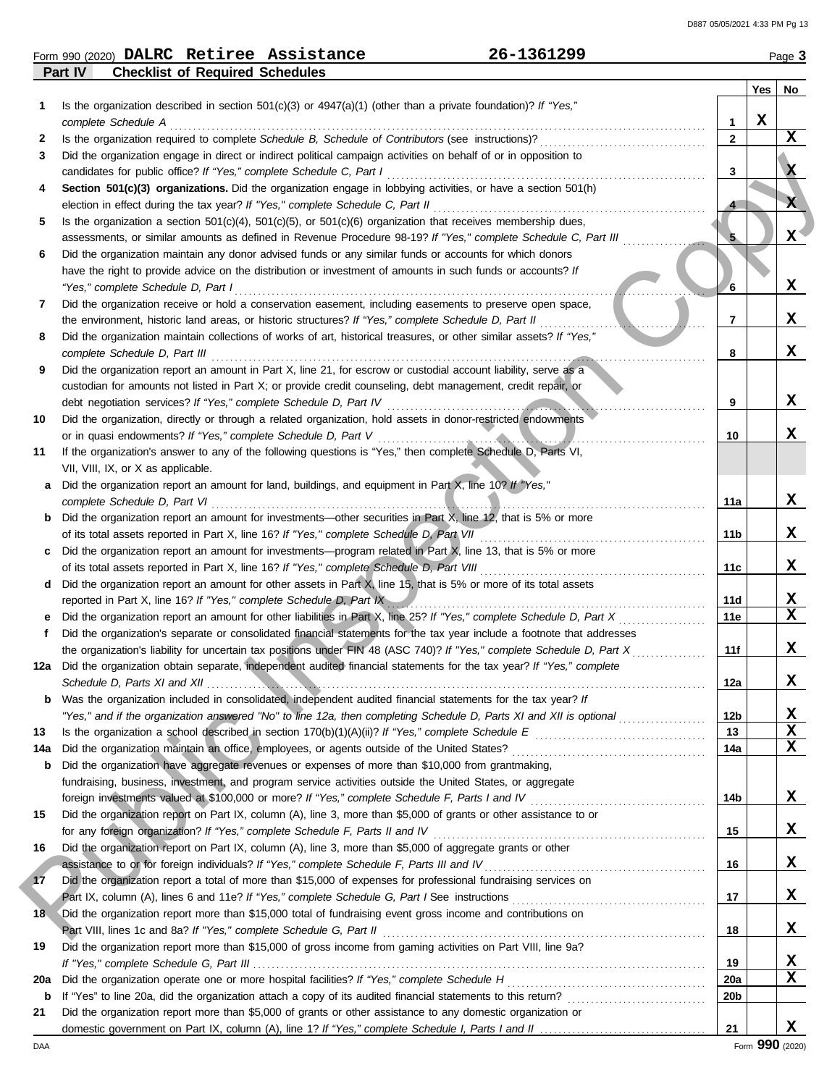|         |                                        | Form 990 (2020) DALRC Retiree Assistance | 26-1361299 | Page <b>3</b> |
|---------|----------------------------------------|------------------------------------------|------------|---------------|
| Part IV | <b>Checklist of Required Schedules</b> |                                          |            |               |

|     |                                                                                                                         |                                | Yes | No                      |
|-----|-------------------------------------------------------------------------------------------------------------------------|--------------------------------|-----|-------------------------|
| 1   | Is the organization described in section $501(c)(3)$ or $4947(a)(1)$ (other than a private foundation)? If "Yes,"       |                                |     |                         |
|     | complete Schedule A                                                                                                     | $\mathbf{1}$<br>$\overline{2}$ | X   | $\mathbf x$             |
| 2   | Is the organization required to complete Schedule B, Schedule of Contributors (see instructions)?                       |                                |     |                         |
| 3   | Did the organization engage in direct or indirect political campaign activities on behalf of or in opposition to        |                                |     |                         |
|     | candidates for public office? If "Yes," complete Schedule C, Part I                                                     | 3                              |     | $\mathbf{x}$            |
| 4   | Section 501(c)(3) organizations. Did the organization engage in lobbying activities, or have a section 501(h)           |                                |     |                         |
|     | election in effect during the tax year? If "Yes," complete Schedule C, Part II                                          | $\overline{A}$                 |     | $\mathbf{x}$            |
| 5   | Is the organization a section $501(c)(4)$ , $501(c)(5)$ , or $501(c)(6)$ organization that receives membership dues,    |                                |     |                         |
|     | assessments, or similar amounts as defined in Revenue Procedure 98-19? If "Yes," complete Schedule C, Part III          | 5 <sub>5</sub>                 |     | $\mathbf{X}$            |
| 6   | Did the organization maintain any donor advised funds or any similar funds or accounts for which donors                 |                                |     |                         |
|     | have the right to provide advice on the distribution or investment of amounts in such funds or accounts? If             |                                |     |                         |
|     | "Yes," complete Schedule D, Part I                                                                                      | 6                              |     | X                       |
| 7   | Did the organization receive or hold a conservation easement, including easements to preserve open space,               |                                |     |                         |
|     | the environment, historic land areas, or historic structures? If "Yes," complete Schedule D, Part II                    | 7                              |     | X                       |
| 8   | Did the organization maintain collections of works of art, historical treasures, or other similar assets? If "Yes,"     |                                |     |                         |
|     | complete Schedule D, Part III                                                                                           | 8                              |     | X                       |
| 9   | Did the organization report an amount in Part X, line 21, for escrow or custodial account liability, serve as a         |                                |     |                         |
|     | custodian for amounts not listed in Part X; or provide credit counseling, debt management, credit repair, or            |                                |     |                         |
|     |                                                                                                                         | 9                              |     | X                       |
| 10  | Did the organization, directly or through a related organization, hold assets in donor-restricted endowments            |                                |     |                         |
|     | or in quasi endowments? If "Yes," complete Schedule D, Part V                                                           | 10                             |     | x                       |
| 11  | If the organization's answer to any of the following questions is "Yes," then complete Schedule D, Parts VI,            |                                |     |                         |
|     | VII, VIII, IX, or X as applicable.                                                                                      |                                |     |                         |
| a   | Did the organization report an amount for land, buildings, and equipment in Part X, line 10? If "Yes,"                  |                                |     |                         |
|     | complete Schedule D, Part VI                                                                                            | 11a                            |     | X                       |
| b   | Did the organization report an amount for investments—other securities in Part X, line 12, that is 5% or more           |                                |     |                         |
|     | of its total assets reported in Part X, line 16? If "Yes," complete Schedule D, Part VII                                | 11b                            |     | x                       |
| c   | Did the organization report an amount for investments—program related in Part X, line 13, that is 5% or more            |                                |     |                         |
|     | of its total assets reported in Part X, line 16? If "Yes," complete Schedule D, Part VIII                               | 11c                            |     | x                       |
| d   | Did the organization report an amount for other assets in Part X, line 15, that is 5% or more of its total assets       |                                |     |                         |
|     | reported in Part X, line 16? If "Yes," complete Schedule D, Part IX                                                     | 11d                            |     | $\mathbf{x}$            |
|     | Did the organization report an amount for other liabilities in Part X, line 25? If "Yes," complete Schedule D, Part X   | 11e                            |     | $\overline{\mathbf{x}}$ |
| f   | Did the organization's separate or consolidated financial statements for the tax year include a footnote that addresses |                                |     |                         |
|     | the organization's liability for uncertain tax positions under FIN 48 (ASC 740)? If "Yes," complete Schedule D, Part X  | 11f                            |     | X                       |
| 12a | Did the organization obtain separate, independent audited financial statements for the tax year? If "Yes," complete     |                                |     |                         |
|     |                                                                                                                         | 12a                            |     | X                       |
|     | Was the organization included in consolidated, independent audited financial statements for the tax year? If            |                                |     |                         |
|     | "Yes," and if the organization answered "No" to line 12a, then completing Schedule D, Parts XI and XII is optional      | 12b                            |     | $\mathbf x$             |
| 13  |                                                                                                                         | 13                             |     | $\mathbf x$             |
| 14a |                                                                                                                         | 14a                            |     | $\mathbf{x}$            |
| b   | Did the organization have aggregate revenues or expenses of more than \$10,000 from grantmaking,                        |                                |     |                         |
|     | fundraising, business, investment, and program service activities outside the United States, or aggregate               |                                |     |                         |
|     |                                                                                                                         | 14b                            |     | x                       |
| 15  | Did the organization report on Part IX, column (A), line 3, more than \$5,000 of grants or other assistance to or       |                                |     |                         |
|     | for any foreign organization? If "Yes," complete Schedule F, Parts II and IV                                            | 15                             |     | X                       |
| 16  | Did the organization report on Part IX, column (A), line 3, more than \$5,000 of aggregate grants or other              |                                |     |                         |
|     |                                                                                                                         | 16                             |     | X                       |
| 17  | Did the organization report a total of more than \$15,000 of expenses for professional fundraising services on          |                                |     |                         |
|     |                                                                                                                         | 17                             |     | X                       |
|     |                                                                                                                         |                                |     |                         |
| 18. | Did the organization report more than \$15,000 total of fundraising event gross income and contributions on             |                                |     | X                       |
|     | Part VIII, lines 1c and 8a? If "Yes," complete Schedule G, Part II                                                      | 18                             |     |                         |
| 19  | Did the organization report more than \$15,000 of gross income from gaming activities on Part VIII, line 9a?            |                                |     |                         |
|     |                                                                                                                         | 19                             |     | <u>x</u>                |
| 20a | Did the organization operate one or more hospital facilities? If "Yes," complete Schedule H                             | <b>20a</b>                     |     | $\mathbf x$             |
| b   |                                                                                                                         | 20 <sub>b</sub>                |     |                         |
| 21  | Did the organization report more than \$5,000 of grants or other assistance to any domestic organization or             |                                |     |                         |
|     |                                                                                                                         | 21                             |     | X                       |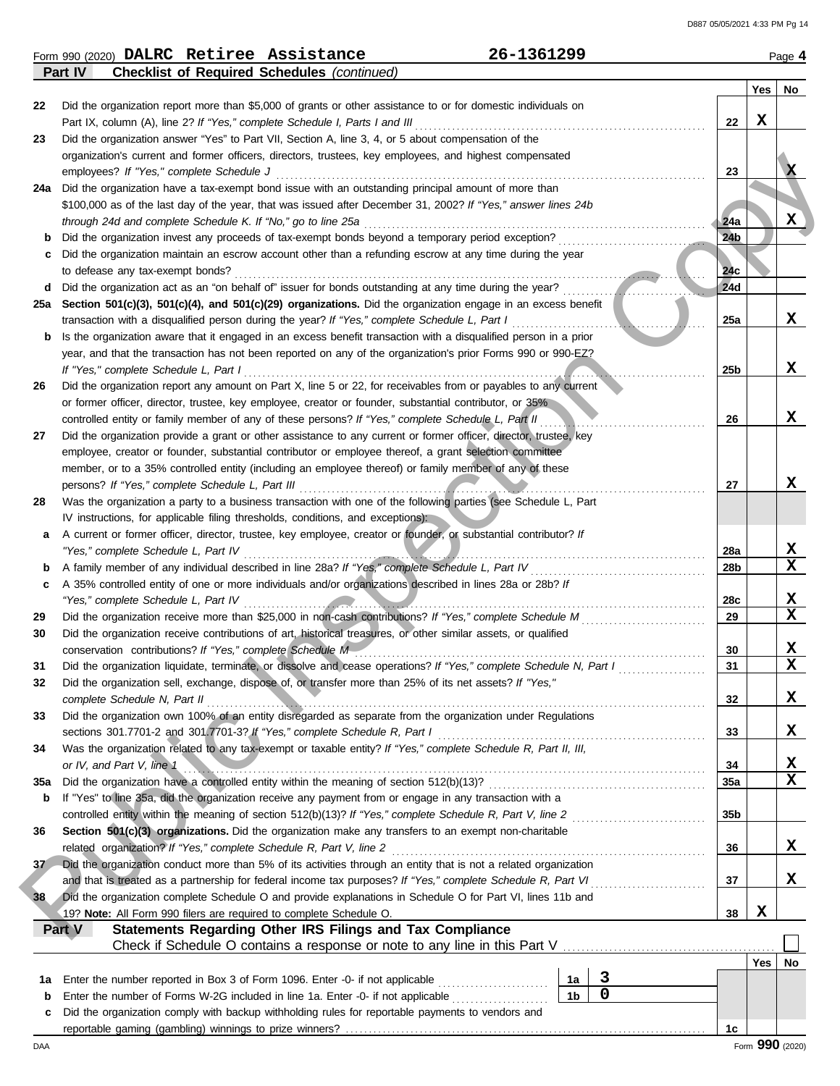|     | 26-1361299<br>Form 990 (2020) DALRC Retiree Assistance                                                                   |                 |            | Page 4                  |
|-----|--------------------------------------------------------------------------------------------------------------------------|-----------------|------------|-------------------------|
|     | <b>Checklist of Required Schedules (continued)</b><br>Part IV                                                            |                 | Yes        | No                      |
| 22  | Did the organization report more than \$5,000 of grants or other assistance to or for domestic individuals on            |                 |            |                         |
|     | Part IX, column (A), line 2? If "Yes," complete Schedule I, Parts I and III                                              | 22              | x          |                         |
|     | Did the organization answer "Yes" to Part VII, Section A, line 3, 4, or 5 about compensation of the                      |                 |            |                         |
|     | organization's current and former officers, directors, trustees, key employees, and highest compensated                  |                 |            |                         |
|     | employees? If "Yes," complete Schedule J                                                                                 | 23              |            | $\mathbf x$             |
| 24a | Did the organization have a tax-exempt bond issue with an outstanding principal amount of more than                      |                 |            |                         |
|     | \$100,000 as of the last day of the year, that was issued after December 31, 2002? If "Yes," answer lines 24b            |                 |            |                         |
|     | through 24d and complete Schedule K. If "No," go to line 25a                                                             | 24a             |            | X                       |
| b   | Did the organization invest any proceeds of tax-exempt bonds beyond a temporary period exception?                        | 24 <sub>b</sub> |            |                         |
| c   | Did the organization maintain an escrow account other than a refunding escrow at any time during the year                |                 |            |                         |
|     | to defease any tax-exempt bonds?                                                                                         | 24c             |            |                         |
| d   | Did the organization act as an "on behalf of" issuer for bonds outstanding at any time during the year?                  | 24d             |            |                         |
|     | 25a Section 501(c)(3), 501(c)(4), and 501(c)(29) organizations. Did the organization engage in an excess benefit         |                 |            |                         |
|     | transaction with a disqualified person during the year? If "Yes," complete Schedule L, Part I                            | 25a             |            | X                       |
| b   | Is the organization aware that it engaged in an excess benefit transaction with a disqualified person in a prior         |                 |            |                         |
|     | year, and that the transaction has not been reported on any of the organization's prior Forms 990 or 990-EZ?             |                 |            |                         |
|     | If "Yes," complete Schedule L, Part I                                                                                    | 25b             |            | X                       |
|     | Did the organization report any amount on Part X, line 5 or 22, for receivables from or payables to any current          |                 |            |                         |
| 26  |                                                                                                                          |                 |            |                         |
|     | or former officer, director, trustee, key employee, creator or founder, substantial contributor, or 35%                  |                 |            | X                       |
|     | controlled entity or family member of any of these persons? If "Yes," complete Schedule L, Part II                       | 26              |            |                         |
| 27  | Did the organization provide a grant or other assistance to any current or former officer, director, trustee, key        |                 |            |                         |
|     | employee, creator or founder, substantial contributor or employee thereof, a grant selection committee                   |                 |            |                         |
|     | member, or to a 35% controlled entity (including an employee thereof) or family member of any of these                   |                 |            |                         |
|     | persons? If "Yes," complete Schedule L, Part III                                                                         | 27              |            | х                       |
| 28  | Was the organization a party to a business transaction with one of the following parties (see Schedule L, Part           |                 |            |                         |
|     | IV instructions, for applicable filing thresholds, conditions, and exceptions).                                          |                 |            |                         |
| a   | A current or former officer, director, trustee, key employee, creator or founder, or substantial contributor? If         |                 |            |                         |
|     | "Yes," complete Schedule L, Part IV                                                                                      | 28a             |            | $\mathbf{x}$            |
| b   | A family member of any individual described in line 28a? If "Yes," complete Schedule L, Part IV                          | 28b             |            | $\overline{\mathbf{x}}$ |
| c   | A 35% controlled entity of one or more individuals and/or organizations described in lines 28a or 28b? If                |                 |            |                         |
|     | "Yes," complete Schedule L, Part IV                                                                                      | 28c             |            | X                       |
| 29  | Did the organization receive more than \$25,000 in non-cash contributions? If "Yes," complete Schedule M                 | 29              |            | $\mathbf x$             |
| 30  | Did the organization receive contributions of art, historical treasures, or other similar assets, or qualified           |                 |            |                         |
|     | conservation contributions? If "Yes," complete Schedule M                                                                | 30              |            | $\mathbf{x}$            |
| 31  | Did the organization liquidate, terminate, or dissolve and cease operations? If "Yes," complete Schedule N, Part I       | 31              |            | $\overline{\mathbf{x}}$ |
| 32  | Did the organization sell, exchange, dispose of, or transfer more than 25% of its net assets? If "Yes,"                  |                 |            |                         |
|     | complete Schedule N, Part II                                                                                             | 32              |            | X                       |
| 33  | Did the organization own 100% of an entity disregarded as separate from the organization under Regulations               |                 |            |                         |
|     | sections 301.7701-2 and 301.7701-3? If "Yes," complete Schedule R, Part I                                                | 33              |            | X                       |
| 34  | Was the organization related to any tax-exempt or taxable entity? If "Yes," complete Schedule R, Part II, III,           |                 |            |                         |
|     | or IV, and Part V, line 1                                                                                                | 34              |            | <u>x</u>                |
| 35a | Did the organization have a controlled entity within the meaning of section 512(b)(13)?                                  | 35a             |            | $\overline{\mathbf{x}}$ |
| b   | If "Yes" to line 35a, did the organization receive any payment from or engage in any transaction with a                  |                 |            |                         |
|     | controlled entity within the meaning of section 512(b)(13)? If "Yes," complete Schedule R, Part V, line 2                | 35 <sub>b</sub> |            |                         |
| 36  | Section 501(c)(3) organizations. Did the organization make any transfers to an exempt non-charitable                     |                 |            |                         |
|     | related organization? If "Yes," complete Schedule R, Part V, line 2                                                      | 36              |            | X                       |
| 37  | Did the organization conduct more than 5% of its activities through an entity that is not a related organization         |                 |            |                         |
|     | and that is treated as a partnership for federal income tax purposes? If "Yes," complete Schedule R, Part VI             | 37              |            | X                       |
| 38  | Did the organization complete Schedule O and provide explanations in Schedule O for Part VI, lines 11b and               |                 |            |                         |
|     | 19? Note: All Form 990 filers are required to complete Schedule O.                                                       | 38              | X          |                         |
|     | Statements Regarding Other IRS Filings and Tax Compliance<br>Part V                                                      |                 |            |                         |
|     | Check if Schedule O contains a response or note to any line in this Part V                                               |                 |            |                         |
|     |                                                                                                                          |                 | <b>Yes</b> | No                      |
|     | $\mathbf{3}$                                                                                                             |                 |            |                         |
| 1a  | Enter the number reported in Box 3 of Form 1096. Enter -0- if not applicable<br>1а<br>.<br>$\mathbf 0$<br>1 <sub>b</sub> |                 |            |                         |
| b   | Enter the number of Forms W-2G included in line 1a. Enter -0- if not applicable                                          |                 |            |                         |
| c   | Did the organization comply with backup withholding rules for reportable payments to vendors and                         |                 |            |                         |
|     |                                                                                                                          | 1c              |            |                         |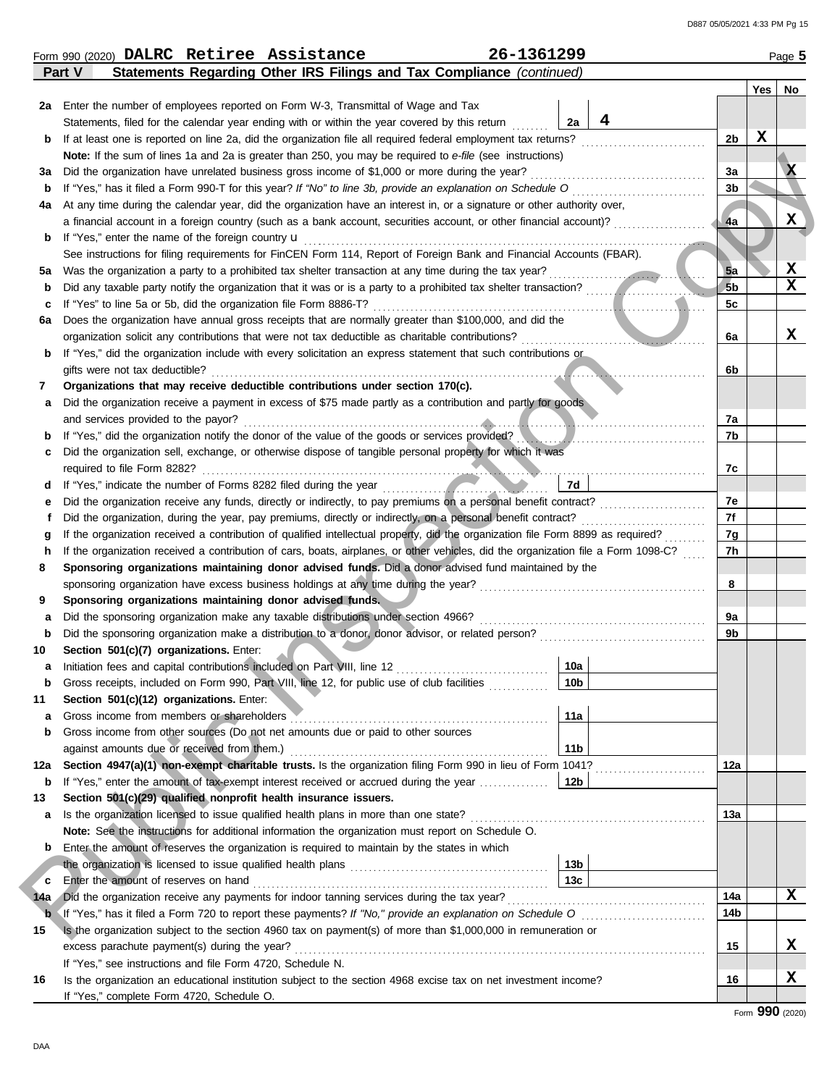|             | Form 990 (2020) DALRC Retiree Assistance                                                                                           | 26-1361299      |                |     | Page 5       |
|-------------|------------------------------------------------------------------------------------------------------------------------------------|-----------------|----------------|-----|--------------|
|             | Statements Regarding Other IRS Filings and Tax Compliance (continued)<br>Part V                                                    |                 |                | Yes | No           |
| 2a          | Enter the number of employees reported on Form W-3, Transmittal of Wage and Tax                                                    |                 |                |     |              |
|             | Statements, filed for the calendar year ending with or within the year covered by this return                                      | 4<br>2a         |                |     |              |
| b           | If at least one is reported on line 2a, did the organization file all required federal employment tax returns?                     |                 | 2b             | X   |              |
|             | <b>Note:</b> If the sum of lines 1a and 2a is greater than 250, you may be required to e-file (see instructions)                   |                 |                |     |              |
| За          | Did the organization have unrelated business gross income of \$1,000 or more during the year?                                      |                 | За             |     | $\mathbf{x}$ |
| b           | If "Yes," has it filed a Form 990-T for this year? If "No" to line 3b, provide an explanation on Schedule O                        |                 | 3 <sub>b</sub> |     |              |
| 4a          | At any time during the calendar year, did the organization have an interest in, or a signature or other authority over,            |                 |                |     |              |
|             | a financial account in a foreign country (such as a bank account, securities account, or other financial account)?                 |                 | 4a             |     | X            |
| b           | If "Yes," enter the name of the foreign country <b>u</b>                                                                           |                 |                |     |              |
|             | See instructions for filing requirements for FinCEN Form 114, Report of Foreign Bank and Financial Accounts (FBAR).                |                 |                |     |              |
| 5a          | Was the organization a party to a prohibited tax shelter transaction at any time during the tax year?                              | . <b>.</b>      | 5a             |     | X            |
| b           | Did any taxable party notify the organization that it was or is a party to a prohibited tax shelter transaction?                   |                 | 5 <sub>b</sub> |     | $\mathbf x$  |
| c           | "Yes" to line 5a or 5b, did the organization file Form 8886-T?                                                                     |                 | 5с             |     |              |
| 6а          | Does the organization have annual gross receipts that are normally greater than \$100,000, and did the                             |                 |                |     |              |
|             | organization solicit any contributions that were not tax deductible as charitable contributions?                                   |                 | 6а             |     | x            |
| b           | If "Yes," did the organization include with every solicitation an express statement that such contributions or                     |                 |                |     |              |
|             | gifts were not tax deductible?                                                                                                     |                 | 6b             |     |              |
|             | Organizations that may receive deductible contributions under section 170(c).                                                      |                 |                |     |              |
| а           | Did the organization receive a payment in excess of \$75 made partly as a contribution and partly for goods                        |                 |                |     |              |
|             | and services provided to the payor?                                                                                                |                 | 7a             |     |              |
| b           | If "Yes," did the organization notify the donor of the value of the goods or services provided?                                    |                 | 7b             |     |              |
| c           | Did the organization sell, exchange, or otherwise dispose of tangible personal property for which it was                           |                 |                |     |              |
|             |                                                                                                                                    |                 | 7c             |     |              |
| d           |                                                                                                                                    | 7d              |                |     |              |
| е           | Did the organization receive any funds, directly or indirectly, to pay premiums on a personal benefit contract?                    |                 | 7е             |     |              |
|             | Did the organization, during the year, pay premiums, directly or indirectly, on a personal benefit contract?                       |                 | 7f             |     |              |
| g           | If the organization received a contribution of qualified intellectual property, did the organization file Form 8899 as required?   |                 | 7g             |     |              |
| h           | If the organization received a contribution of cars, boats, airplanes, or other vehicles, did the organization file a Form 1098-C? |                 | 7h             |     |              |
|             | Sponsoring organizations maintaining donor advised funds. Did a donor advised fund maintained by the                               |                 |                |     |              |
|             | sponsoring organization have excess business holdings at any time during the year?                                                 |                 | 8              |     |              |
|             | Sponsoring organizations maintaining donor advised funds.                                                                          |                 |                |     |              |
| а           | Did the sponsoring organization make any taxable distributions under section 4966?                                                 |                 | 9а             |     |              |
| b           | Did the sponsoring organization make a distribution to a donor, donor advisor, or related person?                                  |                 | 9b             |     |              |
|             | Section 501(c)(7) organizations. Enter:                                                                                            |                 |                |     |              |
| а           | Initiation fees and capital contributions included on Part VIII, line 12                                                           | 10a             |                |     |              |
| b           | Gross receipts, included on Form 990, Part VIII, line 12, for public use of club facilities                                        | 10 <sub>b</sub> |                |     |              |
|             | Section 501(c)(12) organizations. Enter:                                                                                           |                 |                |     |              |
| a           | Gross income from members or shareholders                                                                                          | 11a             |                |     |              |
| b           | Gross income from other sources (Do not net amounts due or paid to other sources                                                   |                 |                |     |              |
|             | against amounts due or received from them.)                                                                                        | 11 <sub>b</sub> |                |     |              |
| 12a         | Section 4947(a)(1) non-exempt charitable trusts. Is the organization filing Form 990 in lieu of Form 1041?                         |                 | 12a            |     |              |
| b           | If "Yes," enter the amount of tax-exempt interest received or accrued during the year                                              | 12b             |                |     |              |
|             | Section 501(c)(29) qualified nonprofit health insurance issuers.                                                                   |                 |                |     |              |
| а           | Is the organization licensed to issue qualified health plans in more than one state?                                               |                 | 13а            |     |              |
|             | Note: See the instructions for additional information the organization must report on Schedule O.                                  |                 |                |     |              |
| b           | Enter the amount of reserves the organization is required to maintain by the states in which                                       |                 |                |     |              |
|             |                                                                                                                                    | 13b             |                |     |              |
| c           | Enter the amount of reserves on hand                                                                                               | 13 <sub>c</sub> |                |     |              |
| 14a         | Did the organization receive any payments for indoor tanning services during the tax year?                                         |                 | 14a            |     | X            |
| $\mathbf b$ |                                                                                                                                    |                 | 14b            |     |              |
|             | Is the organization subject to the section 4960 tax on payment(s) of more than \$1,000,000 in remuneration or                      |                 |                |     |              |
|             | excess parachute payment(s) during the year?                                                                                       |                 | 15             |     | X            |
|             | If "Yes," see instructions and file Form 4720, Schedule N.                                                                         |                 |                |     |              |
|             | Is the organization an educational institution subject to the section 4968 excise tax on net investment income?                    |                 | 16             |     | $\mathbf x$  |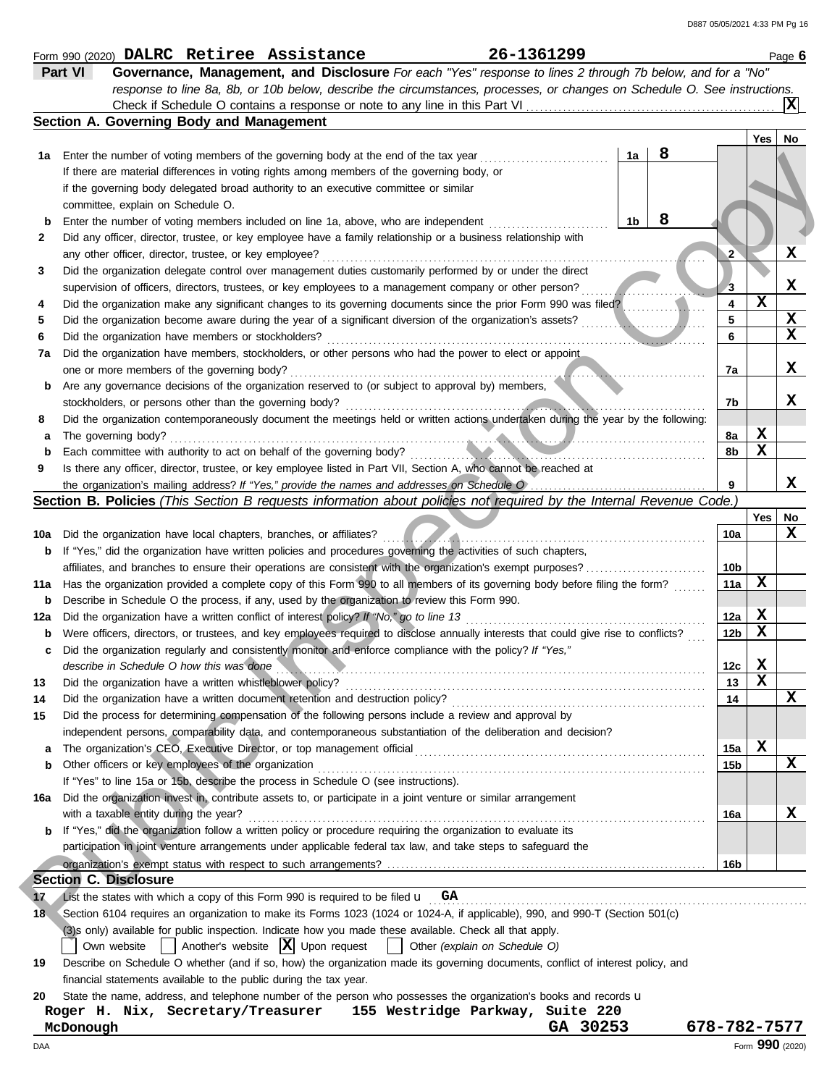| Governance, Management, and Disclosure For each "Yes" response to lines 2 through 7b below, and for a "No"<br>response to line 8a, 8b, or 10b below, describe the circumstances, processes, or changes on Schedule O. See instructions.<br>8<br>1a<br>Enter the number of voting members of the governing body at the end of the tax year<br>If there are material differences in voting rights among members of the governing body, or<br>if the governing body delegated broad authority to an executive committee or similar<br>8<br>1b<br>Enter the number of voting members included on line 1a, above, who are independent<br>Did any officer, director, trustee, or key employee have a family relationship or a business relationship with<br>2<br>Did the organization delegate control over management duties customarily performed by or under the direct<br>supervision of officers, directors, trustees, or key employees to a management company or other person?<br>3<br>4<br>Did the organization make any significant changes to its governing documents since the prior Form 990 was filed?<br>5<br>Did the organization become aware during the year of a significant diversion of the organization's assets?<br>6<br>Did the organization have members, stockholders, or other persons who had the power to elect or appoint<br>7a<br>Are any governance decisions of the organization reserved to (or subject to approval by) members,<br>7b<br>Did the organization contemporaneously document the meetings held or written actions underfaken during the year by the following:<br>8а<br>Each committee with authority to act on behalf of the governing body?<br>8b<br>Is there any officer, director, trustee, or key employee listed in Part VII, Section A, who cannot be reached at<br>9<br>Section B. Policies (This Section B requests information about policies not required by the Internal Revenue Code.)<br>Did the organization have local chapters, branches, or affiliates?<br>10a<br>If "Yes," did the organization have written policies and procedures governing the activities of such chapters,<br>affiliates, and branches to ensure their operations are consistent with the organization's exempt purposes?<br>10 <sub>b</sub><br>11a<br>Has the organization provided a complete copy of this Form 990 to all members of its governing body before filing the form?<br>Describe in Schedule O the process, if any, used by the organization to review this Form 990. | Yes<br>$\mathbf x$<br>X<br>$\mathbf x$<br>Yes<br>$\mathbf x$                                                  | ΙXΙ<br>No<br>X<br>х<br>x<br>x                                                                                                                                                                                                                     |
|---------------------------------------------------------------------------------------------------------------------------------------------------------------------------------------------------------------------------------------------------------------------------------------------------------------------------------------------------------------------------------------------------------------------------------------------------------------------------------------------------------------------------------------------------------------------------------------------------------------------------------------------------------------------------------------------------------------------------------------------------------------------------------------------------------------------------------------------------------------------------------------------------------------------------------------------------------------------------------------------------------------------------------------------------------------------------------------------------------------------------------------------------------------------------------------------------------------------------------------------------------------------------------------------------------------------------------------------------------------------------------------------------------------------------------------------------------------------------------------------------------------------------------------------------------------------------------------------------------------------------------------------------------------------------------------------------------------------------------------------------------------------------------------------------------------------------------------------------------------------------------------------------------------------------------------------------------------------------------------------------------------------------------------------------------------------------------------------------------------------------------------------------------------------------------------------------------------------------------------------------------------------------------------------------------------------------------------------------------------------------------------------------------------------------------------------------------------------------------------------------------------------|---------------------------------------------------------------------------------------------------------------|---------------------------------------------------------------------------------------------------------------------------------------------------------------------------------------------------------------------------------------------------|
|                                                                                                                                                                                                                                                                                                                                                                                                                                                                                                                                                                                                                                                                                                                                                                                                                                                                                                                                                                                                                                                                                                                                                                                                                                                                                                                                                                                                                                                                                                                                                                                                                                                                                                                                                                                                                                                                                                                                                                                                                                                                                                                                                                                                                                                                                                                                                                                                                                                                                                                     |                                                                                                               | X<br>$\mathbf{x}$<br>$\overline{\mathbf{x}}$<br>x<br>No                                                                                                                                                                                           |
|                                                                                                                                                                                                                                                                                                                                                                                                                                                                                                                                                                                                                                                                                                                                                                                                                                                                                                                                                                                                                                                                                                                                                                                                                                                                                                                                                                                                                                                                                                                                                                                                                                                                                                                                                                                                                                                                                                                                                                                                                                                                                                                                                                                                                                                                                                                                                                                                                                                                                                                     |                                                                                                               |                                                                                                                                                                                                                                                   |
|                                                                                                                                                                                                                                                                                                                                                                                                                                                                                                                                                                                                                                                                                                                                                                                                                                                                                                                                                                                                                                                                                                                                                                                                                                                                                                                                                                                                                                                                                                                                                                                                                                                                                                                                                                                                                                                                                                                                                                                                                                                                                                                                                                                                                                                                                                                                                                                                                                                                                                                     |                                                                                                               |                                                                                                                                                                                                                                                   |
|                                                                                                                                                                                                                                                                                                                                                                                                                                                                                                                                                                                                                                                                                                                                                                                                                                                                                                                                                                                                                                                                                                                                                                                                                                                                                                                                                                                                                                                                                                                                                                                                                                                                                                                                                                                                                                                                                                                                                                                                                                                                                                                                                                                                                                                                                                                                                                                                                                                                                                                     |                                                                                                               |                                                                                                                                                                                                                                                   |
|                                                                                                                                                                                                                                                                                                                                                                                                                                                                                                                                                                                                                                                                                                                                                                                                                                                                                                                                                                                                                                                                                                                                                                                                                                                                                                                                                                                                                                                                                                                                                                                                                                                                                                                                                                                                                                                                                                                                                                                                                                                                                                                                                                                                                                                                                                                                                                                                                                                                                                                     |                                                                                                               |                                                                                                                                                                                                                                                   |
|                                                                                                                                                                                                                                                                                                                                                                                                                                                                                                                                                                                                                                                                                                                                                                                                                                                                                                                                                                                                                                                                                                                                                                                                                                                                                                                                                                                                                                                                                                                                                                                                                                                                                                                                                                                                                                                                                                                                                                                                                                                                                                                                                                                                                                                                                                                                                                                                                                                                                                                     |                                                                                                               |                                                                                                                                                                                                                                                   |
|                                                                                                                                                                                                                                                                                                                                                                                                                                                                                                                                                                                                                                                                                                                                                                                                                                                                                                                                                                                                                                                                                                                                                                                                                                                                                                                                                                                                                                                                                                                                                                                                                                                                                                                                                                                                                                                                                                                                                                                                                                                                                                                                                                                                                                                                                                                                                                                                                                                                                                                     |                                                                                                               |                                                                                                                                                                                                                                                   |
|                                                                                                                                                                                                                                                                                                                                                                                                                                                                                                                                                                                                                                                                                                                                                                                                                                                                                                                                                                                                                                                                                                                                                                                                                                                                                                                                                                                                                                                                                                                                                                                                                                                                                                                                                                                                                                                                                                                                                                                                                                                                                                                                                                                                                                                                                                                                                                                                                                                                                                                     |                                                                                                               |                                                                                                                                                                                                                                                   |
|                                                                                                                                                                                                                                                                                                                                                                                                                                                                                                                                                                                                                                                                                                                                                                                                                                                                                                                                                                                                                                                                                                                                                                                                                                                                                                                                                                                                                                                                                                                                                                                                                                                                                                                                                                                                                                                                                                                                                                                                                                                                                                                                                                                                                                                                                                                                                                                                                                                                                                                     |                                                                                                               |                                                                                                                                                                                                                                                   |
|                                                                                                                                                                                                                                                                                                                                                                                                                                                                                                                                                                                                                                                                                                                                                                                                                                                                                                                                                                                                                                                                                                                                                                                                                                                                                                                                                                                                                                                                                                                                                                                                                                                                                                                                                                                                                                                                                                                                                                                                                                                                                                                                                                                                                                                                                                                                                                                                                                                                                                                     |                                                                                                               |                                                                                                                                                                                                                                                   |
|                                                                                                                                                                                                                                                                                                                                                                                                                                                                                                                                                                                                                                                                                                                                                                                                                                                                                                                                                                                                                                                                                                                                                                                                                                                                                                                                                                                                                                                                                                                                                                                                                                                                                                                                                                                                                                                                                                                                                                                                                                                                                                                                                                                                                                                                                                                                                                                                                                                                                                                     |                                                                                                               |                                                                                                                                                                                                                                                   |
|                                                                                                                                                                                                                                                                                                                                                                                                                                                                                                                                                                                                                                                                                                                                                                                                                                                                                                                                                                                                                                                                                                                                                                                                                                                                                                                                                                                                                                                                                                                                                                                                                                                                                                                                                                                                                                                                                                                                                                                                                                                                                                                                                                                                                                                                                                                                                                                                                                                                                                                     |                                                                                                               |                                                                                                                                                                                                                                                   |
|                                                                                                                                                                                                                                                                                                                                                                                                                                                                                                                                                                                                                                                                                                                                                                                                                                                                                                                                                                                                                                                                                                                                                                                                                                                                                                                                                                                                                                                                                                                                                                                                                                                                                                                                                                                                                                                                                                                                                                                                                                                                                                                                                                                                                                                                                                                                                                                                                                                                                                                     |                                                                                                               |                                                                                                                                                                                                                                                   |
|                                                                                                                                                                                                                                                                                                                                                                                                                                                                                                                                                                                                                                                                                                                                                                                                                                                                                                                                                                                                                                                                                                                                                                                                                                                                                                                                                                                                                                                                                                                                                                                                                                                                                                                                                                                                                                                                                                                                                                                                                                                                                                                                                                                                                                                                                                                                                                                                                                                                                                                     |                                                                                                               |                                                                                                                                                                                                                                                   |
|                                                                                                                                                                                                                                                                                                                                                                                                                                                                                                                                                                                                                                                                                                                                                                                                                                                                                                                                                                                                                                                                                                                                                                                                                                                                                                                                                                                                                                                                                                                                                                                                                                                                                                                                                                                                                                                                                                                                                                                                                                                                                                                                                                                                                                                                                                                                                                                                                                                                                                                     |                                                                                                               |                                                                                                                                                                                                                                                   |
|                                                                                                                                                                                                                                                                                                                                                                                                                                                                                                                                                                                                                                                                                                                                                                                                                                                                                                                                                                                                                                                                                                                                                                                                                                                                                                                                                                                                                                                                                                                                                                                                                                                                                                                                                                                                                                                                                                                                                                                                                                                                                                                                                                                                                                                                                                                                                                                                                                                                                                                     |                                                                                                               |                                                                                                                                                                                                                                                   |
|                                                                                                                                                                                                                                                                                                                                                                                                                                                                                                                                                                                                                                                                                                                                                                                                                                                                                                                                                                                                                                                                                                                                                                                                                                                                                                                                                                                                                                                                                                                                                                                                                                                                                                                                                                                                                                                                                                                                                                                                                                                                                                                                                                                                                                                                                                                                                                                                                                                                                                                     |                                                                                                               |                                                                                                                                                                                                                                                   |
|                                                                                                                                                                                                                                                                                                                                                                                                                                                                                                                                                                                                                                                                                                                                                                                                                                                                                                                                                                                                                                                                                                                                                                                                                                                                                                                                                                                                                                                                                                                                                                                                                                                                                                                                                                                                                                                                                                                                                                                                                                                                                                                                                                                                                                                                                                                                                                                                                                                                                                                     |                                                                                                               |                                                                                                                                                                                                                                                   |
|                                                                                                                                                                                                                                                                                                                                                                                                                                                                                                                                                                                                                                                                                                                                                                                                                                                                                                                                                                                                                                                                                                                                                                                                                                                                                                                                                                                                                                                                                                                                                                                                                                                                                                                                                                                                                                                                                                                                                                                                                                                                                                                                                                                                                                                                                                                                                                                                                                                                                                                     |                                                                                                               |                                                                                                                                                                                                                                                   |
|                                                                                                                                                                                                                                                                                                                                                                                                                                                                                                                                                                                                                                                                                                                                                                                                                                                                                                                                                                                                                                                                                                                                                                                                                                                                                                                                                                                                                                                                                                                                                                                                                                                                                                                                                                                                                                                                                                                                                                                                                                                                                                                                                                                                                                                                                                                                                                                                                                                                                                                     |                                                                                                               |                                                                                                                                                                                                                                                   |
|                                                                                                                                                                                                                                                                                                                                                                                                                                                                                                                                                                                                                                                                                                                                                                                                                                                                                                                                                                                                                                                                                                                                                                                                                                                                                                                                                                                                                                                                                                                                                                                                                                                                                                                                                                                                                                                                                                                                                                                                                                                                                                                                                                                                                                                                                                                                                                                                                                                                                                                     |                                                                                                               |                                                                                                                                                                                                                                                   |
|                                                                                                                                                                                                                                                                                                                                                                                                                                                                                                                                                                                                                                                                                                                                                                                                                                                                                                                                                                                                                                                                                                                                                                                                                                                                                                                                                                                                                                                                                                                                                                                                                                                                                                                                                                                                                                                                                                                                                                                                                                                                                                                                                                                                                                                                                                                                                                                                                                                                                                                     |                                                                                                               |                                                                                                                                                                                                                                                   |
|                                                                                                                                                                                                                                                                                                                                                                                                                                                                                                                                                                                                                                                                                                                                                                                                                                                                                                                                                                                                                                                                                                                                                                                                                                                                                                                                                                                                                                                                                                                                                                                                                                                                                                                                                                                                                                                                                                                                                                                                                                                                                                                                                                                                                                                                                                                                                                                                                                                                                                                     |                                                                                                               |                                                                                                                                                                                                                                                   |
|                                                                                                                                                                                                                                                                                                                                                                                                                                                                                                                                                                                                                                                                                                                                                                                                                                                                                                                                                                                                                                                                                                                                                                                                                                                                                                                                                                                                                                                                                                                                                                                                                                                                                                                                                                                                                                                                                                                                                                                                                                                                                                                                                                                                                                                                                                                                                                                                                                                                                                                     |                                                                                                               |                                                                                                                                                                                                                                                   |
|                                                                                                                                                                                                                                                                                                                                                                                                                                                                                                                                                                                                                                                                                                                                                                                                                                                                                                                                                                                                                                                                                                                                                                                                                                                                                                                                                                                                                                                                                                                                                                                                                                                                                                                                                                                                                                                                                                                                                                                                                                                                                                                                                                                                                                                                                                                                                                                                                                                                                                                     |                                                                                                               |                                                                                                                                                                                                                                                   |
|                                                                                                                                                                                                                                                                                                                                                                                                                                                                                                                                                                                                                                                                                                                                                                                                                                                                                                                                                                                                                                                                                                                                                                                                                                                                                                                                                                                                                                                                                                                                                                                                                                                                                                                                                                                                                                                                                                                                                                                                                                                                                                                                                                                                                                                                                                                                                                                                                                                                                                                     |                                                                                                               |                                                                                                                                                                                                                                                   |
|                                                                                                                                                                                                                                                                                                                                                                                                                                                                                                                                                                                                                                                                                                                                                                                                                                                                                                                                                                                                                                                                                                                                                                                                                                                                                                                                                                                                                                                                                                                                                                                                                                                                                                                                                                                                                                                                                                                                                                                                                                                                                                                                                                                                                                                                                                                                                                                                                                                                                                                     |                                                                                                               |                                                                                                                                                                                                                                                   |
|                                                                                                                                                                                                                                                                                                                                                                                                                                                                                                                                                                                                                                                                                                                                                                                                                                                                                                                                                                                                                                                                                                                                                                                                                                                                                                                                                                                                                                                                                                                                                                                                                                                                                                                                                                                                                                                                                                                                                                                                                                                                                                                                                                                                                                                                                                                                                                                                                                                                                                                     |                                                                                                               |                                                                                                                                                                                                                                                   |
|                                                                                                                                                                                                                                                                                                                                                                                                                                                                                                                                                                                                                                                                                                                                                                                                                                                                                                                                                                                                                                                                                                                                                                                                                                                                                                                                                                                                                                                                                                                                                                                                                                                                                                                                                                                                                                                                                                                                                                                                                                                                                                                                                                                                                                                                                                                                                                                                                                                                                                                     |                                                                                                               |                                                                                                                                                                                                                                                   |
|                                                                                                                                                                                                                                                                                                                                                                                                                                                                                                                                                                                                                                                                                                                                                                                                                                                                                                                                                                                                                                                                                                                                                                                                                                                                                                                                                                                                                                                                                                                                                                                                                                                                                                                                                                                                                                                                                                                                                                                                                                                                                                                                                                                                                                                                                                                                                                                                                                                                                                                     |                                                                                                               |                                                                                                                                                                                                                                                   |
|                                                                                                                                                                                                                                                                                                                                                                                                                                                                                                                                                                                                                                                                                                                                                                                                                                                                                                                                                                                                                                                                                                                                                                                                                                                                                                                                                                                                                                                                                                                                                                                                                                                                                                                                                                                                                                                                                                                                                                                                                                                                                                                                                                                                                                                                                                                                                                                                                                                                                                                     |                                                                                                               |                                                                                                                                                                                                                                                   |
|                                                                                                                                                                                                                                                                                                                                                                                                                                                                                                                                                                                                                                                                                                                                                                                                                                                                                                                                                                                                                                                                                                                                                                                                                                                                                                                                                                                                                                                                                                                                                                                                                                                                                                                                                                                                                                                                                                                                                                                                                                                                                                                                                                                                                                                                                                                                                                                                                                                                                                                     |                                                                                                               |                                                                                                                                                                                                                                                   |
|                                                                                                                                                                                                                                                                                                                                                                                                                                                                                                                                                                                                                                                                                                                                                                                                                                                                                                                                                                                                                                                                                                                                                                                                                                                                                                                                                                                                                                                                                                                                                                                                                                                                                                                                                                                                                                                                                                                                                                                                                                                                                                                                                                                                                                                                                                                                                                                                                                                                                                                     |                                                                                                               |                                                                                                                                                                                                                                                   |
| Did the organization have a written conflict of interest policy? If "No," go to line 13<br>12a                                                                                                                                                                                                                                                                                                                                                                                                                                                                                                                                                                                                                                                                                                                                                                                                                                                                                                                                                                                                                                                                                                                                                                                                                                                                                                                                                                                                                                                                                                                                                                                                                                                                                                                                                                                                                                                                                                                                                                                                                                                                                                                                                                                                                                                                                                                                                                                                                      | X                                                                                                             |                                                                                                                                                                                                                                                   |
| Were officers, directors, or trustees, and key employees required to disclose annually interests that could give rise to conflicts?<br>12b                                                                                                                                                                                                                                                                                                                                                                                                                                                                                                                                                                                                                                                                                                                                                                                                                                                                                                                                                                                                                                                                                                                                                                                                                                                                                                                                                                                                                                                                                                                                                                                                                                                                                                                                                                                                                                                                                                                                                                                                                                                                                                                                                                                                                                                                                                                                                                          | X                                                                                                             |                                                                                                                                                                                                                                                   |
| Did the organization regularly and consistently monitor and enforce compliance with the policy? If "Yes,"                                                                                                                                                                                                                                                                                                                                                                                                                                                                                                                                                                                                                                                                                                                                                                                                                                                                                                                                                                                                                                                                                                                                                                                                                                                                                                                                                                                                                                                                                                                                                                                                                                                                                                                                                                                                                                                                                                                                                                                                                                                                                                                                                                                                                                                                                                                                                                                                           |                                                                                                               |                                                                                                                                                                                                                                                   |
| 12c                                                                                                                                                                                                                                                                                                                                                                                                                                                                                                                                                                                                                                                                                                                                                                                                                                                                                                                                                                                                                                                                                                                                                                                                                                                                                                                                                                                                                                                                                                                                                                                                                                                                                                                                                                                                                                                                                                                                                                                                                                                                                                                                                                                                                                                                                                                                                                                                                                                                                                                 | $\mathbf x$                                                                                                   |                                                                                                                                                                                                                                                   |
| 13                                                                                                                                                                                                                                                                                                                                                                                                                                                                                                                                                                                                                                                                                                                                                                                                                                                                                                                                                                                                                                                                                                                                                                                                                                                                                                                                                                                                                                                                                                                                                                                                                                                                                                                                                                                                                                                                                                                                                                                                                                                                                                                                                                                                                                                                                                                                                                                                                                                                                                                  | $\mathbf x$                                                                                                   |                                                                                                                                                                                                                                                   |
| Did the organization have a written document retention and destruction policy?<br>14                                                                                                                                                                                                                                                                                                                                                                                                                                                                                                                                                                                                                                                                                                                                                                                                                                                                                                                                                                                                                                                                                                                                                                                                                                                                                                                                                                                                                                                                                                                                                                                                                                                                                                                                                                                                                                                                                                                                                                                                                                                                                                                                                                                                                                                                                                                                                                                                                                |                                                                                                               | x                                                                                                                                                                                                                                                 |
| Did the process for determining compensation of the following persons include a review and approval by                                                                                                                                                                                                                                                                                                                                                                                                                                                                                                                                                                                                                                                                                                                                                                                                                                                                                                                                                                                                                                                                                                                                                                                                                                                                                                                                                                                                                                                                                                                                                                                                                                                                                                                                                                                                                                                                                                                                                                                                                                                                                                                                                                                                                                                                                                                                                                                                              |                                                                                                               |                                                                                                                                                                                                                                                   |
| independent persons, comparability data, and contemporaneous substantiation of the deliberation and decision?                                                                                                                                                                                                                                                                                                                                                                                                                                                                                                                                                                                                                                                                                                                                                                                                                                                                                                                                                                                                                                                                                                                                                                                                                                                                                                                                                                                                                                                                                                                                                                                                                                                                                                                                                                                                                                                                                                                                                                                                                                                                                                                                                                                                                                                                                                                                                                                                       |                                                                                                               |                                                                                                                                                                                                                                                   |
| The organization's CEO, Executive Director, or top management official<br>15a                                                                                                                                                                                                                                                                                                                                                                                                                                                                                                                                                                                                                                                                                                                                                                                                                                                                                                                                                                                                                                                                                                                                                                                                                                                                                                                                                                                                                                                                                                                                                                                                                                                                                                                                                                                                                                                                                                                                                                                                                                                                                                                                                                                                                                                                                                                                                                                                                                       | X                                                                                                             |                                                                                                                                                                                                                                                   |
| 15b                                                                                                                                                                                                                                                                                                                                                                                                                                                                                                                                                                                                                                                                                                                                                                                                                                                                                                                                                                                                                                                                                                                                                                                                                                                                                                                                                                                                                                                                                                                                                                                                                                                                                                                                                                                                                                                                                                                                                                                                                                                                                                                                                                                                                                                                                                                                                                                                                                                                                                                 |                                                                                                               | X                                                                                                                                                                                                                                                 |
| If "Yes" to line 15a or 15b, describe the process in Schedule O (see instructions).                                                                                                                                                                                                                                                                                                                                                                                                                                                                                                                                                                                                                                                                                                                                                                                                                                                                                                                                                                                                                                                                                                                                                                                                                                                                                                                                                                                                                                                                                                                                                                                                                                                                                                                                                                                                                                                                                                                                                                                                                                                                                                                                                                                                                                                                                                                                                                                                                                 |                                                                                                               |                                                                                                                                                                                                                                                   |
| Did the organization invest in, contribute assets to, or participate in a joint venture or similar arrangement                                                                                                                                                                                                                                                                                                                                                                                                                                                                                                                                                                                                                                                                                                                                                                                                                                                                                                                                                                                                                                                                                                                                                                                                                                                                                                                                                                                                                                                                                                                                                                                                                                                                                                                                                                                                                                                                                                                                                                                                                                                                                                                                                                                                                                                                                                                                                                                                      |                                                                                                               |                                                                                                                                                                                                                                                   |
| 16a                                                                                                                                                                                                                                                                                                                                                                                                                                                                                                                                                                                                                                                                                                                                                                                                                                                                                                                                                                                                                                                                                                                                                                                                                                                                                                                                                                                                                                                                                                                                                                                                                                                                                                                                                                                                                                                                                                                                                                                                                                                                                                                                                                                                                                                                                                                                                                                                                                                                                                                 |                                                                                                               | X                                                                                                                                                                                                                                                 |
| <b>b</b> If "Yes," did the organization follow a written policy or procedure requiring the organization to evaluate its                                                                                                                                                                                                                                                                                                                                                                                                                                                                                                                                                                                                                                                                                                                                                                                                                                                                                                                                                                                                                                                                                                                                                                                                                                                                                                                                                                                                                                                                                                                                                                                                                                                                                                                                                                                                                                                                                                                                                                                                                                                                                                                                                                                                                                                                                                                                                                                             |                                                                                                               |                                                                                                                                                                                                                                                   |
|                                                                                                                                                                                                                                                                                                                                                                                                                                                                                                                                                                                                                                                                                                                                                                                                                                                                                                                                                                                                                                                                                                                                                                                                                                                                                                                                                                                                                                                                                                                                                                                                                                                                                                                                                                                                                                                                                                                                                                                                                                                                                                                                                                                                                                                                                                                                                                                                                                                                                                                     |                                                                                                               |                                                                                                                                                                                                                                                   |
| 16b                                                                                                                                                                                                                                                                                                                                                                                                                                                                                                                                                                                                                                                                                                                                                                                                                                                                                                                                                                                                                                                                                                                                                                                                                                                                                                                                                                                                                                                                                                                                                                                                                                                                                                                                                                                                                                                                                                                                                                                                                                                                                                                                                                                                                                                                                                                                                                                                                                                                                                                 |                                                                                                               |                                                                                                                                                                                                                                                   |
|                                                                                                                                                                                                                                                                                                                                                                                                                                                                                                                                                                                                                                                                                                                                                                                                                                                                                                                                                                                                                                                                                                                                                                                                                                                                                                                                                                                                                                                                                                                                                                                                                                                                                                                                                                                                                                                                                                                                                                                                                                                                                                                                                                                                                                                                                                                                                                                                                                                                                                                     |                                                                                                               |                                                                                                                                                                                                                                                   |
|                                                                                                                                                                                                                                                                                                                                                                                                                                                                                                                                                                                                                                                                                                                                                                                                                                                                                                                                                                                                                                                                                                                                                                                                                                                                                                                                                                                                                                                                                                                                                                                                                                                                                                                                                                                                                                                                                                                                                                                                                                                                                                                                                                                                                                                                                                                                                                                                                                                                                                                     |                                                                                                               |                                                                                                                                                                                                                                                   |
|                                                                                                                                                                                                                                                                                                                                                                                                                                                                                                                                                                                                                                                                                                                                                                                                                                                                                                                                                                                                                                                                                                                                                                                                                                                                                                                                                                                                                                                                                                                                                                                                                                                                                                                                                                                                                                                                                                                                                                                                                                                                                                                                                                                                                                                                                                                                                                                                                                                                                                                     |                                                                                                               |                                                                                                                                                                                                                                                   |
|                                                                                                                                                                                                                                                                                                                                                                                                                                                                                                                                                                                                                                                                                                                                                                                                                                                                                                                                                                                                                                                                                                                                                                                                                                                                                                                                                                                                                                                                                                                                                                                                                                                                                                                                                                                                                                                                                                                                                                                                                                                                                                                                                                                                                                                                                                                                                                                                                                                                                                                     |                                                                                                               |                                                                                                                                                                                                                                                   |
| (3)s only) available for public inspection. Indicate how you made these available. Check all that apply.                                                                                                                                                                                                                                                                                                                                                                                                                                                                                                                                                                                                                                                                                                                                                                                                                                                                                                                                                                                                                                                                                                                                                                                                                                                                                                                                                                                                                                                                                                                                                                                                                                                                                                                                                                                                                                                                                                                                                                                                                                                                                                                                                                                                                                                                                                                                                                                                            |                                                                                                               |                                                                                                                                                                                                                                                   |
| Other (explain on Schedule O)                                                                                                                                                                                                                                                                                                                                                                                                                                                                                                                                                                                                                                                                                                                                                                                                                                                                                                                                                                                                                                                                                                                                                                                                                                                                                                                                                                                                                                                                                                                                                                                                                                                                                                                                                                                                                                                                                                                                                                                                                                                                                                                                                                                                                                                                                                                                                                                                                                                                                       |                                                                                                               |                                                                                                                                                                                                                                                   |
| Describe on Schedule O whether (and if so, how) the organization made its governing documents, conflict of interest policy, and                                                                                                                                                                                                                                                                                                                                                                                                                                                                                                                                                                                                                                                                                                                                                                                                                                                                                                                                                                                                                                                                                                                                                                                                                                                                                                                                                                                                                                                                                                                                                                                                                                                                                                                                                                                                                                                                                                                                                                                                                                                                                                                                                                                                                                                                                                                                                                                     |                                                                                                               |                                                                                                                                                                                                                                                   |
|                                                                                                                                                                                                                                                                                                                                                                                                                                                                                                                                                                                                                                                                                                                                                                                                                                                                                                                                                                                                                                                                                                                                                                                                                                                                                                                                                                                                                                                                                                                                                                                                                                                                                                                                                                                                                                                                                                                                                                                                                                                                                                                                                                                                                                                                                                                                                                                                                                                                                                                     |                                                                                                               |                                                                                                                                                                                                                                                   |
| State the name, address, and telephone number of the person who possesses the organization's books and records u                                                                                                                                                                                                                                                                                                                                                                                                                                                                                                                                                                                                                                                                                                                                                                                                                                                                                                                                                                                                                                                                                                                                                                                                                                                                                                                                                                                                                                                                                                                                                                                                                                                                                                                                                                                                                                                                                                                                                                                                                                                                                                                                                                                                                                                                                                                                                                                                    |                                                                                                               |                                                                                                                                                                                                                                                   |
| 155 Westridge Parkway, Suite 220                                                                                                                                                                                                                                                                                                                                                                                                                                                                                                                                                                                                                                                                                                                                                                                                                                                                                                                                                                                                                                                                                                                                                                                                                                                                                                                                                                                                                                                                                                                                                                                                                                                                                                                                                                                                                                                                                                                                                                                                                                                                                                                                                                                                                                                                                                                                                                                                                                                                                    |                                                                                                               |                                                                                                                                                                                                                                                   |
|                                                                                                                                                                                                                                                                                                                                                                                                                                                                                                                                                                                                                                                                                                                                                                                                                                                                                                                                                                                                                                                                                                                                                                                                                                                                                                                                                                                                                                                                                                                                                                                                                                                                                                                                                                                                                                                                                                                                                                                                                                                                                                                                                                                                                                                                                                                                                                                                                                                                                                                     | participation in joint venture arrangements under applicable federal tax law, and take steps to safeguard the | List the states with which a copy of this Form 990 is required to be filed $\mathbf{u}$ $\mathbf{G}$ $\mathbf{A}$<br>Section 6104 requires an organization to make its Forms 1023 (1024 or 1024-A, if applicable), 990, and 990-T (Section 501(c) |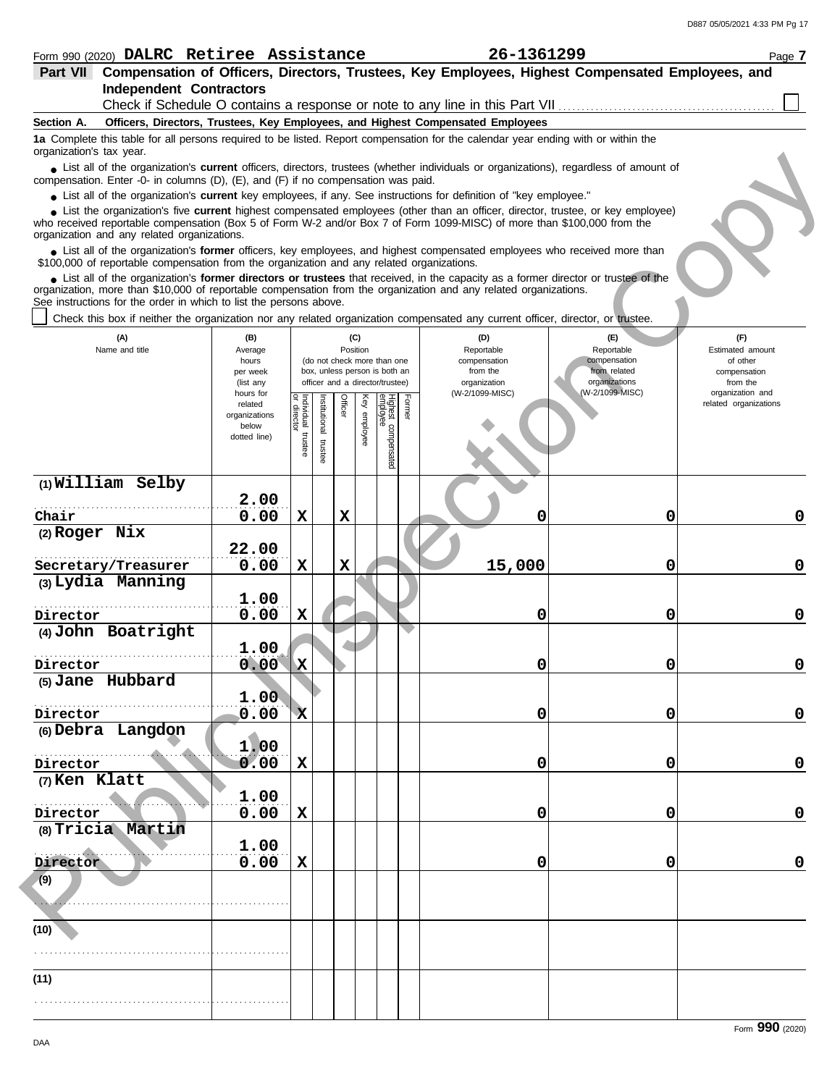| Form 990 (2020) DALRC Retiree Assistance                                                                                                                                                                                                               |                          |                         |               |             |              |                                 |        | 26-1361299                                                                      |                                                                              | Page 7                       |
|--------------------------------------------------------------------------------------------------------------------------------------------------------------------------------------------------------------------------------------------------------|--------------------------|-------------------------|---------------|-------------|--------------|---------------------------------|--------|---------------------------------------------------------------------------------|------------------------------------------------------------------------------|------------------------------|
| Part VII Compensation of Officers, Directors, Trustees, Key Employees, Highest Compensated Employees, and                                                                                                                                              |                          |                         |               |             |              |                                 |        |                                                                                 |                                                                              |                              |
| <b>Independent Contractors</b>                                                                                                                                                                                                                         |                          |                         |               |             |              |                                 |        |                                                                                 |                                                                              |                              |
|                                                                                                                                                                                                                                                        |                          |                         |               |             |              |                                 |        |                                                                                 | Check if Schedule O contains a response or note to any line in this Part VII |                              |
| Section A.                                                                                                                                                                                                                                             |                          |                         |               |             |              |                                 |        | Officers, Directors, Trustees, Key Employees, and Highest Compensated Employees |                                                                              |                              |
| 1a Complete this table for all persons required to be listed. Report compensation for the calendar year ending with or within the<br>organization's tax year.                                                                                          |                          |                         |               |             |              |                                 |        |                                                                                 |                                                                              |                              |
| • List all of the organization's current officers, directors, trustees (whether individuals or organizations), regardless of amount of                                                                                                                 |                          |                         |               |             |              |                                 |        |                                                                                 |                                                                              |                              |
| compensation. Enter -0- in columns (D), (E), and (F) if no compensation was paid.                                                                                                                                                                      |                          |                         |               |             |              |                                 |        |                                                                                 |                                                                              |                              |
| • List all of the organization's current key employees, if any. See instructions for definition of "key employee."<br>• List the organization's five current highest compensated employees (other than an officer, director, trustee, or key employee) |                          |                         |               |             |              |                                 |        |                                                                                 |                                                                              |                              |
| who received reportable compensation (Box 5 of Form W-2 and/or Box 7 of Form 1099-MISC) of more than \$100,000 from the                                                                                                                                |                          |                         |               |             |              |                                 |        |                                                                                 |                                                                              |                              |
| organization and any related organizations.                                                                                                                                                                                                            |                          |                         |               |             |              |                                 |        |                                                                                 |                                                                              |                              |
| • List all of the organization's former officers, key employees, and highest compensated employees who received more than<br>\$100,000 of reportable compensation from the organization and any related organizations.                                 |                          |                         |               |             |              |                                 |        |                                                                                 |                                                                              |                              |
| • List all of the organization's former directors or trustees that received, in the capacity as a former director or trustee of the                                                                                                                    |                          |                         |               |             |              |                                 |        |                                                                                 |                                                                              |                              |
| organization, more than \$10,000 of reportable compensation from the organization and any related organizations.<br>See instructions for the order in which to list the persons above.                                                                 |                          |                         |               |             |              |                                 |        |                                                                                 |                                                                              |                              |
| Check this box if neither the organization nor any related organization compensated any current officer, director, or trustee.                                                                                                                         |                          |                         |               |             |              |                                 |        |                                                                                 |                                                                              |                              |
| (A)                                                                                                                                                                                                                                                    | (B)                      |                         |               |             | (C)          |                                 |        | (D)                                                                             | $(\mathsf{F})$                                                               | (F)                          |
| Name and title                                                                                                                                                                                                                                         | Average<br>hours         |                         |               |             | Position     | (do not check more than one     |        | Reportable<br>compensation                                                      | Reportable<br>compensation                                                   | Estimated amount<br>of other |
|                                                                                                                                                                                                                                                        | per week                 |                         |               |             |              | box, unless person is both an   |        | from the                                                                        | from related                                                                 | compensation                 |
|                                                                                                                                                                                                                                                        | (list any<br>hours for   |                         |               |             |              | officer and a director/trustee) |        | organization<br>(W-2/1099-MISC)                                                 | organizations<br>(W-2/1099-MISC)                                             | from the<br>organization and |
|                                                                                                                                                                                                                                                        | related<br>organizations | Individual trustee      | Institutional | Officer     | Key employee | Highest compensated<br>employee | Former |                                                                                 |                                                                              | related organizations        |
|                                                                                                                                                                                                                                                        | below                    |                         |               |             |              |                                 |        |                                                                                 |                                                                              |                              |
|                                                                                                                                                                                                                                                        | dotted line)             |                         | trustee       |             |              |                                 |        |                                                                                 |                                                                              |                              |
|                                                                                                                                                                                                                                                        |                          |                         |               |             |              |                                 |        |                                                                                 |                                                                              |                              |
| $(1)$ William Selby                                                                                                                                                                                                                                    |                          |                         |               |             |              |                                 |        |                                                                                 |                                                                              |                              |
|                                                                                                                                                                                                                                                        | 2.00                     |                         |               |             |              |                                 |        |                                                                                 |                                                                              |                              |
| Chair                                                                                                                                                                                                                                                  | 0.00                     | $\mathbf x$             |               | $\mathbf x$ |              |                                 |        | 0                                                                               | 0                                                                            | 0                            |
| (2) Roger Nix                                                                                                                                                                                                                                          |                          |                         |               |             |              |                                 |        |                                                                                 |                                                                              |                              |
|                                                                                                                                                                                                                                                        | 22.00<br>0.00            | $\mathbf x$             |               | $\mathbf x$ |              |                                 |        | 15,000                                                                          | 0                                                                            | 0                            |
| Secretary/Treasurer<br>(3) Lydia Manning                                                                                                                                                                                                               |                          |                         |               |             |              |                                 |        |                                                                                 |                                                                              |                              |
|                                                                                                                                                                                                                                                        | 1.00                     |                         |               |             |              |                                 |        |                                                                                 |                                                                              |                              |
| Director                                                                                                                                                                                                                                               | 0.00                     | $\mathbf x$             |               |             |              |                                 |        | 0                                                                               | 0                                                                            | 0                            |
| (4) John Boatright                                                                                                                                                                                                                                     |                          |                         |               |             |              |                                 |        |                                                                                 |                                                                              |                              |
|                                                                                                                                                                                                                                                        | 1.00                     |                         |               |             |              |                                 |        |                                                                                 |                                                                              |                              |
| Director                                                                                                                                                                                                                                               | 0.00                     | $\mathbf{X}$            |               |             |              |                                 |        | 0                                                                               | 0                                                                            |                              |
| (5) Jane Hubbard                                                                                                                                                                                                                                       |                          |                         |               |             |              |                                 |        |                                                                                 |                                                                              |                              |
| Director                                                                                                                                                                                                                                               | 1.00<br>0.00             | $\mathbf{\overline{X}}$ |               |             |              |                                 |        | 0                                                                               | 0                                                                            | $\mathbf 0$                  |
| (6) Debra Langdon                                                                                                                                                                                                                                      |                          |                         |               |             |              |                                 |        |                                                                                 |                                                                              |                              |
|                                                                                                                                                                                                                                                        | 1.00                     |                         |               |             |              |                                 |        |                                                                                 |                                                                              |                              |
| Director                                                                                                                                                                                                                                               | 0.00                     | $\mathbf x$             |               |             |              |                                 |        | 0                                                                               | 0                                                                            | 0                            |
| (7) Ken Klatt                                                                                                                                                                                                                                          |                          |                         |               |             |              |                                 |        |                                                                                 |                                                                              |                              |
|                                                                                                                                                                                                                                                        | 1.00                     |                         |               |             |              |                                 |        |                                                                                 |                                                                              |                              |
| Director                                                                                                                                                                                                                                               | 0.00                     | $\mathbf x$             |               |             |              |                                 |        | 0                                                                               | 0                                                                            | 0                            |
| (8) Tricia Martin                                                                                                                                                                                                                                      | 1.00                     |                         |               |             |              |                                 |        |                                                                                 |                                                                              |                              |
| Director                                                                                                                                                                                                                                               | 0.00                     | $\mathbf x$             |               |             |              |                                 |        | 0                                                                               | 0                                                                            | 0                            |
| (9)                                                                                                                                                                                                                                                    |                          |                         |               |             |              |                                 |        |                                                                                 |                                                                              |                              |
|                                                                                                                                                                                                                                                        |                          |                         |               |             |              |                                 |        |                                                                                 |                                                                              |                              |
|                                                                                                                                                                                                                                                        |                          |                         |               |             |              |                                 |        |                                                                                 |                                                                              |                              |
| (10)                                                                                                                                                                                                                                                   |                          |                         |               |             |              |                                 |        |                                                                                 |                                                                              |                              |
|                                                                                                                                                                                                                                                        |                          |                         |               |             |              |                                 |        |                                                                                 |                                                                              |                              |
|                                                                                                                                                                                                                                                        |                          |                         |               |             |              |                                 |        |                                                                                 |                                                                              |                              |
| (11)                                                                                                                                                                                                                                                   |                          |                         |               |             |              |                                 |        |                                                                                 |                                                                              |                              |
|                                                                                                                                                                                                                                                        |                          |                         |               |             |              |                                 |        |                                                                                 |                                                                              |                              |
|                                                                                                                                                                                                                                                        |                          |                         |               |             |              |                                 |        |                                                                                 |                                                                              |                              |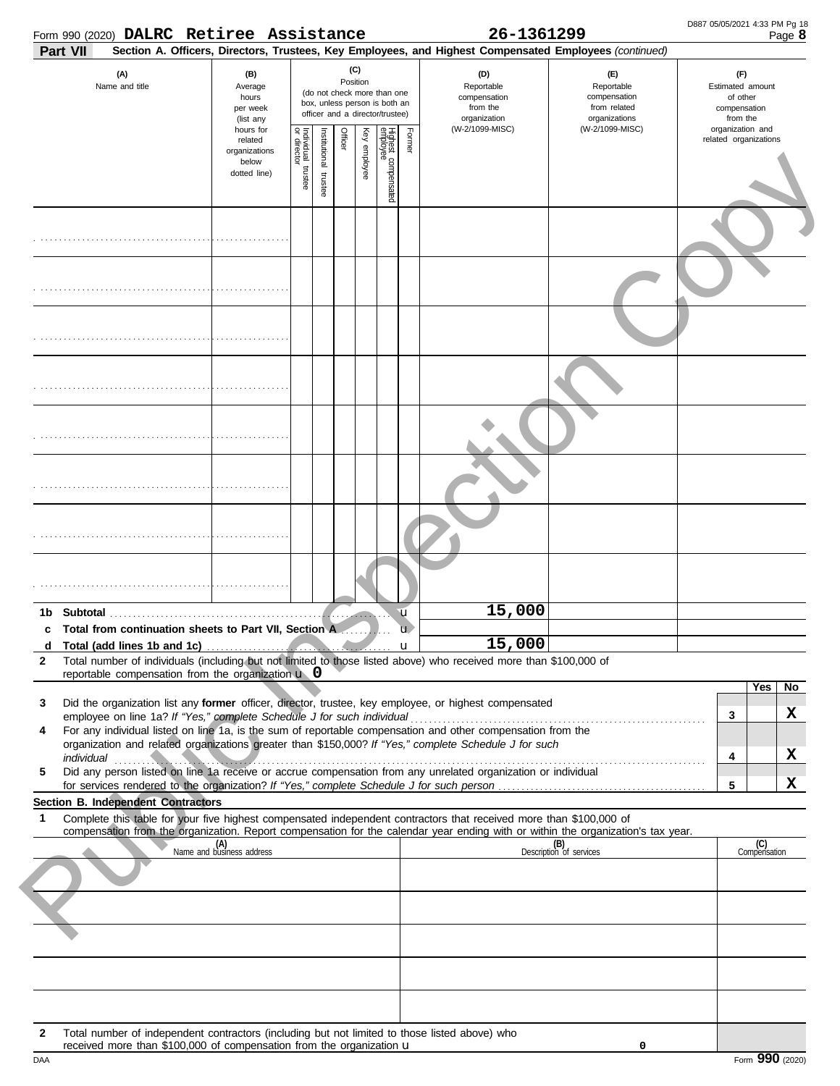| (A)<br>Name and title                                                                                                                                                                                                                                                                                                                                | (B)<br>Average<br>hours<br>per week<br>(list any               |                                   |                      | (C)<br>Position |              | (do not check more than one<br>box, unless person is both an<br>officer and a director/trustee) |             | (D)<br>Reportable<br>compensation<br>from the<br>organization | (E)<br>Reportable<br>compensation<br>from related<br>organizations | (F)<br>Estimated amount<br>of other<br>compensation<br>from the |    |
|------------------------------------------------------------------------------------------------------------------------------------------------------------------------------------------------------------------------------------------------------------------------------------------------------------------------------------------------------|----------------------------------------------------------------|-----------------------------------|----------------------|-----------------|--------------|-------------------------------------------------------------------------------------------------|-------------|---------------------------------------------------------------|--------------------------------------------------------------------|-----------------------------------------------------------------|----|
|                                                                                                                                                                                                                                                                                                                                                      | hours for<br>related<br>organizations<br>below<br>dotted line) | Individual trustee<br>or director | nstitutional trustee | Officer         | Key employee | Highest c<br>compensated<br>compensated                                                         | Former      | (W-2/1099-MISC)                                               | (W-2/1099-MISC)                                                    | organization and<br>related organizations                       |    |
|                                                                                                                                                                                                                                                                                                                                                      |                                                                |                                   |                      |                 |              |                                                                                                 |             |                                                               |                                                                    |                                                                 |    |
|                                                                                                                                                                                                                                                                                                                                                      |                                                                |                                   |                      |                 |              |                                                                                                 |             |                                                               |                                                                    |                                                                 |    |
|                                                                                                                                                                                                                                                                                                                                                      |                                                                |                                   |                      |                 |              |                                                                                                 |             |                                                               |                                                                    |                                                                 |    |
|                                                                                                                                                                                                                                                                                                                                                      |                                                                |                                   |                      |                 |              |                                                                                                 |             |                                                               |                                                                    |                                                                 |    |
|                                                                                                                                                                                                                                                                                                                                                      |                                                                |                                   |                      |                 |              |                                                                                                 |             |                                                               |                                                                    |                                                                 |    |
|                                                                                                                                                                                                                                                                                                                                                      |                                                                |                                   |                      |                 |              |                                                                                                 |             |                                                               |                                                                    |                                                                 |    |
|                                                                                                                                                                                                                                                                                                                                                      |                                                                |                                   |                      |                 |              |                                                                                                 |             |                                                               |                                                                    |                                                                 |    |
|                                                                                                                                                                                                                                                                                                                                                      |                                                                |                                   |                      |                 |              |                                                                                                 |             |                                                               |                                                                    |                                                                 |    |
| c Total from continuation sheets to Part VII, Section A                                                                                                                                                                                                                                                                                              |                                                                |                                   |                      |                 |              |                                                                                                 | $\mathbf u$ | 15,000                                                        |                                                                    |                                                                 |    |
|                                                                                                                                                                                                                                                                                                                                                      |                                                                |                                   |                      |                 |              |                                                                                                 |             | 15,000                                                        |                                                                    |                                                                 |    |
| Total number of individuals (including but not limited to those listed above) who received more than \$100,000 of<br>$\mathbf{2}$                                                                                                                                                                                                                    |                                                                |                                   |                      |                 |              |                                                                                                 |             |                                                               |                                                                    |                                                                 |    |
| reportable compensation from the organization $\mathbf u$ 0                                                                                                                                                                                                                                                                                          |                                                                |                                   |                      |                 |              |                                                                                                 |             |                                                               |                                                                    | Yes                                                             | No |
| Did the organization list any former officer, director, trustee, key employee, or highest compensated<br>3                                                                                                                                                                                                                                           |                                                                |                                   |                      |                 |              |                                                                                                 |             |                                                               |                                                                    |                                                                 |    |
| For any individual listed on line 1a, is the sum of reportable compensation and other compensation from the<br>4                                                                                                                                                                                                                                     |                                                                |                                   |                      |                 |              |                                                                                                 |             |                                                               |                                                                    | $\mathbf{3}$                                                    | х  |
| organization and related organizations greater than \$150,000? If "Yes," complete Schedule J for such                                                                                                                                                                                                                                                |                                                                |                                   |                      |                 |              |                                                                                                 |             |                                                               |                                                                    |                                                                 | X  |
| individual communications and construction of the construction of the construction of the construction of the construction of the construction of the construction of the construction of the construction of the construction<br>Did any person listed on line 1a receive or accrue compensation from any unrelated organization or individual<br>5 |                                                                |                                   |                      |                 |              |                                                                                                 |             |                                                               |                                                                    | 4                                                               |    |
|                                                                                                                                                                                                                                                                                                                                                      |                                                                |                                   |                      |                 |              |                                                                                                 |             |                                                               |                                                                    | 5                                                               | x  |
| Section B. Independent Contractors                                                                                                                                                                                                                                                                                                                   |                                                                |                                   |                      |                 |              |                                                                                                 |             |                                                               |                                                                    |                                                                 |    |
| Complete this table for your five highest compensated independent contractors that received more than \$100,000 of<br>1<br>compensation from the organization. Report compensation for the calendar year ending with or within the organization's tax year.                                                                                          |                                                                |                                   |                      |                 |              |                                                                                                 |             |                                                               |                                                                    |                                                                 |    |
|                                                                                                                                                                                                                                                                                                                                                      | $(A)$<br>Name and business address                             |                                   |                      |                 |              |                                                                                                 |             |                                                               | (B)<br>Description of services                                     | (C)<br>Compensation                                             |    |
|                                                                                                                                                                                                                                                                                                                                                      |                                                                |                                   |                      |                 |              |                                                                                                 |             |                                                               |                                                                    |                                                                 |    |
|                                                                                                                                                                                                                                                                                                                                                      |                                                                |                                   |                      |                 |              |                                                                                                 |             |                                                               |                                                                    |                                                                 |    |
|                                                                                                                                                                                                                                                                                                                                                      |                                                                |                                   |                      |                 |              |                                                                                                 |             |                                                               |                                                                    |                                                                 |    |
|                                                                                                                                                                                                                                                                                                                                                      |                                                                |                                   |                      |                 |              |                                                                                                 |             |                                                               |                                                                    |                                                                 |    |
|                                                                                                                                                                                                                                                                                                                                                      |                                                                |                                   |                      |                 |              |                                                                                                 |             |                                                               |                                                                    |                                                                 |    |
|                                                                                                                                                                                                                                                                                                                                                      |                                                                |                                   |                      |                 |              |                                                                                                 |             |                                                               |                                                                    |                                                                 |    |

| DAA | 990<br>(2020)<br>Form |
|-----|-----------------------|
|-----|-----------------------|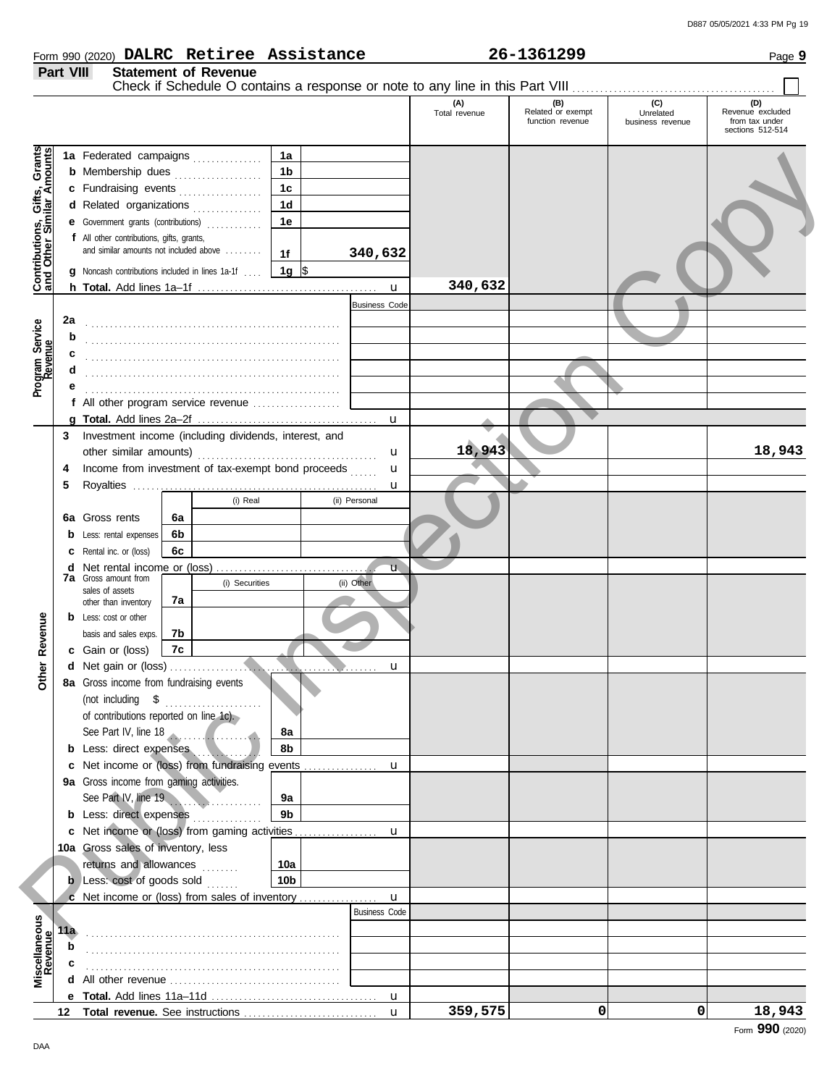| 26-1361299<br>Form 990 (2020) DALRC Retiree Assistance | Page 9 |  |
|--------------------------------------------------------|--------|--|
|--------------------------------------------------------|--------|--|

|                                                                  | Part VIII | <b>Statement of Revenue</b><br>Check if Schedule O contains a response or note to any line in this Part VIII |                 |                      |               |                          |                               |                                    |
|------------------------------------------------------------------|-----------|--------------------------------------------------------------------------------------------------------------|-----------------|----------------------|---------------|--------------------------|-------------------------------|------------------------------------|
|                                                                  |           |                                                                                                              |                 |                      | (A)           | (B)<br>Related or exempt | (C)                           | (D)<br>Revenue excluded            |
|                                                                  |           |                                                                                                              |                 |                      | Total revenue | function revenue         | Unrelated<br>business revenue | from tax under<br>sections 512-514 |
| <b>Contributions, Gifts, Grants</b><br>and Other Similar Amounts |           | 1a Federated campaigns                                                                                       | 1a              |                      |               |                          |                               |                                    |
|                                                                  |           | <b>b</b> Membership dues                                                                                     | 1 <sub>b</sub>  |                      |               |                          |                               |                                    |
|                                                                  |           | c Fundraising events                                                                                         | 1 <sub>c</sub>  |                      |               |                          |                               |                                    |
|                                                                  |           | d Related organizations                                                                                      | 1 <sub>d</sub>  |                      |               |                          |                               |                                    |
|                                                                  |           | e Government grants (contributions)                                                                          | 1e              |                      |               |                          |                               |                                    |
|                                                                  |           | f All other contributions, gifts, grants,<br>and similar amounts not included above                          |                 |                      |               |                          |                               |                                    |
|                                                                  |           |                                                                                                              | 1f              | 340,632              |               |                          |                               |                                    |
|                                                                  |           | <b>g</b> Noncash contributions included in lines 1a-1f                                                       | $1g$ \$         | $\mathbf{u}$         | 340,632       |                          |                               |                                    |
|                                                                  |           |                                                                                                              |                 | <b>Business Code</b> |               |                          |                               |                                    |
|                                                                  | 2a        |                                                                                                              |                 |                      |               |                          |                               |                                    |
|                                                                  | b         |                                                                                                              |                 |                      |               |                          |                               |                                    |
|                                                                  | c         |                                                                                                              |                 |                      |               |                          |                               |                                    |
| Program Service<br>Revenue                                       | d         |                                                                                                              |                 |                      |               |                          |                               |                                    |
|                                                                  | е         |                                                                                                              |                 |                      |               |                          |                               |                                    |
|                                                                  |           | f All other program service revenue                                                                          |                 |                      |               |                          |                               |                                    |
|                                                                  |           |                                                                                                              |                 | $\mathbf{u}$         |               |                          |                               |                                    |
|                                                                  | 3         | Investment income (including dividends, interest, and                                                        |                 |                      | 18,943        |                          |                               |                                    |
|                                                                  |           |                                                                                                              |                 | u                    |               |                          |                               | 18,943                             |
|                                                                  | 4         | Income from investment of tax-exempt bond proceeds                                                           |                 | u                    |               |                          |                               |                                    |
|                                                                  | 5         | (i) Real                                                                                                     |                 | u<br>(ii) Personal   |               |                          |                               |                                    |
|                                                                  |           | 6a Gross rents<br>6a                                                                                         |                 |                      |               |                          |                               |                                    |
|                                                                  |           | 6b<br><b>b</b> Less: rental expenses                                                                         |                 |                      |               |                          |                               |                                    |
|                                                                  |           | 6c<br><b>c</b> Rental inc. or (loss)                                                                         |                 |                      |               |                          |                               |                                    |
|                                                                  |           | d Net rental income or (loss)                                                                                |                 | $\mathbf{u}$         |               |                          |                               |                                    |
|                                                                  |           | <b>7a</b> Gross amount from<br>(i) Securities                                                                |                 | (ii) Other           |               |                          |                               |                                    |
|                                                                  |           | sales of assets<br>7а<br>other than inventory                                                                |                 |                      |               |                          |                               |                                    |
|                                                                  |           | <b>b</b> Less: cost or other                                                                                 |                 |                      |               |                          |                               |                                    |
| Revenue                                                          |           | basis and sales exps.<br>7b                                                                                  |                 |                      |               |                          |                               |                                    |
|                                                                  |           | 7c<br>c Gain or (loss)                                                                                       |                 |                      |               |                          |                               |                                    |
| .<br>her                                                         |           |                                                                                                              |                 | u                    |               |                          |                               |                                    |
| δ                                                                |           | 8a Gross income from fundraising events                                                                      |                 |                      |               |                          |                               |                                    |
|                                                                  |           | (not including $\delta$<br>of contributions reported on line 1c).                                            |                 |                      |               |                          |                               |                                    |
|                                                                  |           |                                                                                                              | 8a              |                      |               |                          |                               |                                    |
|                                                                  |           | See Part IV, line 18<br><b>b</b> Less: direct expenses                                                       | 8b              |                      |               |                          |                               |                                    |
|                                                                  |           | c Net income or (loss) from fundraising events                                                               |                 | u                    |               |                          |                               |                                    |
|                                                                  |           | 9a Gross income from gaming activities.                                                                      |                 |                      |               |                          |                               |                                    |
|                                                                  |           | See Part IV, line 19                                                                                         | 9а              |                      |               |                          |                               |                                    |
|                                                                  |           | <b>b</b> Less: direct expenses                                                                               | 9 <sub>b</sub>  |                      |               |                          |                               |                                    |
|                                                                  |           | c Net income or (loss) from gaming activities                                                                |                 | u                    |               |                          |                               |                                    |
|                                                                  |           | 10a Gross sales of inventory, less                                                                           |                 |                      |               |                          |                               |                                    |
|                                                                  |           | returns and allowances                                                                                       | 10a             |                      |               |                          |                               |                                    |
|                                                                  |           | <b>b</b> Less: cost of goods sold                                                                            | 10 <sub>b</sub> |                      |               |                          |                               |                                    |
|                                                                  |           | c Net income or (loss) from sales of inventory                                                               |                 | u                    |               |                          |                               |                                    |
|                                                                  |           |                                                                                                              |                 | <b>Business Code</b> |               |                          |                               |                                    |
|                                                                  | 11a.      |                                                                                                              |                 |                      |               |                          |                               |                                    |
|                                                                  | b         |                                                                                                              |                 |                      |               |                          |                               |                                    |
| Miscellaneous<br>Revenue                                         |           |                                                                                                              |                 |                      |               |                          |                               |                                    |
|                                                                  |           |                                                                                                              |                 | u                    |               |                          |                               |                                    |
|                                                                  |           |                                                                                                              |                 | $\mathbf{u}$         | 359,575       | 0                        | $\mathbf 0$                   | 18,943                             |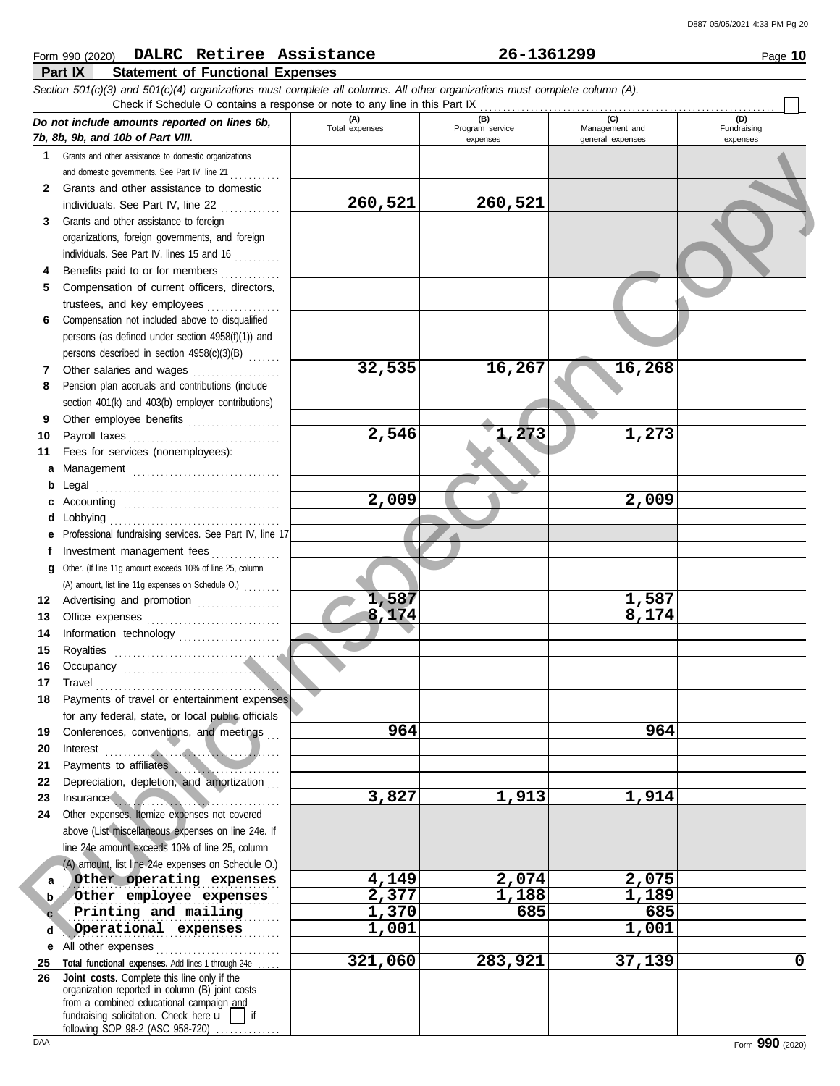#### **Part IX Statement of Functional Expenses** Form 990 (2020) Page **10 DALRC Retiree Assistance 26-1361299** *Section 501(c)(3) and 501(c)(4) organizations must complete all columns. All other organizations must complete column (A). Do not include amounts reported on lines 6b, 7b, 8b, 9b, and 10b of Part VIII.* **1 2 3** Grants and other assistance to foreign **4 5** Compensation of current officers, directors, **6** Compensation not included above to disqualified **7 8 9 10 11 a** Management ................................ **b** Legal . . . . . . . . . . . . . . . . . . . . . . . . . . . . . . . . . . . . . . . . **c** Accounting . . . . . . . . . . . . . . . . . . . . . . . . . . . . . . . . . . **d** Lobbying . . . . . . . . . . . . . . . . . . . . . . . . . . . . . . . . . . . . . **e** Professional fundraising services. See Part IV, line 17 **f g** Other. (If line 11g amount exceeds 10% of line 25, column **12 13 14 15 16 17 18 19 20 21 22 23 24** Other expenses. Itemize expenses not covered **a b c d e** All other expenses . . . . . . . . . . . . . . . . . . . . . . . . . . . **25 26** Grants and other assistance to domestic organizations and domestic governments. See Part IV, line 21 . . . . . . . . . . Grants and other assistance to domestic individuals. See Part IV, line 22 organizations, foreign governments, and foreign individuals. See Part IV, lines 15 and 16 . . . . . . . . . . Benefits paid to or for members .............. trustees, and key employees ........... persons (as defined under section 4958(f)(1)) and persons described in section 4958(c)(3)(B) . . . . . . . Other salaries and wages ................... Pension plan accruals and contributions (include section 401(k) and 403(b) employer contributions) Other employee benefits ..................... Payroll taxes . . . . . . . . . . . . . . . . . . . . . . . . . . . . . . . . . Fees for services (nonemployees): Investment management fees ............... Advertising and promotion .................. Office expenses . . . . . . . . . . . . . . . . . . . . . . . . . . . . . Information technology ....................... Royalties . . . . . . . . . . . . . . . . . . . . . . . . . . . . . . . . . . . . Occupancy . . . . . . . . . . . . . . . . . . . . . . . . . . . . . . . . . . Travel . . . . . . . . . . . . . . . . . . . . . . . . . . . . . . . . . . . . . . . . Payments of travel or entertainment expenses for any federal, state, or local public officials Conferences, conventions, and meetings Interest . . . . . . . . . . . . . . . . . . . . . . . . . . . . . . . . . . . . . . Payments to affiliates .... Depreciation, depletion, and amortization Insurance . . . . . . . . . . . . . . . . . . . . . . . . . . . . . . . . . . . . above (List miscellaneous expenses on line 24e. If line 24e amount exceeds 10% of line 25, column (A) amount, list line 24e expenses on Schedule O.) Total functional expenses. Add lines 1 through 24e organization reported in column (B) joint costs from a combined educational campaign and **(A) (B) (C) (D)** Total expenses **Program service** Management and expenses and in the queneral expenses Fundraising expenses Other operating expenses 1,149 2,074 2,075 other employee expenses **2,377** 1,188 1,189 **Printing and mailing 1,370** 685 685 **Operational expenses** 1,001 1,000 1,001 Check if Schedule O contains a response or note to any line in this Part IX **Joint costs.** Complete this line only if the (A) amount, list line 11g expenses on Schedule O.) . . . . . . . . **260,521 260,521 32,535 16,267 16,268 2,546 1,273 1,273 2,009 2,009 1,587 1,587 8,174 8,174 964 964 3,827 1,913 1,914 321,060 283,921 37,139 0** 1 and the control and the control and the control and the control and the control and the control and the control and the control and the control and the control and the control and the control and the control and the con

fundraising solicitation. Check here  $\mathbf{u}$  | if

following SOP 98-2 (ASC 958-720)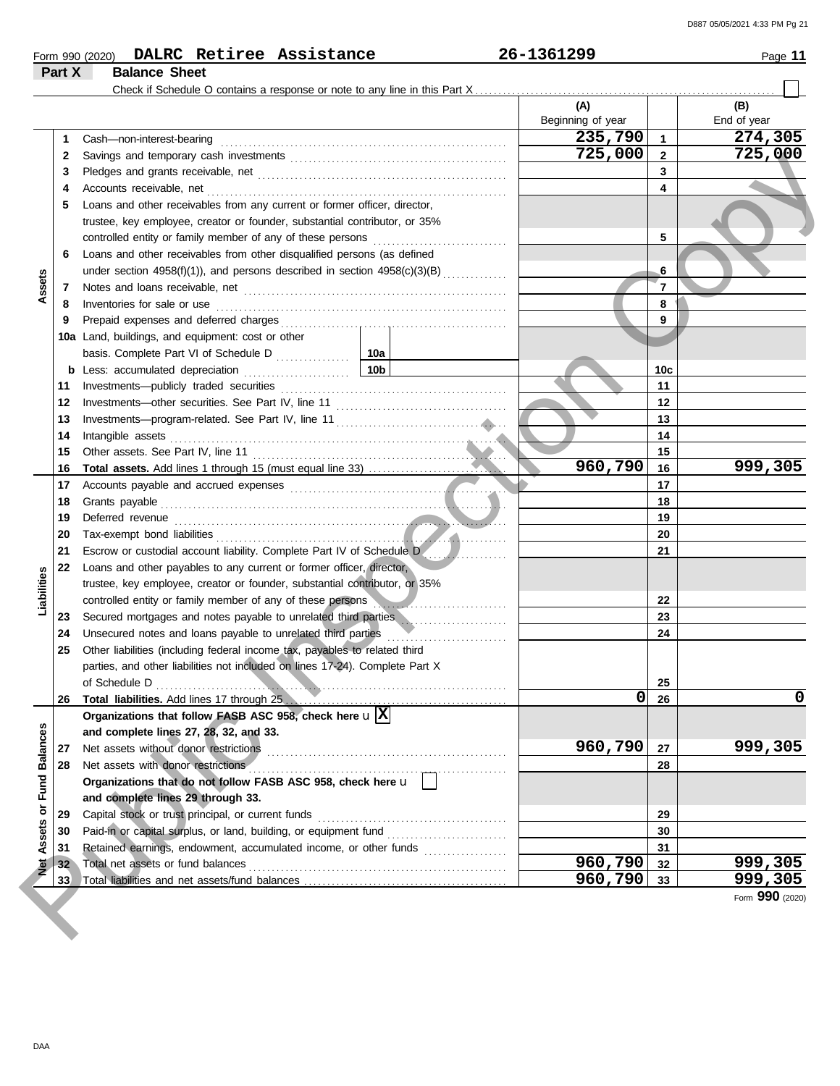|                 | Form 990 (2020) DALRC Retiree Assistance                                                                                                                                                                                            |                 | 26-1361299               |                         | Page 11            |
|-----------------|-------------------------------------------------------------------------------------------------------------------------------------------------------------------------------------------------------------------------------------|-----------------|--------------------------|-------------------------|--------------------|
| Part X          | <b>Balance Sheet</b>                                                                                                                                                                                                                |                 |                          |                         |                    |
|                 |                                                                                                                                                                                                                                     |                 |                          |                         |                    |
|                 |                                                                                                                                                                                                                                     |                 | (A)<br>Beginning of year |                         | (B)<br>End of year |
| 1.              | Cash-non-interest-bearing                                                                                                                                                                                                           | 235,790         | $\overline{1}$           | 274,305                 |                    |
| 2               |                                                                                                                                                                                                                                     |                 | $725,000$ 2              |                         | 725,000            |
| 3               |                                                                                                                                                                                                                                     |                 | 3                        |                         |                    |
| 4               | Accounts receivable, net                                                                                                                                                                                                            |                 |                          | $\overline{\mathbf{4}}$ |                    |
| 5               | Loans and other receivables from any current or former officer, director,                                                                                                                                                           |                 |                          |                         |                    |
|                 | trustee, key employee, creator or founder, substantial contributor, or 35%                                                                                                                                                          |                 |                          |                         |                    |
|                 |                                                                                                                                                                                                                                     |                 |                          | 5                       |                    |
| 6               | Loans and other receivables from other disqualified persons (as defined                                                                                                                                                             |                 |                          |                         |                    |
|                 | under section 4958(f)(1)), and persons described in section $4958(c)(3)(B)$                                                                                                                                                         |                 |                          | 6                       |                    |
| 7               |                                                                                                                                                                                                                                     |                 |                          | $\overline{7}$          |                    |
| 8               | Inventories for sale or use                                                                                                                                                                                                         |                 |                          | 8                       |                    |
| 9               |                                                                                                                                                                                                                                     |                 |                          | 9                       |                    |
|                 | 10a Land, buildings, and equipment: cost or other                                                                                                                                                                                   |                 |                          |                         |                    |
|                 |                                                                                                                                                                                                                                     |                 |                          |                         |                    |
|                 |                                                                                                                                                                                                                                     | 10 <sub>b</sub> |                          | 10 <sub>c</sub>         |                    |
| 11              |                                                                                                                                                                                                                                     |                 |                          | 11                      |                    |
| 12              |                                                                                                                                                                                                                                     |                 |                          | 12                      |                    |
| 13              |                                                                                                                                                                                                                                     |                 |                          | 13                      |                    |
| 14              | Intangible assets                                                                                                                                                                                                                   |                 |                          | 14                      |                    |
| 15              |                                                                                                                                                                                                                                     |                 |                          | 15                      |                    |
| 16              |                                                                                                                                                                                                                                     | 960,790         | 16                       | 999,305                 |                    |
| 17              |                                                                                                                                                                                                                                     |                 |                          | 17                      |                    |
| 18              | Grants payable                                                                                                                                                                                                                      |                 | 18                       |                         |                    |
| 19              | Deferred revenue <i>communication</i> and the communication of the communication of the communication of the communication of the communication of the communication of the communication of the communication of the communication |                 |                          | 19                      |                    |
| 20              |                                                                                                                                                                                                                                     |                 |                          | 20                      |                    |
| 21              | Escrow or custodial account liability. Complete Part IV of Schedule D                                                                                                                                                               |                 |                          | 21                      |                    |
| 22              | Loans and other payables to any current or former officer, director,                                                                                                                                                                |                 |                          |                         |                    |
|                 | trustee, key employee, creator or founder, substantial contributor, or 35%                                                                                                                                                          |                 |                          |                         |                    |
|                 | controlled entity or family member of any of these persons                                                                                                                                                                          |                 |                          | 22                      |                    |
| 23              | Secured mortgages and notes payable to unrelated third parties                                                                                                                                                                      |                 |                          | 23<br>24                |                    |
| 24              | Unsecured notes and loans payable to unrelated third parties                                                                                                                                                                        | .               |                          |                         |                    |
| 25              | Other liabilities (including federal income tax, payables to related third<br>parties, and other liabilities not included on lines 17-24). Complete Part X                                                                          |                 |                          |                         |                    |
|                 |                                                                                                                                                                                                                                     |                 |                          | 25                      |                    |
| 26              |                                                                                                                                                                                                                                     |                 | 0                        | 26                      | ი                  |
|                 | Organizations that follow FASB ASC 958, check here $\mathbf{u} \overline{\mathbf{X}}$                                                                                                                                               |                 |                          |                         |                    |
|                 | and complete lines 27, 28, 32, and 33.                                                                                                                                                                                              |                 |                          |                         |                    |
| 27              | Net assets without donor restrictions                                                                                                                                                                                               |                 | 960,790                  | 27                      | 999,305            |
| 28              | Net assets with donor restrictions                                                                                                                                                                                                  |                 |                          | 28                      |                    |
|                 | Organizations that do not follow FASB ASC 958, check here u                                                                                                                                                                         |                 |                          |                         |                    |
|                 | and complete lines 29 through 33.                                                                                                                                                                                                   |                 |                          |                         |                    |
| 29              | Capital stock or trust principal, or current funds                                                                                                                                                                                  |                 |                          | 29                      |                    |
| 30              | Paid-in or capital surplus, or land, building, or equipment fund                                                                                                                                                                    |                 |                          | 30                      |                    |
| 31              | Retained earnings, endowment, accumulated income, or other funds                                                                                                                                                                    |                 |                          | 31                      |                    |
| 32 <sup>2</sup> | Total net assets or fund balances                                                                                                                                                                                                   |                 | 960,790                  | 32                      | 999,305            |
| 33 <sub>l</sub> |                                                                                                                                                                                                                                     |                 | 960,790                  | 33                      | 999,305            |
|                 |                                                                                                                                                                                                                                     |                 |                          |                         | Form 990 (2020)    |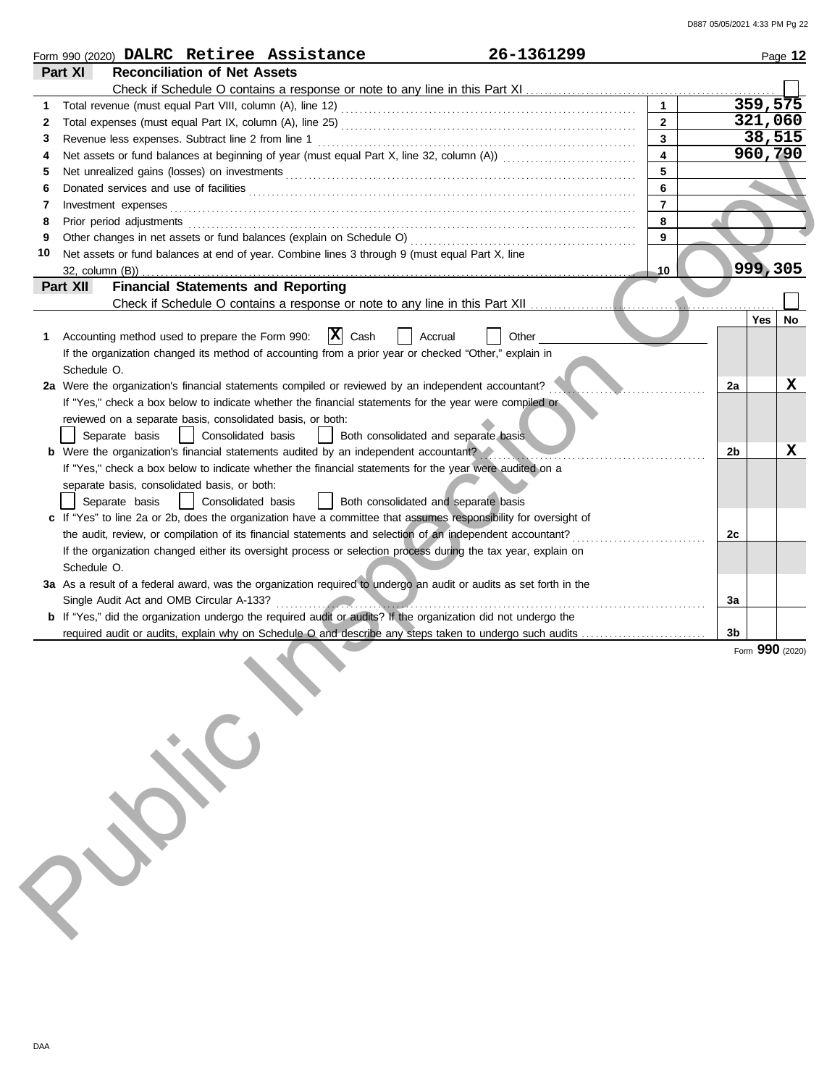| Part XI<br><b>Reconciliation of Net Assets</b>                                                                        |                                      |                         |                 |
|-----------------------------------------------------------------------------------------------------------------------|--------------------------------------|-------------------------|-----------------|
|                                                                                                                       |                                      |                         |                 |
| 1                                                                                                                     |                                      | $\mathbf{1}$            | 359,575         |
| 2                                                                                                                     |                                      | $\mathbf{2}$            | 321,060         |
| Revenue less expenses. Subtract line 2 from line 1<br>3                                                               |                                      | $\mathbf{3}$            | 38,515          |
| Net assets or fund balances at beginning of year (must equal Part X, line 32, column (A))<br>4                        |                                      | $\overline{\mathbf{4}}$ | 960,790         |
| Net unrealized gains (losses) on investments<br>5                                                                     |                                      | 5                       |                 |
| Donated services and use of facilities<br>6                                                                           |                                      | 6                       |                 |
| Investment expenses<br>7                                                                                              |                                      | $\overline{7}$          |                 |
| Prior period adjustments<br>8                                                                                         |                                      | 8                       |                 |
| Other changes in net assets or fund balances (explain on Schedule O)<br>9                                             |                                      | 9                       |                 |
| Net assets or fund balances at end of year. Combine lines 3 through 9 (must equal Part X, line<br>10                  |                                      |                         |                 |
| 32, column (B))                                                                                                       |                                      | $\sqrt{10}$             | 999,305         |
| <b>Financial Statements and Reporting</b><br>Part XII                                                                 |                                      |                         |                 |
| Check if Schedule O contains a response or note to any line in this Part XII                                          |                                      |                         |                 |
|                                                                                                                       |                                      |                         | Yes<br>No       |
| $ \mathbf{X} $ Cash<br>Accounting method used to prepare the Form 990:<br>1                                           | Accrual<br>Other                     |                         |                 |
| If the organization changed its method of accounting from a prior year or checked "Other," explain in                 |                                      |                         |                 |
| Schedule O.                                                                                                           |                                      |                         |                 |
| 2a Were the organization's financial statements compiled or reviewed by an independent accountant?                    |                                      |                         | х<br>2a         |
| If "Yes," check a box below to indicate whether the financial statements for the year were compiled or                |                                      |                         |                 |
| reviewed on a separate basis, consolidated basis, or both:                                                            |                                      |                         |                 |
| Separate basis<br>Consolidated basis                                                                                  | Both consolidated and separate basis |                         |                 |
| <b>b</b> Were the organization's financial statements audited by an independent accountant?                           |                                      |                         | х<br>2b         |
| If "Yes," check a box below to indicate whether the financial statements for the year were audited on a               |                                      |                         |                 |
| separate basis, consolidated basis, or both:                                                                          |                                      |                         |                 |
| Separate basis<br>Consolidated basis                                                                                  | Both consolidated and separate basis |                         |                 |
| c If "Yes" to line 2a or 2b, does the organization have a committee that assumes responsibility for oversight of      |                                      |                         |                 |
| the audit, review, or compilation of its financial statements and selection of an independent accountant?             |                                      |                         | 2с              |
| If the organization changed either its oversight process or selection process during the tax year, explain on         |                                      |                         |                 |
| Schedule O.                                                                                                           |                                      |                         |                 |
| 3a As a result of a federal award, was the organization required to undergo an audit or audits as set forth in the    |                                      |                         |                 |
| Single Audit Act and OMB Circular A-133?<br>. <b>.</b>                                                                |                                      |                         | За              |
| <b>b</b> If "Yes," did the organization undergo the required audit or audits? If the organization did not undergo the |                                      |                         |                 |
| required audit or audits, explain why on Schedule O and describe any steps taken to undergo such audits               |                                      |                         | 3b              |
|                                                                                                                       |                                      |                         | Form 990 (2020) |
|                                                                                                                       |                                      |                         |                 |
|                                                                                                                       |                                      |                         |                 |
|                                                                                                                       |                                      |                         |                 |
|                                                                                                                       |                                      |                         |                 |
|                                                                                                                       |                                      |                         |                 |
|                                                                                                                       |                                      |                         |                 |
|                                                                                                                       |                                      |                         |                 |
|                                                                                                                       |                                      |                         |                 |
|                                                                                                                       |                                      |                         |                 |
|                                                                                                                       |                                      |                         |                 |
|                                                                                                                       |                                      |                         |                 |
|                                                                                                                       |                                      |                         |                 |
|                                                                                                                       |                                      |                         |                 |
|                                                                                                                       |                                      |                         |                 |
|                                                                                                                       |                                      |                         |                 |
|                                                                                                                       |                                      |                         |                 |
|                                                                                                                       |                                      |                         |                 |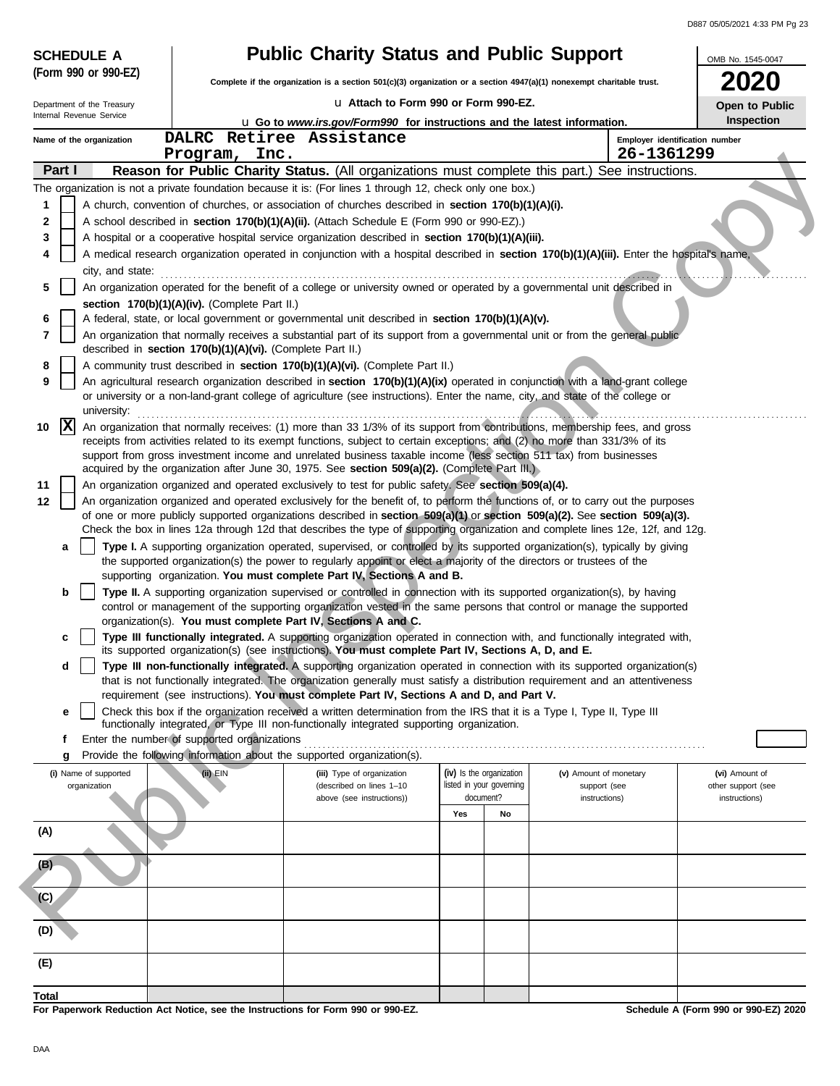| <b>SCHEDULE A</b>                     |                                                            | <b>Public Charity Status and Public Support</b>                                                                                                                                                                                                                                                                                                                                                    |     |                                                      |                                        | OMB No. 1545-0047                    |
|---------------------------------------|------------------------------------------------------------|----------------------------------------------------------------------------------------------------------------------------------------------------------------------------------------------------------------------------------------------------------------------------------------------------------------------------------------------------------------------------------------------------|-----|------------------------------------------------------|----------------------------------------|--------------------------------------|
| (Form 990 or 990-EZ)                  |                                                            | Complete if the organization is a section 501(c)(3) organization or a section 4947(a)(1) nonexempt charitable trust.                                                                                                                                                                                                                                                                               |     |                                                      |                                        | 20                                   |
| Department of the Treasury            |                                                            | La Attach to Form 990 or Form 990-EZ.                                                                                                                                                                                                                                                                                                                                                              |     |                                                      |                                        | Open to Public                       |
| Internal Revenue Service              |                                                            | <b>u</b> Go to www.irs.gov/Form990 for instructions and the latest information.                                                                                                                                                                                                                                                                                                                    |     |                                                      |                                        | Inspection                           |
| Name of the organization              |                                                            | DALRC Retiree Assistance                                                                                                                                                                                                                                                                                                                                                                           |     |                                                      |                                        | Employer identification number       |
| Part I                                | Inc.<br>Program,                                           | Reason for Public Charity Status. (All organizations must complete this part.) See instructions.                                                                                                                                                                                                                                                                                                   |     |                                                      | 26-1361299                             |                                      |
|                                       |                                                            | The organization is not a private foundation because it is: (For lines 1 through 12, check only one box.)                                                                                                                                                                                                                                                                                          |     |                                                      |                                        |                                      |
| 1                                     |                                                            | A church, convention of churches, or association of churches described in section 170(b)(1)(A)(i).                                                                                                                                                                                                                                                                                                 |     |                                                      |                                        |                                      |
| 2                                     |                                                            | A school described in section 170(b)(1)(A)(ii). (Attach Schedule E (Form 990 or 990-EZ).)                                                                                                                                                                                                                                                                                                          |     |                                                      |                                        |                                      |
| 3                                     |                                                            | A hospital or a cooperative hospital service organization described in section 170(b)(1)(A)(iii).                                                                                                                                                                                                                                                                                                  |     |                                                      |                                        |                                      |
| 4                                     |                                                            | A medical research organization operated in conjunction with a hospital described in section 170(b)(1)(A)(iii). Enter the hospital's name,                                                                                                                                                                                                                                                         |     |                                                      |                                        |                                      |
| city, and state:<br>5                 |                                                            | An organization operated for the benefit of a college or university owned or operated by a governmental unit described in                                                                                                                                                                                                                                                                          |     |                                                      |                                        |                                      |
|                                       | section 170(b)(1)(A)(iv). (Complete Part II.)              |                                                                                                                                                                                                                                                                                                                                                                                                    |     |                                                      |                                        |                                      |
| 6                                     |                                                            | A federal, state, or local government or governmental unit described in section 170(b)(1)(A)(v).                                                                                                                                                                                                                                                                                                   |     |                                                      |                                        |                                      |
| 7                                     | described in section 170(b)(1)(A)(vi). (Complete Part II.) | An organization that normally receives a substantial part of its support from a governmental unit or from the general public                                                                                                                                                                                                                                                                       |     |                                                      |                                        |                                      |
| 8                                     |                                                            | A community trust described in section 170(b)(1)(A)(vi). (Complete Part II.)                                                                                                                                                                                                                                                                                                                       |     |                                                      |                                        |                                      |
| 9<br>university:                      |                                                            | An agricultural research organization described in section 170(b)(1)(A)(ix) operated in conjunction with a land-grant college<br>or university or a non-land-grant college of agriculture (see instructions). Enter the name, city, and state of the college or                                                                                                                                    |     |                                                      |                                        |                                      |
| $\mathbf{x}$<br>10                    |                                                            | An organization that normally receives: (1) more than 33 1/3% of its support from contributions, membership fees, and gross                                                                                                                                                                                                                                                                        |     |                                                      |                                        |                                      |
|                                       |                                                            | receipts from activities related to its exempt functions, subject to certain exceptions; and (2) no more than 331/3% of its<br>support from gross investment income and unrelated business taxable income (less section 511 tax) from businesses                                                                                                                                                   |     |                                                      |                                        |                                      |
|                                       |                                                            | acquired by the organization after June 30, 1975. See section 509(a)(2). (Complete Part III.)                                                                                                                                                                                                                                                                                                      |     |                                                      |                                        |                                      |
| 11                                    |                                                            | An organization organized and operated exclusively to test for public safety. See section 509(a)(4).                                                                                                                                                                                                                                                                                               |     |                                                      |                                        |                                      |
| 12                                    |                                                            | An organization organized and operated exclusively for the benefit of, to perform the functions of, or to carry out the purposes<br>of one or more publicly supported organizations described in section 509(a)(1) or section 509(a)(2). See section 509(a)(3).<br>Check the box in lines 12a through 12d that describes the type of supporting organization and complete lines 12e, 12f, and 12g. |     |                                                      |                                        |                                      |
| a                                     |                                                            | Type I. A supporting organization operated, supervised, or controlled by its supported organization(s), typically by giving                                                                                                                                                                                                                                                                        |     |                                                      |                                        |                                      |
|                                       |                                                            | the supported organization(s) the power to regularly appoint or elect a majority of the directors or trustees of the<br>supporting organization. You must complete Part IV, Sections A and B.                                                                                                                                                                                                      |     |                                                      |                                        |                                      |
| b                                     |                                                            | Type II. A supporting organization supervised or controlled in connection with its supported organization(s), by having<br>control or management of the supporting organization vested in the same persons that control or manage the supported<br>organization(s). You must complete Part IV, Sections A and C.                                                                                   |     |                                                      |                                        |                                      |
| c                                     |                                                            | Type III functionally integrated. A supporting organization operated in connection with, and functionally integrated with,<br>its supported organization(s) (see instructions). You must complete Part IV, Sections A, D, and E.                                                                                                                                                                   |     |                                                      |                                        |                                      |
| d                                     |                                                            | Type III non-functionally integrated. A supporting organization operated in connection with its supported organization(s)<br>that is not functionally integrated. The organization generally must satisfy a distribution requirement and an attentiveness                                                                                                                                          |     |                                                      |                                        |                                      |
|                                       |                                                            | requirement (see instructions). You must complete Part IV, Sections A and D, and Part V.                                                                                                                                                                                                                                                                                                           |     |                                                      |                                        |                                      |
| е                                     |                                                            | Check this box if the organization received a written determination from the IRS that it is a Type I, Type II, Type III<br>functionally integrated, or Type III non-functionally integrated supporting organization.                                                                                                                                                                               |     |                                                      |                                        |                                      |
| f                                     | Enter the number of supported organizations                |                                                                                                                                                                                                                                                                                                                                                                                                    |     |                                                      |                                        |                                      |
| g                                     |                                                            | Provide the following information about the supported organization(s).                                                                                                                                                                                                                                                                                                                             |     |                                                      |                                        |                                      |
| (i) Name of supported<br>organization | (ii) EIN                                                   | (iii) Type of organization<br>(described on lines 1-10                                                                                                                                                                                                                                                                                                                                             |     | (iv) Is the organization<br>listed in your governing | (v) Amount of monetary<br>support (see | (vi) Amount of<br>other support (see |
|                                       |                                                            | above (see instructions))                                                                                                                                                                                                                                                                                                                                                                          |     | document?                                            | instructions)                          | instructions)                        |
|                                       |                                                            |                                                                                                                                                                                                                                                                                                                                                                                                    | Yes | No                                                   |                                        |                                      |
| (A)                                   |                                                            |                                                                                                                                                                                                                                                                                                                                                                                                    |     |                                                      |                                        |                                      |
| (B)                                   |                                                            |                                                                                                                                                                                                                                                                                                                                                                                                    |     |                                                      |                                        |                                      |
| (C)                                   |                                                            |                                                                                                                                                                                                                                                                                                                                                                                                    |     |                                                      |                                        |                                      |
| (D)                                   |                                                            |                                                                                                                                                                                                                                                                                                                                                                                                    |     |                                                      |                                        |                                      |
|                                       |                                                            |                                                                                                                                                                                                                                                                                                                                                                                                    |     |                                                      |                                        |                                      |
| (E)                                   |                                                            |                                                                                                                                                                                                                                                                                                                                                                                                    |     |                                                      |                                        |                                      |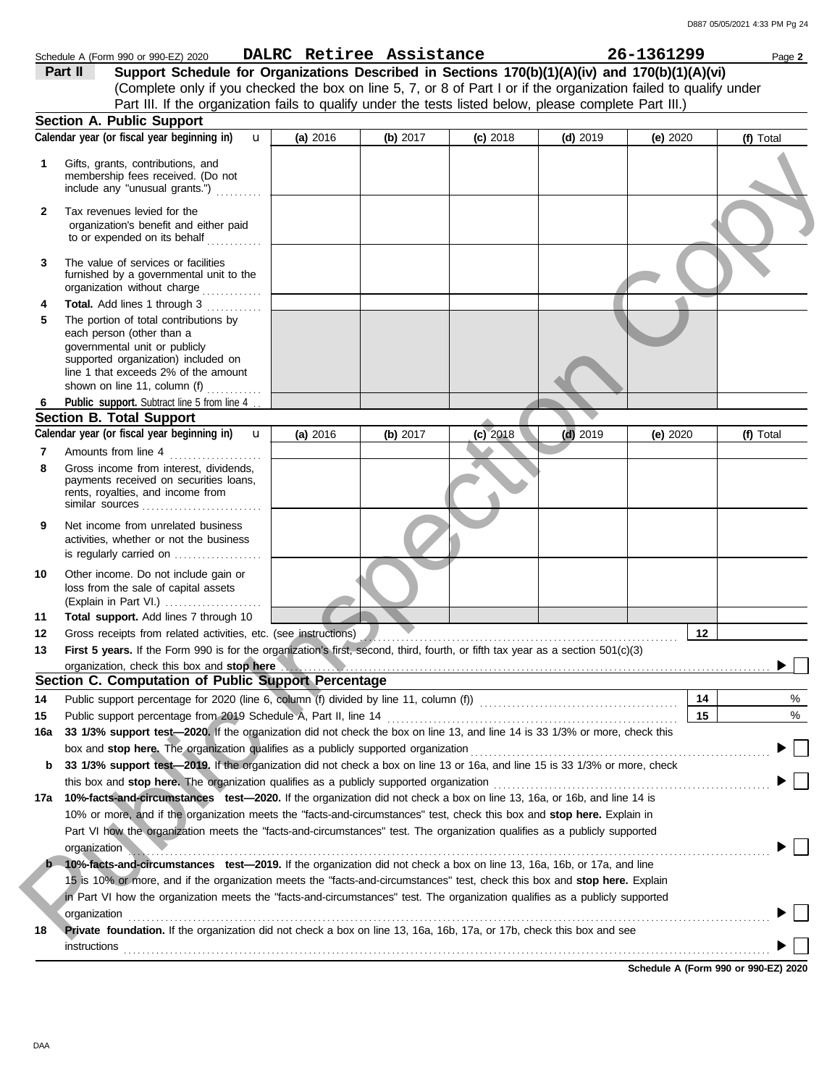|     | Schedule A (Form 990 or 990-EZ) 2020                                                                                                                                                                                                                 |          | DALRC Retiree Assistance |            |            | 26-1361299 | Page 2    |
|-----|------------------------------------------------------------------------------------------------------------------------------------------------------------------------------------------------------------------------------------------------------|----------|--------------------------|------------|------------|------------|-----------|
|     | Support Schedule for Organizations Described in Sections 170(b)(1)(A)(iv) and 170(b)(1)(A)(vi)<br>Part II                                                                                                                                            |          |                          |            |            |            |           |
|     | (Complete only if you checked the box on line 5, 7, or 8 of Part I or if the organization failed to qualify under                                                                                                                                    |          |                          |            |            |            |           |
|     | Part III. If the organization fails to qualify under the tests listed below, please complete Part III.)                                                                                                                                              |          |                          |            |            |            |           |
|     | <b>Section A. Public Support</b>                                                                                                                                                                                                                     |          |                          |            |            |            |           |
|     | Calendar year (or fiscal year beginning in)<br>$\mathbf{u}$                                                                                                                                                                                          | (a) 2016 | (b) $2017$               | $(c)$ 2018 | $(d)$ 2019 | (e) 2020   | (f) Total |
| 1.  | Gifts, grants, contributions, and<br>membership fees received. (Do not<br>include any "unusual grants.")                                                                                                                                             |          |                          |            |            |            |           |
| 2   | Tax revenues levied for the<br>organization's benefit and either paid<br>to or expended on its behalf                                                                                                                                                |          |                          |            |            |            |           |
| 3   | The value of services or facilities<br>furnished by a governmental unit to the<br>organization without charge<br>.                                                                                                                                   |          |                          |            |            |            |           |
| 4   | Total. Add lines 1 through 3                                                                                                                                                                                                                         |          |                          |            |            |            |           |
| 5   | The portion of total contributions by<br>each person (other than a<br>governmental unit or publicly<br>supported organization) included on<br>line 1 that exceeds 2% of the amount<br>shown on line 11, column (f)                                   |          |                          |            |            |            |           |
| 6   | Public support. Subtract line 5 from line 4                                                                                                                                                                                                          |          |                          |            |            |            |           |
|     | <b>Section B. Total Support</b>                                                                                                                                                                                                                      |          |                          |            |            |            |           |
|     | Calendar year (or fiscal year beginning in)<br>$\mathbf{u}$                                                                                                                                                                                          | (a) 2016 | (b) 2017                 | $(c)$ 2018 | $(d)$ 2019 | (e) 2020   | (f) Total |
| 7   | Amounts from line 4                                                                                                                                                                                                                                  |          |                          |            |            |            |           |
| 8   | Gross income from interest, dividends,<br>payments received on securities loans,<br>rents, royalties, and income from                                                                                                                                |          |                          |            |            |            |           |
| 9   | Net income from unrelated business<br>activities, whether or not the business<br>is regularly carried on                                                                                                                                             |          |                          |            |            |            |           |
| 10  | Other income. Do not include gain or<br>loss from the sale of capital assets<br>(Explain in Part VI.)                                                                                                                                                |          |                          |            |            |            |           |
| 11  | Total support. Add lines 7 through 10                                                                                                                                                                                                                |          |                          |            |            |            |           |
| 12  | Gross receipts from related activities, etc. (see instructions)                                                                                                                                                                                      |          |                          |            |            | 12         |           |
| 13  | First 5 years. If the Form 990 is for the organization's first, second, third, fourth, or fifth tax year as a section 501(c)(3)                                                                                                                      |          |                          |            |            |            |           |
|     | organization, check this box and stop here <b>Manual Community of the Community of the Community of the Community</b>                                                                                                                                |          |                          |            |            |            |           |
|     | Section C. Computation of Public Support Percentage                                                                                                                                                                                                  |          |                          |            |            |            |           |
| 14  |                                                                                                                                                                                                                                                      |          |                          |            |            | 14         | %         |
| 15  | Public support percentage from 2019 Schedule A, Part II, line 14                                                                                                                                                                                     |          |                          |            |            | 15         | %         |
| 16a | 33 1/3% support test-2020. If the organization did not check the box on line 13, and line 14 is 33 1/3% or more, check this                                                                                                                          |          |                          |            |            |            |           |
|     | box and stop here. The organization qualifies as a publicly supported organization                                                                                                                                                                   |          |                          |            |            |            |           |
| b   | 33 1/3% support test-2019. If the organization did not check a box on line 13 or 16a, and line 15 is 33 1/3% or more, check                                                                                                                          |          |                          |            |            |            |           |
|     | this box and stop here. The organization qualifies as a publicly supported organization                                                                                                                                                              |          |                          |            |            |            |           |
|     | 17a 10%-facts-and-circumstances test-2020. If the organization did not check a box on line 13, 16a, or 16b, and line 14 is                                                                                                                           |          |                          |            |            |            |           |
|     | 10% or more, and if the organization meets the "facts-and-circumstances" test, check this box and stop here. Explain in<br>Part VI how the organization meets the "facts-and-circumstances" test. The organization qualifies as a publicly supported |          |                          |            |            |            |           |
|     | organization                                                                                                                                                                                                                                         |          |                          |            |            |            |           |
|     | 10%-facts-and-circumstances test-2019. If the organization did not check a box on line 13, 16a, 16b, or 17a, and line<br>15 is 10% or more, and if the organization meets the "facts-and-circumstances" test, check this box and stop here. Explain  |          |                          |            |            |            |           |
|     | in Part VI how the organization meets the "facts-and-circumstances" test. The organization qualifies as a publicly supported<br>organization                                                                                                         |          |                          |            |            |            |           |
| 18  | Private foundation. If the organization did not check a box on line 13, 16a, 16b, 17a, or 17b, check this box and see                                                                                                                                |          |                          |            |            |            |           |
|     | <b>instructions</b>                                                                                                                                                                                                                                  |          |                          |            |            |            |           |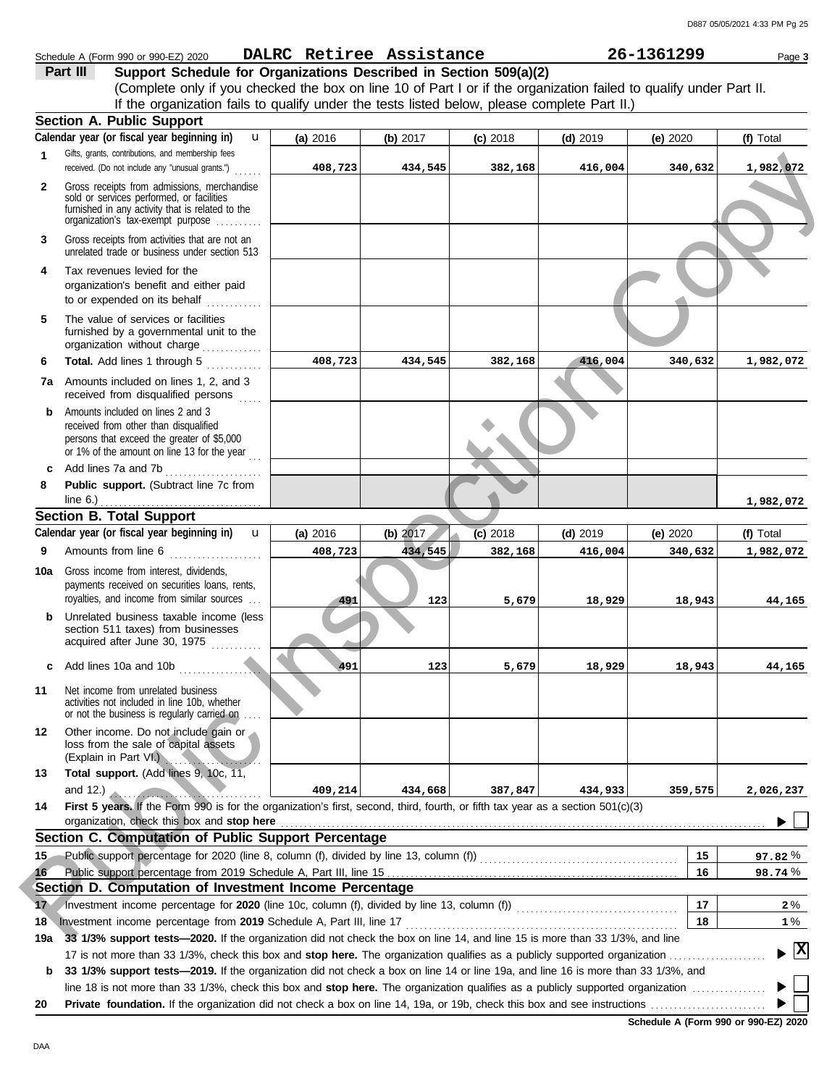|              | Schedule A (Form 990 or 990-EZ) 2020                                                                                                                                                                                                                                 | DALRC Retiree Assistance |          |            |            | 26-1361299 | Page 3                          |
|--------------|----------------------------------------------------------------------------------------------------------------------------------------------------------------------------------------------------------------------------------------------------------------------|--------------------------|----------|------------|------------|------------|---------------------------------|
|              | Part III<br>Support Schedule for Organizations Described in Section 509(a)(2)                                                                                                                                                                                        |                          |          |            |            |            |                                 |
|              | (Complete only if you checked the box on line 10 of Part I or if the organization failed to qualify under Part II.                                                                                                                                                   |                          |          |            |            |            |                                 |
|              | If the organization fails to qualify under the tests listed below, please complete Part II.)                                                                                                                                                                         |                          |          |            |            |            |                                 |
|              | <b>Section A. Public Support</b>                                                                                                                                                                                                                                     |                          |          |            |            |            |                                 |
|              | Calendar year (or fiscal year beginning in)<br><b>u</b>                                                                                                                                                                                                              | (a) 2016                 | (b) 2017 | $(c)$ 2018 | $(d)$ 2019 | (e) 2020   | (f) Total                       |
| 1            | Gifts, grants, contributions, and membership fees<br>received. (Do not include any "unusual grants.")                                                                                                                                                                | 408,723                  | 434,545  | 382,168    | 416,004    | 340,632    | 1,982,072                       |
| $\mathbf{2}$ | Gross receipts from admissions, merchandise<br>sold or services performed, or facilities<br>furnished in any activity that is related to the<br>organization's tax-exempt purpose                                                                                    |                          |          |            |            |            |                                 |
| 3.           | Gross receipts from activities that are not an<br>unrelated trade or business under section 513                                                                                                                                                                      |                          |          |            |            |            |                                 |
| 4            | Tax revenues levied for the<br>organization's benefit and either paid<br>to or expended on its behalf                                                                                                                                                                |                          |          |            |            |            |                                 |
| 5            | The value of services or facilities<br>furnished by a governmental unit to the<br>organization without charge                                                                                                                                                        |                          |          |            |            |            |                                 |
| 6            | Total. Add lines 1 through 5                                                                                                                                                                                                                                         | 408,723                  | 434,545  | 382,168    | 416,004    | 340,632    | 1,982,072                       |
| 7a           | Amounts included on lines 1, 2, and 3<br>received from disqualified persons                                                                                                                                                                                          |                          |          |            |            |            |                                 |
| b            | Amounts included on lines 2 and 3<br>received from other than disqualified<br>persons that exceed the greater of \$5,000<br>or 1% of the amount on line 13 for the year                                                                                              |                          |          |            |            |            |                                 |
| c            | Add lines 7a and 7b                                                                                                                                                                                                                                                  |                          |          |            |            |            |                                 |
| 8            | Public support. (Subtract line 7c from                                                                                                                                                                                                                               |                          |          |            |            |            |                                 |
|              | line $6.$ )                                                                                                                                                                                                                                                          |                          |          |            |            |            | 1,982,072                       |
|              | <b>Section B. Total Support</b>                                                                                                                                                                                                                                      |                          |          |            |            |            |                                 |
|              | Calendar year (or fiscal year beginning in)<br>$\mathbf{u}$                                                                                                                                                                                                          | (a) 2016                 | (b) 2017 | $(c)$ 2018 | $(d)$ 2019 | (e) $2020$ | (f) Total                       |
| 9            | Amounts from line 6                                                                                                                                                                                                                                                  | 408,723                  | 434,545  | 382,168    | 416,004    | 340,632    | 1,982,072                       |
| 10a          | Gross income from interest, dividends,<br>payments received on securities loans, rents,<br>royalties, and income from similar sources                                                                                                                                |                          | 123      |            |            |            |                                 |
| b            | Unrelated business taxable income (less<br>section 511 taxes) from businesses<br>acquired after June 30, 1975                                                                                                                                                        | 491                      |          | 5,679      | 18,929     | 18,943     | 44,165                          |
| c            | Add lines 10a and 10b                                                                                                                                                                                                                                                | 491                      | 123      | 5,679      | 18,929     | 18,943     | 44,165                          |
| 11           | Net income from unrelated business<br>activities not included in line 10b, whether<br>or not the business is regularly carried on                                                                                                                                    |                          |          |            |            |            |                                 |
| 12           | Other income. Do not include gain or<br>loss from the sale of capital assets<br>(Explain in Part VI.)                                                                                                                                                                |                          |          |            |            |            |                                 |
| 13           | Total support. (Add lines 9, 10c, 11,                                                                                                                                                                                                                                |                          |          |            |            |            |                                 |
|              | and 12.)                                                                                                                                                                                                                                                             | 409,214                  | 434,668  | 387,847    | 434,933    | 359,575    | 2,026,237                       |
| 14           | First 5 years. If the Form 990 is for the organization's first, second, third, fourth, or fifth tax year as a section 501(c)(3)<br>organization, check this box and stop here                                                                                        |                          |          |            |            |            |                                 |
|              | Section C. Computation of Public Support Percentage                                                                                                                                                                                                                  |                          |          |            |            |            |                                 |
| 15.          |                                                                                                                                                                                                                                                                      |                          |          |            |            | 15         | 97.82%                          |
| 16           |                                                                                                                                                                                                                                                                      |                          |          |            |            | 16         | 98.74 %                         |
|              | Section D. Computation of Investment Income Percentage                                                                                                                                                                                                               |                          |          |            |            |            |                                 |
| 17           | Investment income percentage for 2020 (line 10c, column (f), divided by line 13, column (f))<br>1920 marrors (f)                                                                                                                                                     |                          |          |            |            | 17         | $2\%$                           |
| 18`          |                                                                                                                                                                                                                                                                      |                          |          |            |            | 18         | $1\%$                           |
| 19a          | 33 1/3% support tests-2020. If the organization did not check the box on line 14, and line 15 is more than 33 1/3%, and line                                                                                                                                         |                          |          |            |            |            | $\blacktriangleright$ $\vert$ X |
| b            | 33 1/3% support tests—2019. If the organization did not check a box on line 14 or line 19a, and line 16 is more than 33 1/3%, and<br>line 18 is not more than 33 1/3%, check this box and stop here. The organization qualifies as a publicly supported organization |                          |          |            |            |            |                                 |
| 20           |                                                                                                                                                                                                                                                                      |                          |          |            |            |            |                                 |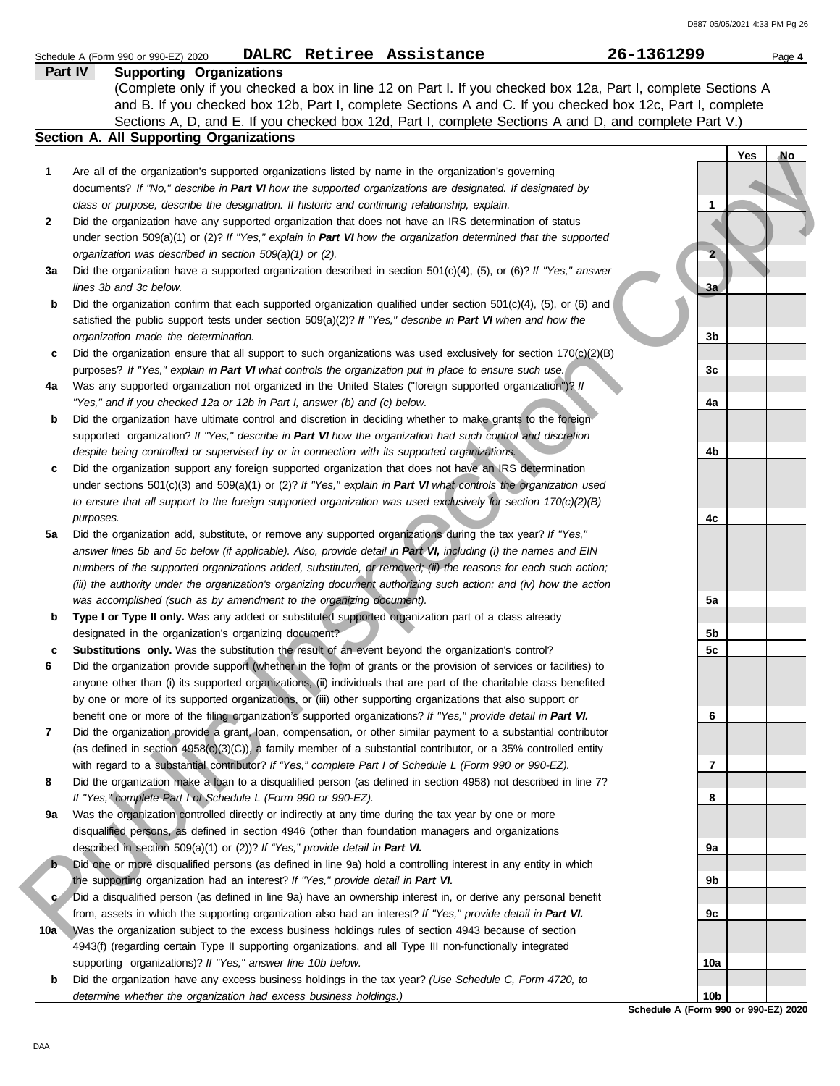#### **Part IV Supporting Organizations** Sections A, D, and E. If you checked box 12d, Part I, complete Sections A and D, and complete Part V.) Schedule A (Form 990 or 990-EZ) 2020 Page **4 DALRC Retiree Assistance 26-1361299 Section A. All Supporting Organizations** (Complete only if you checked a box in line 12 on Part I. If you checked box 12a, Part I, complete Sections A and B. If you checked box 12b, Part I, complete Sections A and C. If you checked box 12c, Part I, complete Are all of the organization's supported organizations listed by name in the organization's governing documents? *If "No," describe in Part VI how the supported organizations are designated. If designated by class or purpose, describe the designation. If historic and continuing relationship, explain.* Did the organization have any supported organization that does not have an IRS determination of status under section 509(a)(1) or (2)? *If "Yes," explain in Part VI how the organization determined that the supported organization was described in section 509(a)(1) or (2).* **1 2 3a** Did the organization have a supported organization described in section 501(c)(4), (5), or (6)? *If "Yes," answer* **b c 4a** Was any supported organization not organized in the United States ("foreign supported organization")? *If* **b** Did the organization have ultimate control and discretion in deciding whether to make grants to the foreign **c** Did the organization support any foreign supported organization that does not have an IRS determination **5a b c 6 7 8 9a b** Did one or more disqualified persons (as defined in line 9a) hold a controlling interest in any entity in which **c** Did a disqualified person (as defined in line 9a) have an ownership interest in, or derive any personal benefit **10a b** *lines 3b and 3c below.* Did the organization confirm that each supported organization qualified under section 501(c)(4), (5), or (6) and satisfied the public support tests under section 509(a)(2)? *If "Yes," describe in Part VI when and how the organization made the determination.* Did the organization ensure that all support to such organizations was used exclusively for section  $170 \text{(c)}(2)(\text{B})$ purposes? *If "Yes," explain in Part VI what controls the organization put in place to ensure such use. "Yes," and if you checked 12a or 12b in Part I, answer (b) and (c) below.* supported organization? *If "Yes," describe in Part VI how the organization had such control and discretion despite being controlled or supervised by or in connection with its supported organizations.* under sections 501(c)(3) and 509(a)(1) or (2)? *If "Yes," explain in Part VI what controls the organization used to ensure that all support to the foreign supported organization was used exclusively for section 170(c)(2)(B) purposes.* Did the organization add, substitute, or remove any supported organizations during the tax year? *If "Yes," answer lines 5b and 5c below (if applicable). Also, provide detail in Part VI, including (i) the names and EIN numbers of the supported organizations added, substituted, or removed; (ii) the reasons for each such action; (iii) the authority under the organization's organizing document authorizing such action; and (iv) how the action was accomplished (such as by amendment to the organizing document).* **Type I or Type II only.** Was any added or substituted supported organization part of a class already designated in the organization's organizing document? **Substitutions only.** Was the substitution the result of an event beyond the organization's control? Did the organization provide support (whether in the form of grants or the provision of services or facilities) to anyone other than (i) its supported organizations, (ii) individuals that are part of the charitable class benefited by one or more of its supported organizations, or (iii) other supporting organizations that also support or benefit one or more of the filing organization's supported organizations? *If "Yes," provide detail in Part VI.* Did the organization provide a grant, loan, compensation, or other similar payment to a substantial contributor (as defined in section 4958(c)(3)(C)), a family member of a substantial contributor, or a 35% controlled entity with regard to a substantial contributor? *If "Yes," complete Part I of Schedule L (Form 990 or 990-EZ).* Did the organization make a loan to a disqualified person (as defined in section 4958) not described in line 7? *If "Yes," complete Part I of Schedule L (Form 990 or 990-EZ).* Was the organization controlled directly or indirectly at any time during the tax year by one or more disqualified persons, as defined in section 4946 (other than foundation managers and organizations described in section 509(a)(1) or (2))? *If "Yes," provide detail in Part VI.* the supporting organization had an interest? *If "Yes," provide detail in Part VI.* from, assets in which the supporting organization also had an interest? *If "Yes," provide detail in Part VI.* Was the organization subject to the excess business holdings rules of section 4943 because of section 4943(f) (regarding certain Type II supporting organizations, and all Type III non-functionally integrated supporting organizations)? *If "Yes," answer line 10b below.* Did the organization have any excess business holdings in the tax year? *(Use Schedule C, Form 4720, to determine whether the organization had excess business holdings.)* **Yes No 1 2 3a 3b 3c 4a 4b 4c 5a 5b 5c 6 7 8 9a 9b 9c 10a 10b** 1 A sui of the regarded cross where the species the species the species of the species of the species of the species of the species of the species of the species of the species of the species of the species of the specie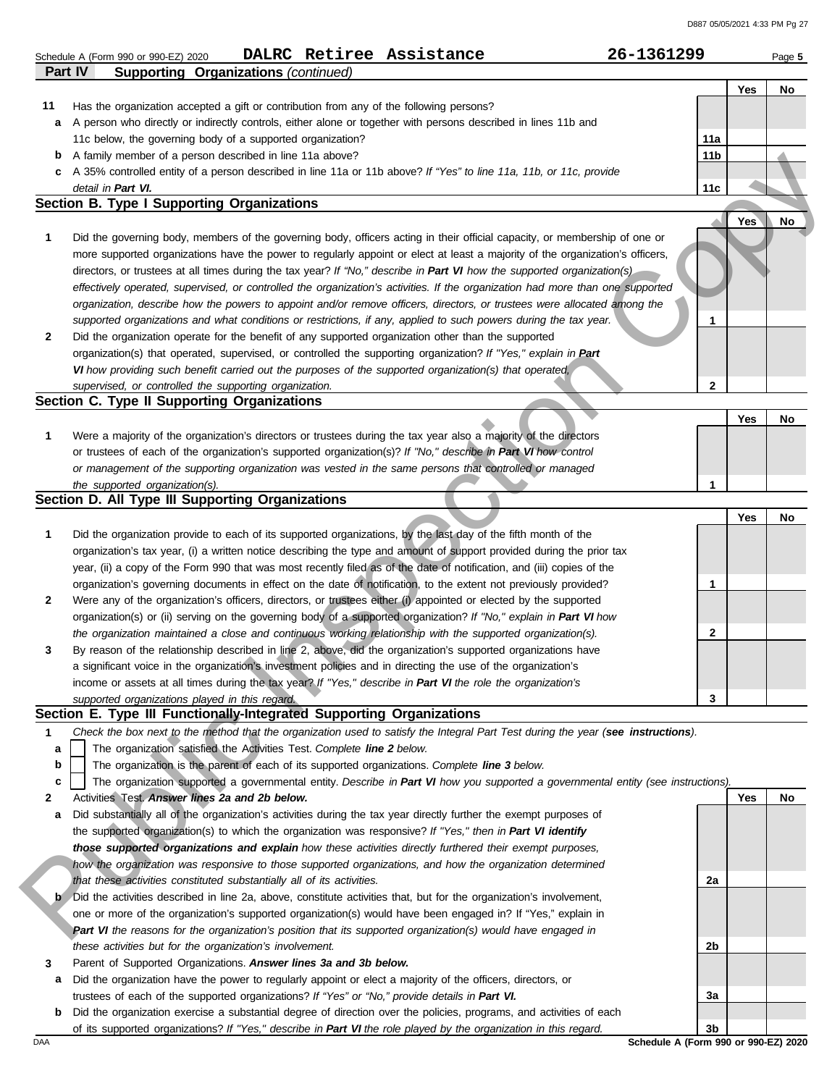|              | DALRC Retiree Assistance<br>Schedule A (Form 990 or 990-EZ) 2020                                                                  | 26-1361299      |     | Page 5 |
|--------------|-----------------------------------------------------------------------------------------------------------------------------------|-----------------|-----|--------|
|              | Part IV<br><b>Supporting Organizations (continued)</b>                                                                            |                 |     |        |
|              |                                                                                                                                   |                 | Yes | No     |
| 11           | Has the organization accepted a gift or contribution from any of the following persons?                                           |                 |     |        |
| а            | A person who directly or indirectly controls, either alone or together with persons described in lines 11b and                    |                 |     |        |
|              | 11c below, the governing body of a supported organization?                                                                        | 11a             |     |        |
| b            | A family member of a person described in line 11a above?                                                                          | 11 <sub>b</sub> |     |        |
|              | A 35% controlled entity of a person described in line 11a or 11b above? If "Yes" to line 11a, 11b, or 11c, provide                |                 |     |        |
|              | detail in Part VI.                                                                                                                | 11c             |     |        |
|              | <b>Section B. Type I Supporting Organizations</b>                                                                                 |                 |     |        |
|              |                                                                                                                                   |                 | Yes | No     |
| 1            | Did the governing body, members of the governing body, officers acting in their official capacity, or membership of one or        |                 |     |        |
|              | more supported organizations have the power to regularly appoint or elect at least a majority of the organization's officers,     |                 |     |        |
|              | directors, or trustees at all times during the tax year? If "No," describe in Part VI how the supported organization(s)           |                 |     |        |
|              | effectively operated, supervised, or controlled the organization's activities. If the organization had more than one supported    |                 |     |        |
|              | organization, describe how the powers to appoint and/or remove officers, directors, or trustees were allocated among the          |                 |     |        |
|              | supported organizations and what conditions or restrictions, if any, applied to such powers during the tax year.                  | 1               |     |        |
| $\mathbf{2}$ | Did the organization operate for the benefit of any supported organization other than the supported                               |                 |     |        |
|              | organization(s) that operated, supervised, or controlled the supporting organization? If "Yes," explain in Part                   |                 |     |        |
|              | VI how providing such benefit carried out the purposes of the supported organization(s) that operated,                            |                 |     |        |
|              | supervised, or controlled the supporting organization.                                                                            | $\mathbf{2}$    |     |        |
|              | Section C. Type II Supporting Organizations                                                                                       |                 |     |        |
|              |                                                                                                                                   |                 | Yes | No     |
| 1            | Were a majority of the organization's directors or trustees during the tax year also a majority of the directors                  |                 |     |        |
|              | or trustees of each of the organization's supported organization(s)? If "No," describe in Part VI how control                     |                 |     |        |
|              | or management of the supporting organization was vested in the same persons that controlled or managed                            |                 |     |        |
|              | the supported organization(s).                                                                                                    | 1               |     |        |
|              | Section D. All Type III Supporting Organizations                                                                                  |                 |     |        |
|              |                                                                                                                                   |                 | Yes | No     |
| 1            | Did the organization provide to each of its supported organizations, by the last day of the fifth month of the                    |                 |     |        |
|              | organization's tax year, (i) a written notice describing the type and amount of support provided during the prior tax             |                 |     |        |
|              | year, (ii) a copy of the Form 990 that was most recently filed as of the date of notification, and (iii) copies of the            |                 |     |        |
|              | organization's governing documents in effect on the date of notification, to the extent not previously provided?                  | 1.              |     |        |
| 2            | Were any of the organization's officers, directors, or trustees either (i) appointed or elected by the supported                  |                 |     |        |
|              | organization(s) or (ii) serving on the governing body of a supported organization? If "No," explain in Part VI how                |                 |     |        |
|              | the organization maintained a close and continuous working relationship with the supported organization(s).                       | 2               |     |        |
| 3            | By reason of the relationship described in line 2, above, did the organization's supported organizations have                     |                 |     |        |
|              | a significant voice in the organization's investment policies and in directing the use of the organization's                      |                 |     |        |
|              | income or assets at all times during the tax year? If "Yes," describe in Part VI the role the organization's                      |                 |     |        |
|              | supported organizations played in this regard.<br>Section E. Type III Functionally-Integrated Supporting Organizations            | 3               |     |        |
|              |                                                                                                                                   |                 |     |        |
| $\mathbf{1}$ | Check the box next to the method that the organization used to satisfy the Integral Part Test during the year (see instructions). |                 |     |        |
| a<br>b       | The organization satisfied the Activities Test. Complete line 2 below.                                                            |                 |     |        |
|              | The organization is the parent of each of its supported organizations. Complete line 3 below.                                     |                 |     |        |
| c            | The organization supported a governmental entity. Describe in Part VI how you supported a governmental entity (see instructions). |                 |     |        |
| 2            | Activities Test. Answer lines 2a and 2b below.                                                                                    |                 | Yes | No     |
| а            | Did substantially all of the organization's activities during the tax year directly further the exempt purposes of                |                 |     |        |
|              | the supported organization(s) to which the organization was responsive? If "Yes," then in Part VI identify                        |                 |     |        |
|              | those supported organizations and explain how these activities directly furthered their exempt purposes,                          |                 |     |        |
|              | how the organization was responsive to those supported organizations, and how the organization determined                         |                 |     |        |
|              | that these activities constituted substantially all of its activities.                                                            | 2a              |     |        |
|              | Did the activities described in line 2a, above, constitute activities that, but for the organization's involvement,               |                 |     |        |
|              | one or more of the organization's supported organization(s) would have been engaged in? If "Yes," explain in                      |                 |     |        |
|              | Part VI the reasons for the organization's position that its supported organization(s) would have engaged in                      |                 |     |        |
|              | these activities but for the organization's involvement.                                                                          | 2b              |     |        |
| 3            | Parent of Supported Organizations. Answer lines 3a and 3b below.                                                                  |                 |     |        |
| a            | Did the organization have the power to regularly appoint or elect a majority of the officers, directors, or                       |                 |     |        |
|              | trustees of each of the supported organizations? If "Yes" or "No," provide details in Part VI.                                    | За              |     |        |
| b            | Did the organization exercise a substantial degree of direction over the policies, programs, and activities of each               |                 |     |        |
|              | of its supported organizations? If "Yes," describe in Part VI the role played by the organization in this regard.                 | 3b              |     |        |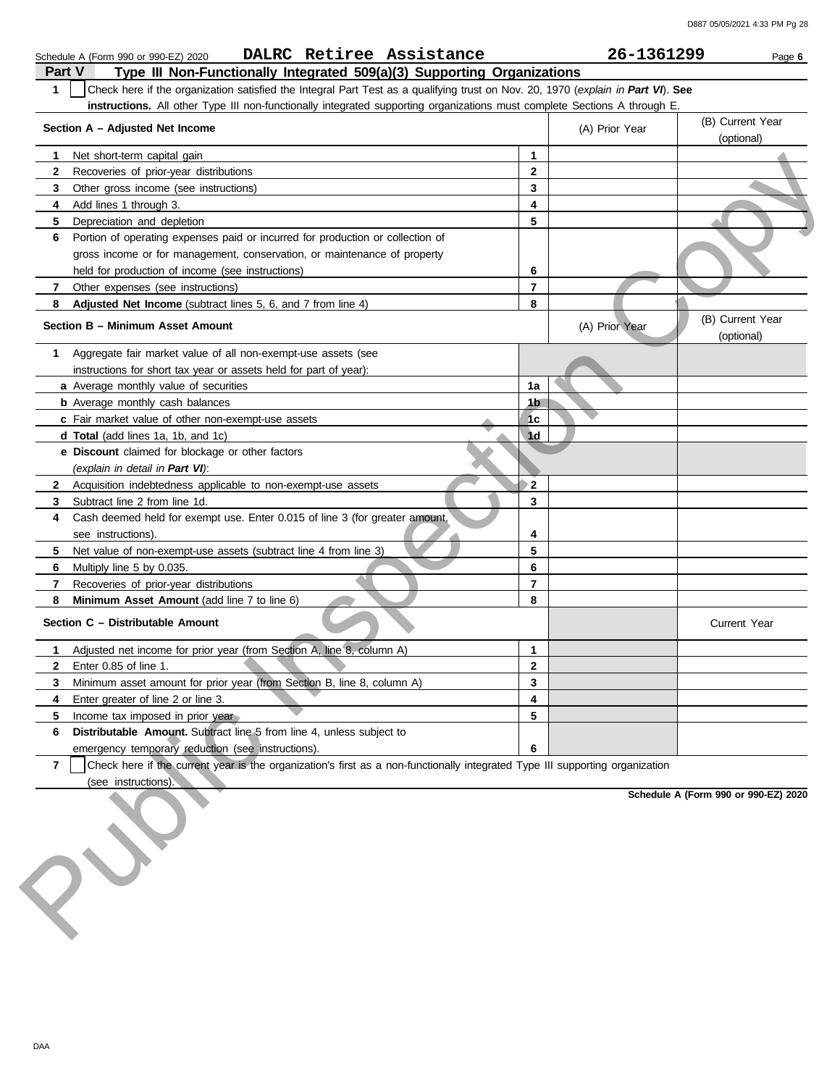|              | Part V<br>Type III Non-Functionally Integrated 509(a)(3) Supporting Organizations                                                                                                 |                     |                |                                      |
|--------------|-----------------------------------------------------------------------------------------------------------------------------------------------------------------------------------|---------------------|----------------|--------------------------------------|
| 1            | Check here if the organization satisfied the Integral Part Test as a qualifying trust on Nov. 20, 1970 (explain in Part VI). See                                                  |                     |                |                                      |
|              | instructions. All other Type III non-functionally integrated supporting organizations must complete Sections A through E.<br>Section A - Adjusted Net Income                      |                     | (A) Prior Year | (B) Current Year                     |
|              |                                                                                                                                                                                   |                     |                | (optional)                           |
|              | Net short-term capital gain                                                                                                                                                       | $\mathbf 1$         |                |                                      |
| 2            | Recoveries of prior-year distributions                                                                                                                                            | $\mathbf{2}$        |                |                                      |
| 3            | Other gross income (see instructions)                                                                                                                                             | 3                   |                |                                      |
| 4            | Add lines 1 through 3.                                                                                                                                                            | 4                   |                |                                      |
| 5            | Depreciation and depletion                                                                                                                                                        | 5                   |                |                                      |
| 6            | Portion of operating expenses paid or incurred for production or collection of                                                                                                    |                     |                |                                      |
|              | gross income or for management, conservation, or maintenance of property                                                                                                          |                     |                |                                      |
|              | held for production of income (see instructions)                                                                                                                                  | 6<br>$\overline{7}$ |                |                                      |
| 7            | Other expenses (see instructions)                                                                                                                                                 | 8                   |                |                                      |
| 8            | Adjusted Net Income (subtract lines 5, 6, and 7 from line 4)                                                                                                                      |                     |                | (B) Current Year                     |
|              | Section B - Minimum Asset Amount                                                                                                                                                  |                     | (A) Prior Year | (optional)                           |
| 1.           | Aggregate fair market value of all non-exempt-use assets (see                                                                                                                     |                     |                |                                      |
|              | instructions for short tax year or assets held for part of year):                                                                                                                 |                     |                |                                      |
|              | a Average monthly value of securities                                                                                                                                             | 1a                  |                |                                      |
|              | <b>b</b> Average monthly cash balances                                                                                                                                            | 1 <sub>b</sub>      |                |                                      |
|              | c Fair market value of other non-exempt-use assets                                                                                                                                | 1c                  |                |                                      |
|              | d Total (add lines 1a, 1b, and 1c)                                                                                                                                                | 1 <sub>d</sub>      |                |                                      |
|              | e Discount claimed for blockage or other factors                                                                                                                                  |                     |                |                                      |
|              | (explain in detail in Part VI):                                                                                                                                                   |                     |                |                                      |
|              | 2 Acquisition indebtedness applicable to non-exempt-use assets                                                                                                                    | $\mathbf{2}$        |                |                                      |
| 3            | Subtract line 2 from line 1d.                                                                                                                                                     | 3                   |                |                                      |
| 4            | Cash deemed held for exempt use. Enter 0.015 of line 3 (for greater amount,                                                                                                       |                     |                |                                      |
|              | see instructions).                                                                                                                                                                | 4                   |                |                                      |
| 5.           | Net value of non-exempt-use assets (subtract line 4 from line 3)                                                                                                                  | 5                   |                |                                      |
| 6            | Multiply line 5 by 0.035.                                                                                                                                                         | 6                   |                |                                      |
| 7            | Recoveries of prior-year distributions                                                                                                                                            | $\overline{7}$      |                |                                      |
| 8            | Minimum Asset Amount (add line 7 to line 6)<br>Section C - Distributable Amount                                                                                                   | 8                   |                | <b>Current Year</b>                  |
|              |                                                                                                                                                                                   |                     |                |                                      |
|              | 1 Adjusted net income for prior year (from Section A. line 8, column A)                                                                                                           | $\mathbf{1}$        |                |                                      |
| $\mathbf{2}$ | Enter 0.85 of line 1.                                                                                                                                                             | $\mathbf{2}$        |                |                                      |
| 3            | Minimum asset amount for prior year (from Section B, line 8, column A)                                                                                                            | 3                   |                |                                      |
| 4            | Enter greater of line 2 or line 3.                                                                                                                                                | 4                   |                |                                      |
| 5            | Income tax imposed in prior year                                                                                                                                                  | 5                   |                |                                      |
| 6            | Distributable Amount. Subtract line 5 from line 4, unless subject to                                                                                                              |                     |                |                                      |
| 7            | emergency temporary reduction (see instructions).<br>Check here if the current year is the organization's first as a non-functionally integrated Type III supporting organization | 6                   |                |                                      |
|              | (see instructions).                                                                                                                                                               |                     |                |                                      |
|              |                                                                                                                                                                                   |                     |                | Schedule A (Form 990 or 990-EZ) 2020 |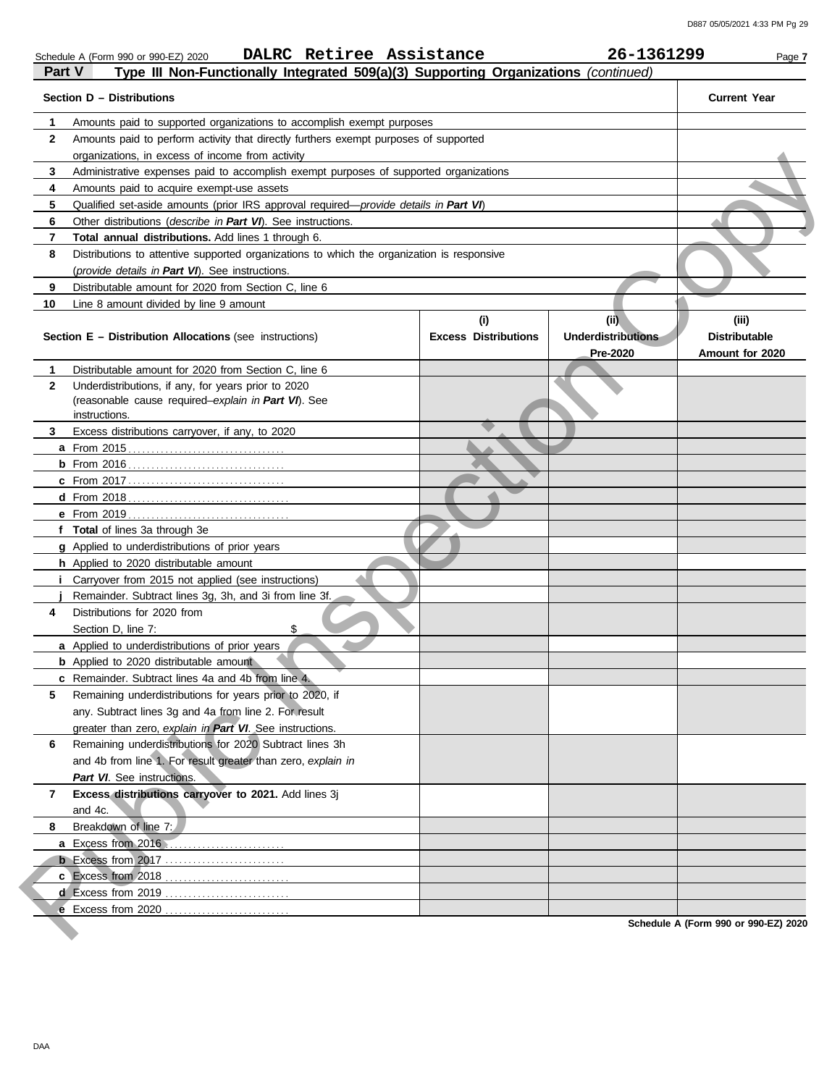### Schedule A (Form 990 or 990-EZ) 2020 Page **7 DALRC Retiree Assistance 26-1361299**

|    | Section D - Distributions                                                                                  |                                    |                                   | <b>Current Year</b>           |
|----|------------------------------------------------------------------------------------------------------------|------------------------------------|-----------------------------------|-------------------------------|
| 1. | Amounts paid to supported organizations to accomplish exempt purposes                                      |                                    |                                   |                               |
| 2  | Amounts paid to perform activity that directly furthers exempt purposes of supported                       |                                    |                                   |                               |
|    | organizations, in excess of income from activity                                                           |                                    |                                   |                               |
| 3  | Administrative expenses paid to accomplish exempt purposes of supported organizations                      |                                    |                                   |                               |
| 4  | Amounts paid to acquire exempt-use assets                                                                  |                                    |                                   |                               |
| 5  | Qualified set-aside amounts (prior IRS approval required—provide details in Part VI)                       |                                    |                                   |                               |
| 6  | Other distributions (describe in Part VI). See instructions.                                               |                                    |                                   |                               |
|    | Total annual distributions. Add lines 1 through 6.                                                         |                                    |                                   |                               |
| 8  | Distributions to attentive supported organizations to which the organization is responsive                 |                                    |                                   |                               |
|    | (provide details in Part VI). See instructions.                                                            |                                    |                                   |                               |
| 9  | Distributable amount for 2020 from Section C, line 6                                                       |                                    |                                   |                               |
| 10 | Line 8 amount divided by line 9 amount                                                                     |                                    |                                   |                               |
|    | <b>Section E - Distribution Allocations (see instructions)</b>                                             | (i)<br><b>Excess Distributions</b> | (ii)<br><b>Underdistributions</b> | (iii)<br><b>Distributable</b> |
|    |                                                                                                            |                                    | Pre-2020                          | Amount for 2020               |
| 1. | Distributable amount for 2020 from Section C, line 6                                                       |                                    |                                   |                               |
| 2  | Underdistributions, if any, for years prior to 2020<br>(reasonable cause required-explain in Part VI). See |                                    |                                   |                               |
|    | instructions.                                                                                              |                                    |                                   |                               |
|    | Excess distributions carryover, if any, to 2020                                                            |                                    |                                   |                               |
|    | a From 2015.                                                                                               |                                    |                                   |                               |
|    |                                                                                                            |                                    |                                   |                               |
|    |                                                                                                            |                                    |                                   |                               |
|    |                                                                                                            |                                    |                                   |                               |
|    | f Total of lines 3a through 3e                                                                             |                                    |                                   |                               |
|    |                                                                                                            |                                    |                                   |                               |
|    | g Applied to underdistributions of prior years<br>h Applied to 2020 distributable amount                   |                                    |                                   |                               |
|    | Carryover from 2015 not applied (see instructions)                                                         |                                    |                                   |                               |
|    | Remainder. Subtract lines 3g, 3h, and 3i from line 3f.                                                     |                                    |                                   |                               |
|    | Distributions for 2020 from<br>\$<br>Section D, line 7:                                                    |                                    |                                   |                               |
|    | a Applied to underdistributions of prior years                                                             |                                    |                                   |                               |
|    | <b>b</b> Applied to 2020 distributable amount                                                              |                                    |                                   |                               |
|    | c Remainder. Subtract lines 4a and 4b from line 4.                                                         |                                    |                                   |                               |
| 5  | Remaining underdistributions for years prior to 2020, if                                                   |                                    |                                   |                               |
|    | any. Subtract lines 3g and 4a from line 2. For result                                                      |                                    |                                   |                               |
|    | greater than zero, explain in Part VI. See instructions.                                                   |                                    |                                   |                               |
| 6  | Remaining underdistributions for 2020 Subtract lines 3h                                                    |                                    |                                   |                               |
|    | and 4b from line 1. For result greater than zero, explain in                                               |                                    |                                   |                               |
|    | Part VI. See instructions.                                                                                 |                                    |                                   |                               |
| 7  | Excess distributions carryover to 2021. Add lines 3j<br>and 4c.                                            |                                    |                                   |                               |
| 8  | Breakdown of line 7:                                                                                       |                                    |                                   |                               |
|    |                                                                                                            |                                    |                                   |                               |
|    |                                                                                                            |                                    |                                   |                               |
|    | c Excess from 2018                                                                                         |                                    |                                   |                               |
|    | d Excess from 2019                                                                                         |                                    |                                   |                               |
|    |                                                                                                            |                                    |                                   |                               |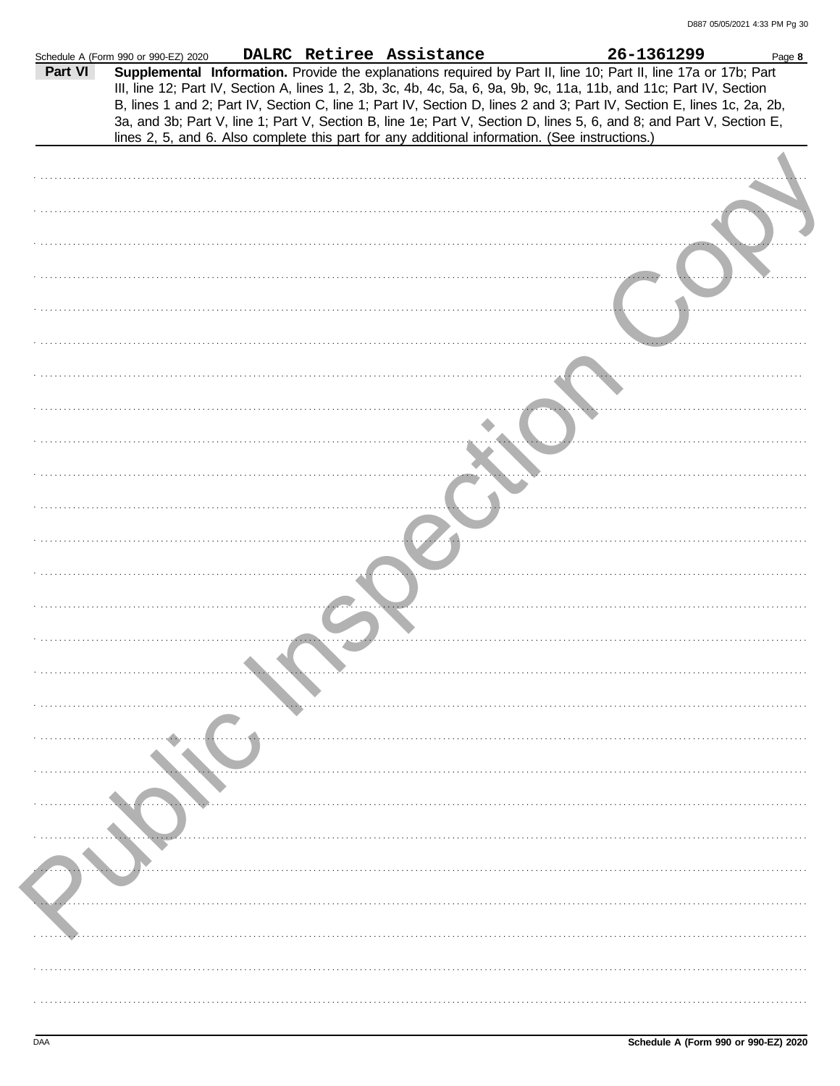|         | Schedule A (Form 990 or 990-EZ) 2020 |  | DALRC Retiree Assistance                                                                       | 26-1361299                                                                                                                                                                                                                                                                                                                                                        | Page 8 |
|---------|--------------------------------------|--|------------------------------------------------------------------------------------------------|-------------------------------------------------------------------------------------------------------------------------------------------------------------------------------------------------------------------------------------------------------------------------------------------------------------------------------------------------------------------|--------|
| Part VI |                                      |  |                                                                                                | Supplemental Information. Provide the explanations required by Part II, line 10; Part II, line 17a or 17b; Part<br>III, line 12; Part IV, Section A, lines 1, 2, 3b, 3c, 4b, 4c, 5a, 6, 9a, 9b, 9c, 11a, 11b, and 11c; Part IV, Section<br>B, lines 1 and 2; Part IV, Section C, line 1; Part IV, Section D, lines 2 and 3; Part IV, Section E, lines 1c, 2a, 2b, |        |
|         |                                      |  | lines 2, 5, and 6. Also complete this part for any additional information. (See instructions.) | 3a, and 3b; Part V, line 1; Part V, Section B, line 1e; Part V, Section D, lines 5, 6, and 8; and Part V, Section E,                                                                                                                                                                                                                                              |        |
|         |                                      |  |                                                                                                |                                                                                                                                                                                                                                                                                                                                                                   |        |
|         |                                      |  |                                                                                                |                                                                                                                                                                                                                                                                                                                                                                   |        |
|         |                                      |  |                                                                                                |                                                                                                                                                                                                                                                                                                                                                                   |        |
|         |                                      |  |                                                                                                |                                                                                                                                                                                                                                                                                                                                                                   |        |
|         |                                      |  |                                                                                                |                                                                                                                                                                                                                                                                                                                                                                   |        |
|         |                                      |  |                                                                                                |                                                                                                                                                                                                                                                                                                                                                                   |        |
|         |                                      |  |                                                                                                |                                                                                                                                                                                                                                                                                                                                                                   |        |
|         |                                      |  |                                                                                                |                                                                                                                                                                                                                                                                                                                                                                   |        |
|         |                                      |  |                                                                                                |                                                                                                                                                                                                                                                                                                                                                                   |        |
|         |                                      |  |                                                                                                |                                                                                                                                                                                                                                                                                                                                                                   |        |
|         |                                      |  |                                                                                                |                                                                                                                                                                                                                                                                                                                                                                   |        |
|         |                                      |  |                                                                                                |                                                                                                                                                                                                                                                                                                                                                                   |        |
|         |                                      |  |                                                                                                |                                                                                                                                                                                                                                                                                                                                                                   |        |
|         |                                      |  |                                                                                                |                                                                                                                                                                                                                                                                                                                                                                   |        |
|         |                                      |  |                                                                                                |                                                                                                                                                                                                                                                                                                                                                                   |        |
|         |                                      |  |                                                                                                |                                                                                                                                                                                                                                                                                                                                                                   |        |
|         |                                      |  |                                                                                                |                                                                                                                                                                                                                                                                                                                                                                   |        |
|         |                                      |  |                                                                                                |                                                                                                                                                                                                                                                                                                                                                                   |        |
|         |                                      |  |                                                                                                |                                                                                                                                                                                                                                                                                                                                                                   |        |
|         |                                      |  |                                                                                                |                                                                                                                                                                                                                                                                                                                                                                   |        |
|         |                                      |  |                                                                                                |                                                                                                                                                                                                                                                                                                                                                                   |        |
|         |                                      |  |                                                                                                |                                                                                                                                                                                                                                                                                                                                                                   |        |
|         |                                      |  |                                                                                                |                                                                                                                                                                                                                                                                                                                                                                   |        |
|         |                                      |  |                                                                                                |                                                                                                                                                                                                                                                                                                                                                                   |        |
|         |                                      |  |                                                                                                |                                                                                                                                                                                                                                                                                                                                                                   |        |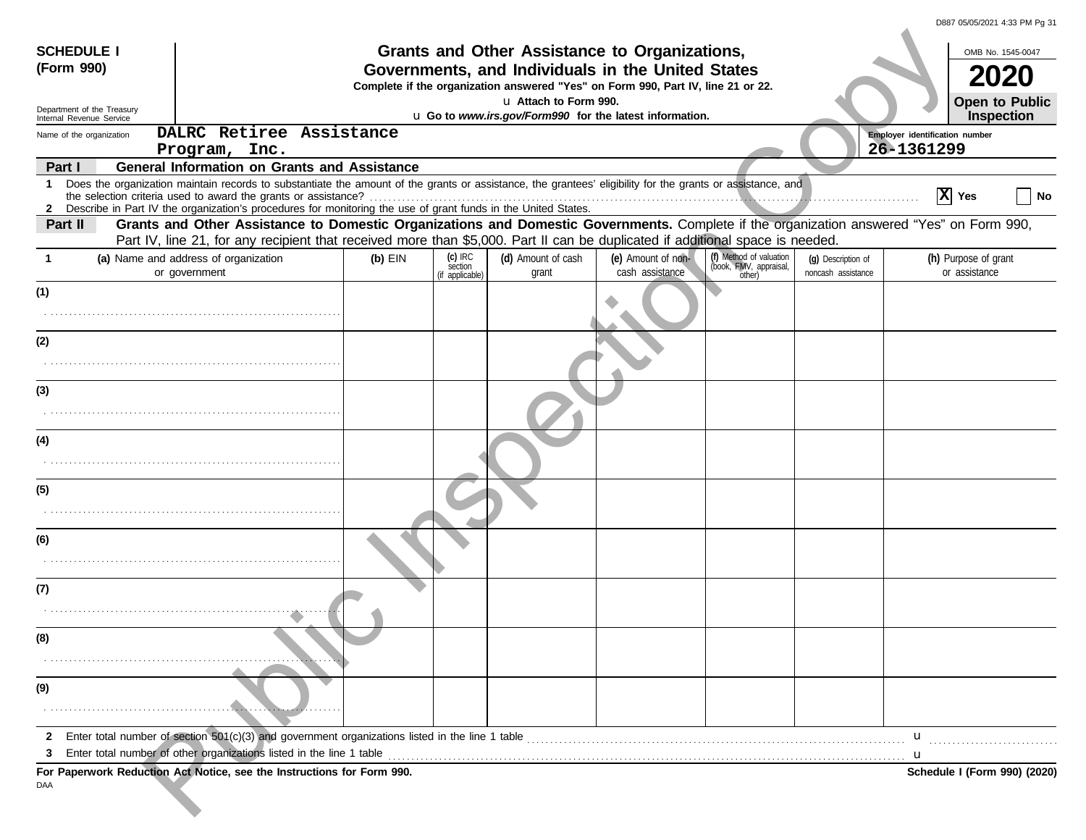| <b>SCHEDULE I</b>                                      |                                                                                                                                                                                                                                                                               |           |                                                                                                                                               | <b>Grants and Other Assistance to Organizations,</b>    |                                       |                                                             |                                          | OMB No. 1545-0047                            |  |  |
|--------------------------------------------------------|-------------------------------------------------------------------------------------------------------------------------------------------------------------------------------------------------------------------------------------------------------------------------------|-----------|-----------------------------------------------------------------------------------------------------------------------------------------------|---------------------------------------------------------|---------------------------------------|-------------------------------------------------------------|------------------------------------------|----------------------------------------------|--|--|
| (Form 990)                                             |                                                                                                                                                                                                                                                                               |           | Governments, and Individuals in the United States<br>2020<br>Complete if the organization answered "Yes" on Form 990, Part IV, line 21 or 22. |                                                         |                                       |                                                             |                                          |                                              |  |  |
|                                                        |                                                                                                                                                                                                                                                                               |           |                                                                                                                                               | u Attach to Form 990.                                   |                                       |                                                             |                                          | <b>Open to Public</b>                        |  |  |
| Department of the Treasury<br>Internal Revenue Service |                                                                                                                                                                                                                                                                               |           |                                                                                                                                               | u Go to www.irs.gov/Form990 for the latest information. |                                       |                                                             |                                          | Inspection                                   |  |  |
| Name of the organization                               | DALRC Retiree Assistance<br>Program, Inc.                                                                                                                                                                                                                                     |           |                                                                                                                                               |                                                         |                                       |                                                             |                                          | Employer identification number<br>26-1361299 |  |  |
| Part I                                                 | <b>General Information on Grants and Assistance</b>                                                                                                                                                                                                                           |           |                                                                                                                                               |                                                         |                                       |                                                             |                                          |                                              |  |  |
| $\mathbf 1$                                            | Does the organization maintain records to substantiate the amount of the grants or assistance, the grantees' eligibility for the grants or assistance, and<br>2 Describe in Part IV the organization's procedures for monitoring the use of grant funds in the United States. |           |                                                                                                                                               |                                                         |                                       |                                                             |                                          | X Yes<br>No                                  |  |  |
| Part II                                                | Grants and Other Assistance to Domestic Organizations and Domestic Governments. Complete if the organization answered "Yes" on Form 990,<br>Part IV, line 21, for any recipient that received more than \$5,000. Part II can be duplicated if additional space is needed.     |           |                                                                                                                                               |                                                         |                                       |                                                             |                                          |                                              |  |  |
| -1                                                     | (a) Name and address of organization<br>or government                                                                                                                                                                                                                         | $(b)$ EIN | (c) IRC<br>section<br>(if applicable)                                                                                                         | (d) Amount of cash<br>grant                             | (e) Amount of non-<br>cash assistance | (f) Method of valuation<br>(book, FMV, appraisal,<br>other) | (q) Description of<br>noncash assistance | (h) Purpose of grant<br>or assistance        |  |  |
| (1)                                                    |                                                                                                                                                                                                                                                                               |           |                                                                                                                                               |                                                         |                                       |                                                             |                                          |                                              |  |  |
| (2)                                                    |                                                                                                                                                                                                                                                                               |           |                                                                                                                                               |                                                         |                                       |                                                             |                                          |                                              |  |  |
| (3)                                                    |                                                                                                                                                                                                                                                                               |           |                                                                                                                                               |                                                         |                                       |                                                             |                                          |                                              |  |  |
|                                                        |                                                                                                                                                                                                                                                                               |           |                                                                                                                                               |                                                         |                                       |                                                             |                                          |                                              |  |  |
| (4)                                                    |                                                                                                                                                                                                                                                                               |           |                                                                                                                                               |                                                         |                                       |                                                             |                                          |                                              |  |  |
| (5)                                                    |                                                                                                                                                                                                                                                                               |           |                                                                                                                                               |                                                         |                                       |                                                             |                                          |                                              |  |  |
| (6)                                                    |                                                                                                                                                                                                                                                                               |           |                                                                                                                                               |                                                         |                                       |                                                             |                                          |                                              |  |  |
| (7)                                                    |                                                                                                                                                                                                                                                                               |           |                                                                                                                                               |                                                         |                                       |                                                             |                                          |                                              |  |  |
| (8)                                                    |                                                                                                                                                                                                                                                                               |           |                                                                                                                                               |                                                         |                                       |                                                             |                                          |                                              |  |  |
| (9)                                                    |                                                                                                                                                                                                                                                                               |           |                                                                                                                                               |                                                         |                                       |                                                             |                                          |                                              |  |  |
| 3                                                      | Enter total number of other organizations listed in the line 1 table                                                                                                                                                                                                          |           |                                                                                                                                               |                                                         |                                       |                                                             |                                          | $\mathbf u$<br>u                             |  |  |
| DAA                                                    | For Paperwork Reduction Act Notice, see the Instructions for Form 990.                                                                                                                                                                                                        |           |                                                                                                                                               |                                                         |                                       |                                                             |                                          | Schedule I (Form 990) (2020)                 |  |  |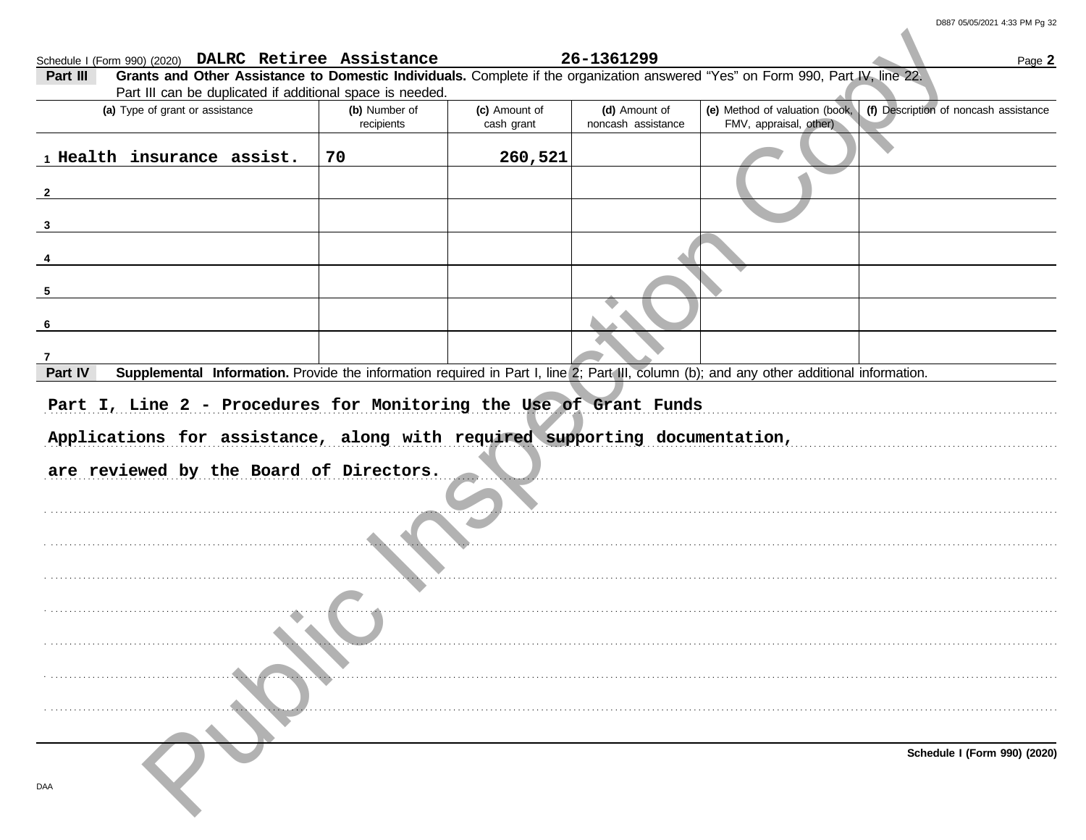| Schedule I (Form 990) (2020) DALRC Retiree Assistance                                                                                                                                                    |                             |                             | 26-1361299                          |                        | Page 2                                                               |
|----------------------------------------------------------------------------------------------------------------------------------------------------------------------------------------------------------|-----------------------------|-----------------------------|-------------------------------------|------------------------|----------------------------------------------------------------------|
| Grants and Other Assistance to Domestic Individuals. Complete if the organization answered "Yes" on Form 990, Part IV, line 22.<br>Part III<br>Part III can be duplicated if additional space is needed. |                             |                             |                                     |                        |                                                                      |
| (a) Type of grant or assistance                                                                                                                                                                          | (b) Number of<br>recipients | (c) Amount of<br>cash grant | (d) Amount of<br>noncash assistance | FMV, appraisal, other) | (e) Method of valuation (book, (f) Description of noncash assistance |
| 1 Health insurance assist.                                                                                                                                                                               | 70                          | 260,521                     |                                     |                        |                                                                      |
| $\mathbf{2}$                                                                                                                                                                                             |                             |                             |                                     |                        |                                                                      |
| $\mathbf{3}$                                                                                                                                                                                             |                             |                             |                                     |                        |                                                                      |
|                                                                                                                                                                                                          |                             |                             |                                     |                        |                                                                      |
| - 5                                                                                                                                                                                                      |                             |                             |                                     |                        |                                                                      |
| -6<br>7                                                                                                                                                                                                  |                             |                             |                                     |                        |                                                                      |
| Supplemental Information. Provide the information required in Part I, line 2; Part III, column (b); and any other additional information.<br>Part IV                                                     |                             |                             |                                     |                        |                                                                      |
| Part I, Line 2 - Procedures for Monitoring the Use of Grant Funds<br>Applications for assistance, along with required supporting documentation,<br>are reviewed by the Board of Directors.               |                             |                             |                                     |                        |                                                                      |
|                                                                                                                                                                                                          |                             |                             |                                     |                        |                                                                      |
|                                                                                                                                                                                                          |                             |                             |                                     |                        |                                                                      |
|                                                                                                                                                                                                          |                             |                             |                                     |                        |                                                                      |
|                                                                                                                                                                                                          |                             |                             |                                     |                        |                                                                      |
| DAA                                                                                                                                                                                                      |                             |                             |                                     |                        | Schedule I (Form 990) (2020)                                         |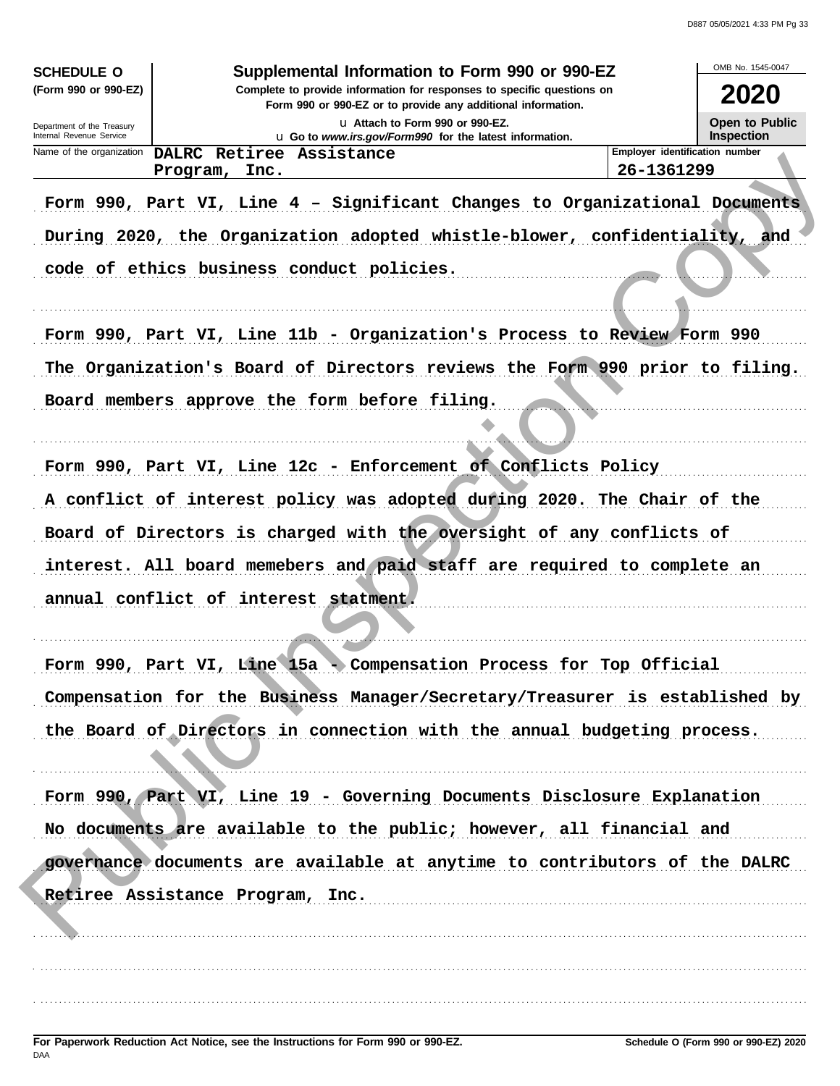| (Form 990 or 990-EZ)                                   | Supplemental Information to Form 990 or 990-EZ<br>Complete to provide information for responses to specific questions on                                                                                                                                                                                                                                                                                          | OMB No. 1545-0047<br>2020                    |
|--------------------------------------------------------|-------------------------------------------------------------------------------------------------------------------------------------------------------------------------------------------------------------------------------------------------------------------------------------------------------------------------------------------------------------------------------------------------------------------|----------------------------------------------|
|                                                        | Form 990 or 990-EZ or to provide any additional information.                                                                                                                                                                                                                                                                                                                                                      |                                              |
| Department of the Treasury<br>Internal Revenue Service | La Attach to Form 990 or 990-EZ.<br>u Go to www.irs.gov/Form990 for the latest information.                                                                                                                                                                                                                                                                                                                       | <b>Open to Public</b><br><b>Inspection</b>   |
| Name of the organization                               | DALRC Retiree Assistance<br>Inc.<br>Program,                                                                                                                                                                                                                                                                                                                                                                      | Employer identification number<br>26-1361299 |
|                                                        | Form 990, Part VI, Line 4 - Significant Changes to Organizational Documents<br>During 2020, the Organization adopted whistle-blower, confidentiality, and<br>code of ethics business conduct policies.<br>Form 990, Part VI, Line 11b - Organization's Process to Review Form 990<br>The Organization's Board of Directors reviews the Form 990 prior to filing.<br>Board members approve the form before filing. |                                              |
|                                                        | Form 990, Part VI, Line 12c - Enforcement of Conflicts Policy                                                                                                                                                                                                                                                                                                                                                     |                                              |
|                                                        | A conflict of interest policy was adopted during 2020. The Chair of the                                                                                                                                                                                                                                                                                                                                           |                                              |
|                                                        | Board of Directors is charged with the oversight of any conflicts of                                                                                                                                                                                                                                                                                                                                              |                                              |
|                                                        | interest. All board memebers and paid staff are required to complete an<br>annual conflict of interest statment.                                                                                                                                                                                                                                                                                                  |                                              |
|                                                        | Form 990, Part VI, Line 15a<br>- Compensation Process for Top Official                                                                                                                                                                                                                                                                                                                                            |                                              |
|                                                        | Compensation for the Business Manager/Secretary/Treasurer is established by                                                                                                                                                                                                                                                                                                                                       |                                              |
|                                                        | the Board of Directors in connection with the annual budgeting process.                                                                                                                                                                                                                                                                                                                                           |                                              |
|                                                        | Form 990, Part VI, Line 19 - Governing Documents Disclosure Explanation                                                                                                                                                                                                                                                                                                                                           |                                              |
|                                                        | No documents are available to the public; however, all financial and                                                                                                                                                                                                                                                                                                                                              |                                              |
|                                                        | governance documents are available at anytime to contributors of the DALRC<br>Retiree Assistance Program, Inc.                                                                                                                                                                                                                                                                                                    |                                              |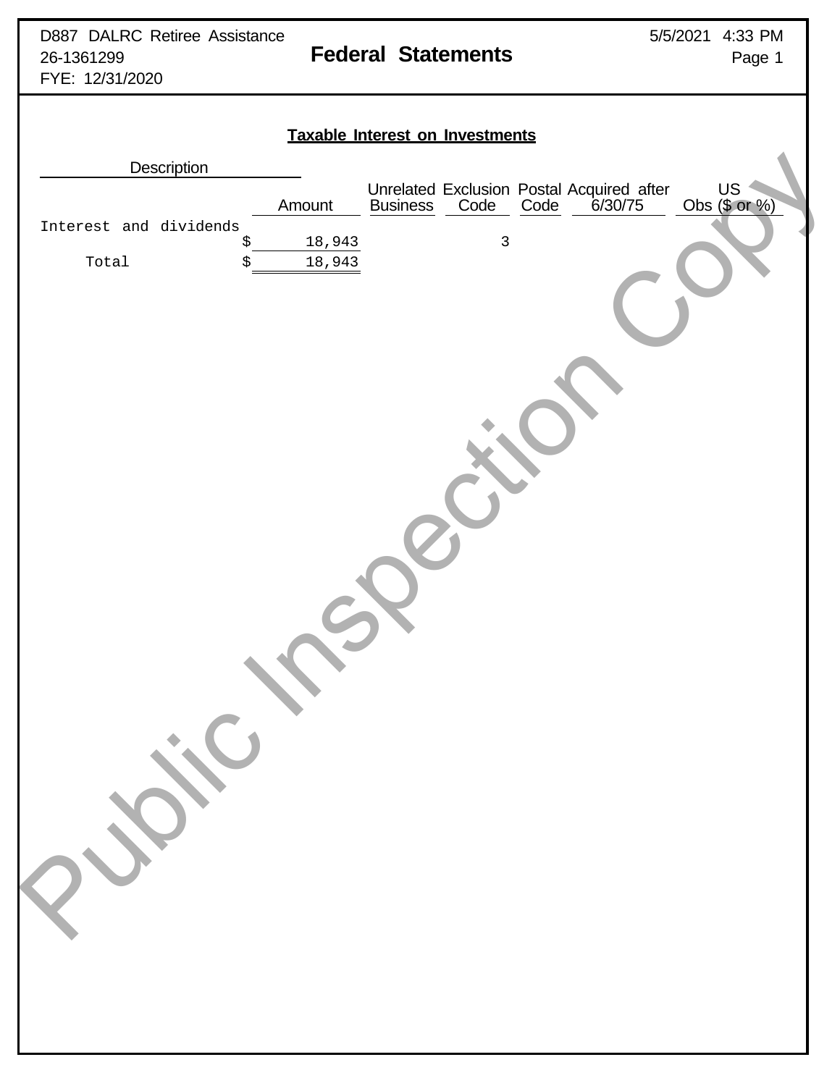# FYE: 12/31/2020 **Taxable Interest on Investments Description** Unrelated Exclusion Postal Acquired after US Amount Business Code Code 6/30/75 Obs (\$ or %) Interest and dividends  $$3$ Total  $\sin \theta$  \$ 18,943 Description<br>
Thite-ref. and dividends<br>
Thite-ref. and dividends<br>
Thite-ref. and dividends<br>
Thite-ref. and dividends<br>
Thitle-ref. and dividends<br>
Thitle-ref. and dividends<br>
Thitle-ref. and dividends<br>
Thitle-ref. and dividend